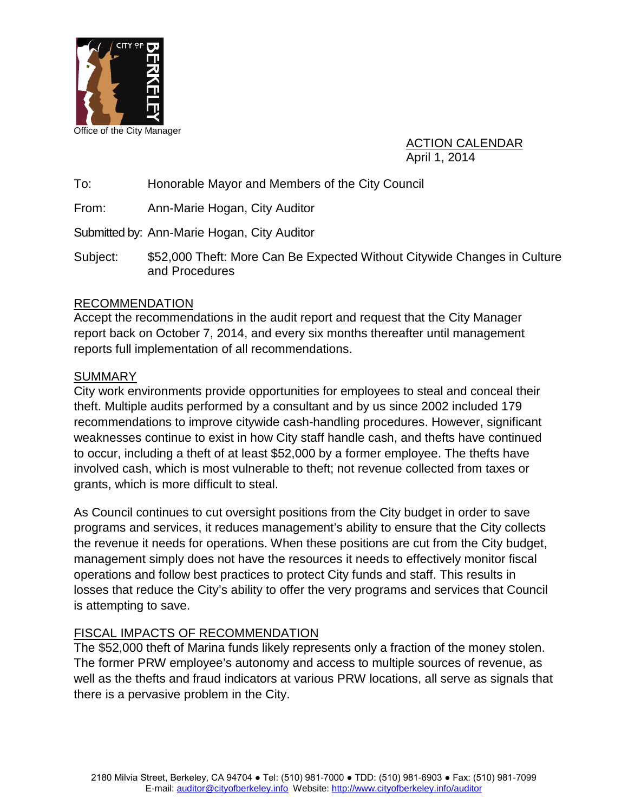

ACTION CALENDAR April 1, 2014

To: Honorable Mayor and Members of the City Council

From: Ann-Marie Hogan, City Auditor

Submitted by: Ann-Marie Hogan, City Auditor

Subject: \$52,000 Theft: More Can Be Expected Without Citywide Changes in Culture and Procedures

#### RECOMMENDATION

Accept the recommendations in the audit report and request that the City Manager report back on October 7, 2014, and every six months thereafter until management reports full implementation of all recommendations.

#### **SUMMARY**

City work environments provide opportunities for employees to steal and conceal their theft. Multiple audits performed by a consultant and by us since 2002 included 179 recommendations to improve citywide cash-handling procedures. However, significant weaknesses continue to exist in how City staff handle cash, and thefts have continued to occur, including a theft of at least \$52,000 by a former employee. The thefts have involved cash, which is most vulnerable to theft; not revenue collected from taxes or grants, which is more difficult to steal.

As Council continues to cut oversight positions from the City budget in order to save programs and services, it reduces management's ability to ensure that the City collects the revenue it needs for operations. When these positions are cut from the City budget, management simply does not have the resources it needs to effectively monitor fiscal operations and follow best practices to protect City funds and staff. This results in losses that reduce the City's ability to offer the very programs and services that Council is attempting to save.

#### FISCAL IMPACTS OF RECOMMENDATION

<span id="page-0-0"></span>The \$52,000 theft of Marina funds likely represents only a fraction of the money stolen. The former PRW employee's autonomy and access to multiple sources of revenue, as well as the thefts and fraud indicators at various PRW locations, all serve as signals that there is a pervasive problem in the City.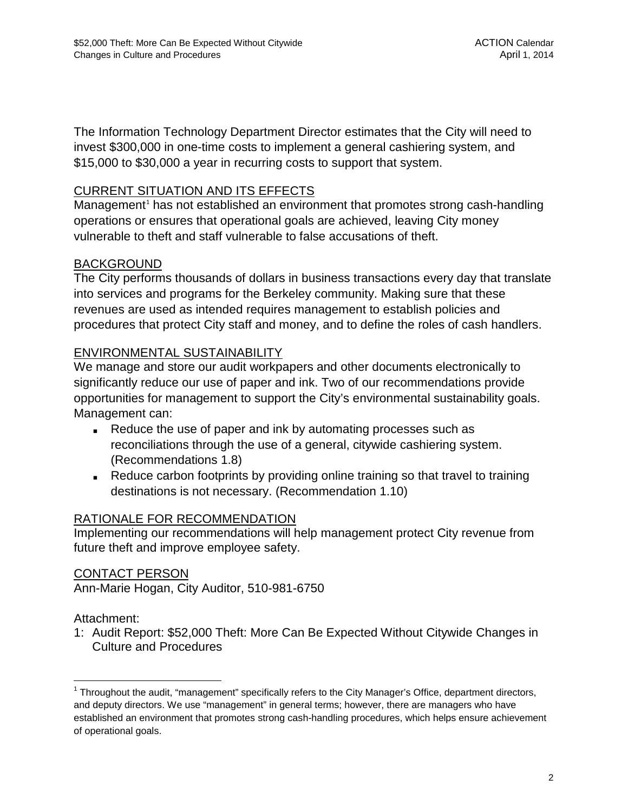The Information Technology Department Director estimates that the City will need to invest \$300,000 in one-time costs to implement a general cashiering system, and \$15,000 to \$30,000 a year in recurring costs to support that system.

#### CURRENT SITUATION AND ITS EFFECTS

Management<sup>[1](#page-0-0)</sup> has not established an environment that promotes strong cash-handling operations or ensures that operational goals are achieved, leaving City money vulnerable to theft and staff vulnerable to false accusations of theft.

#### BACKGROUND

The City performs thousands of dollars in business transactions every day that translate into services and programs for the Berkeley community. Making sure that these revenues are used as intended requires management to establish policies and procedures that protect City staff and money, and to define the roles of cash handlers.

#### ENVIRONMENTAL SUSTAINABILITY

We manage and store our audit workpapers and other documents electronically to significantly reduce our use of paper and ink. Two of our recommendations provide opportunities for management to support the City's environmental sustainability goals. Management can:

- Reduce the use of paper and ink by automating processes such as reconciliations through the use of a general, citywide cashiering system. (Recommendations 1.8)
- Reduce carbon footprints by providing online training so that travel to training destinations is not necessary. (Recommendation 1.10)

#### RATIONALE FOR RECOMMENDATION

Implementing our recommendations will help management protect City revenue from future theft and improve employee safety.

#### CONTACT PERSON

Ann-Marie Hogan, City Auditor, 510-981-6750

#### Attachment:

1: Audit Report: \$52,000 Theft: More Can Be Expected Without Citywide Changes in Culture and Procedures

<sup>&</sup>lt;sup>1</sup> Throughout the audit, "management" specifically refers to the City Manager's Office, department directors, and deputy directors. We use "management" in general terms; however, there are managers who have established an environment that promotes strong cash-handling procedures, which helps ensure achievement of operational goals.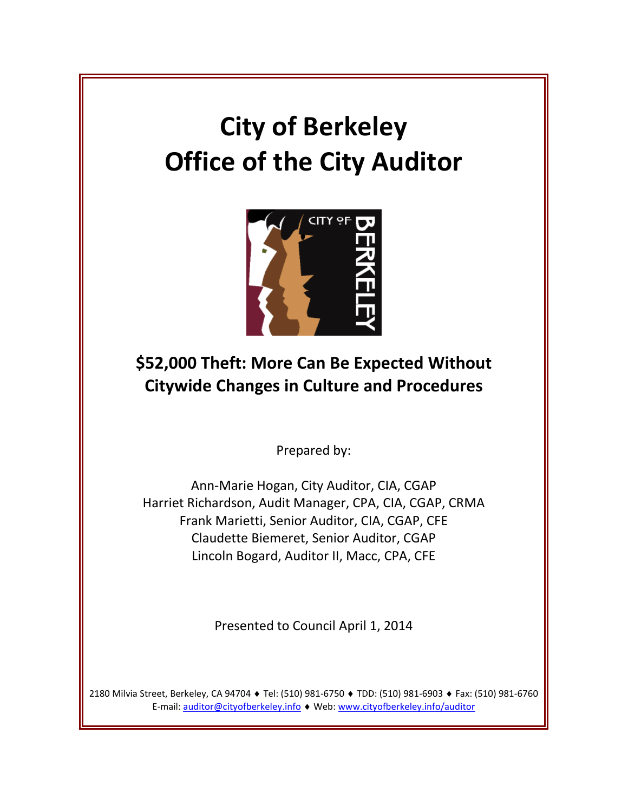# **City of Berkeley Office of the City Auditor**



# **\$52,000 Theft: More Can Be Expected Without Citywide Changes in Culture and Procedures**

Prepared by:

Ann-Marie Hogan, City Auditor, CIA, CGAP Harriet Richardson, Audit Manager, CPA, CIA, CGAP, CRMA Frank Marietti, Senior Auditor, CIA, CGAP, CFE Claudette Biemeret, Senior Auditor, CGAP Lincoln Bogard, Auditor II, Macc, CPA, CFE

Presented to Council April 1, 2014

<span id="page-2-0"></span>2180 Milvia Street, Berkeley, CA 94704 ♦ Tel: (510) 981-6750 ♦ TDD: (510) 981-6903 ♦ Fax: (510) 981-6760 E-mail: [auditor@cityofberkeley.info](mailto:auditor@cityofberkeley.info) ♦ Web[: www.cityofberkeley.info/auditor](http://www.cityofberkeley.info/auditor)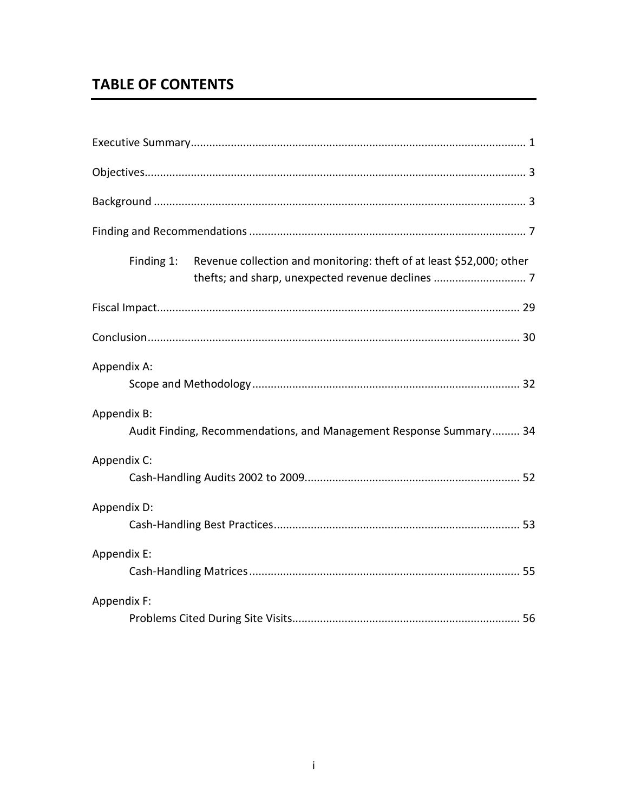# **TABLE OF CONTENTS**

| Revenue collection and monitoring: theft of at least \$52,000; other<br>Finding 1: |
|------------------------------------------------------------------------------------|
|                                                                                    |
|                                                                                    |
| Appendix A:                                                                        |
| Appendix B:<br>Audit Finding, Recommendations, and Management Response Summary 34  |
| Appendix C:                                                                        |
| Appendix D:                                                                        |
| Appendix E:                                                                        |
| Appendix F:                                                                        |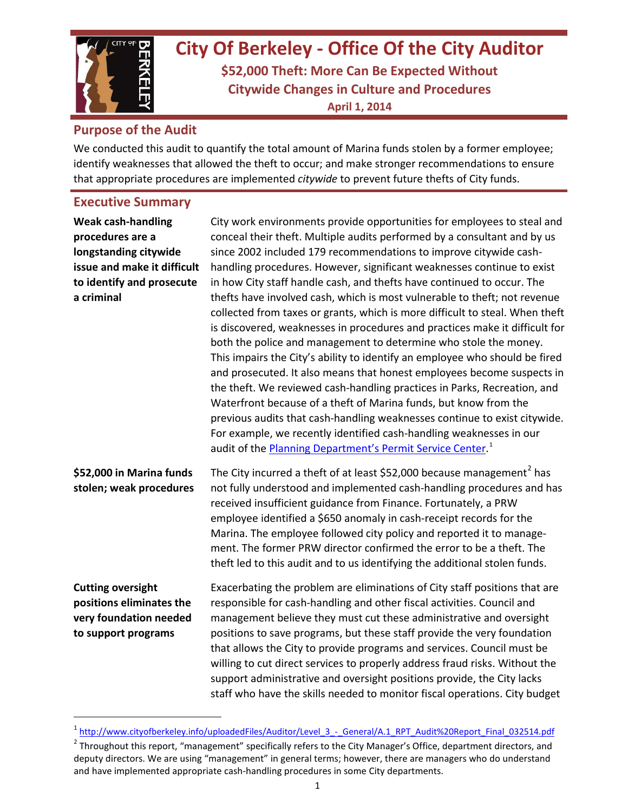

# **City Of Berkeley - Office Of the City Auditor**

**\$52,000 Theft: More Can Be Expected Without Citywide Changes in Culture and Procedures April 1, 2014**

#### **Purpose of the Audit**

We conducted this audit to quantify the total amount of Marina funds stolen by a former employee; identify weaknesses that allowed the theft to occur; and make stronger recommendations to ensure that appropriate procedures are implemented *citywide* to prevent future thefts of City funds.

#### **Executive Summary**

| <b>Weak cash-handling</b><br>procedures are a<br>longstanding citywide<br>issue and make it difficult<br>to identify and prosecute<br>a criminal | City work environments provide opportunities for employees to steal and<br>conceal their theft. Multiple audits performed by a consultant and by us<br>since 2002 included 179 recommendations to improve citywide cash-<br>handling procedures. However, significant weaknesses continue to exist<br>in how City staff handle cash, and thefts have continued to occur. The<br>thefts have involved cash, which is most vulnerable to theft; not revenue<br>collected from taxes or grants, which is more difficult to steal. When theft<br>is discovered, weaknesses in procedures and practices make it difficult for<br>both the police and management to determine who stole the money.<br>This impairs the City's ability to identify an employee who should be fired<br>and prosecuted. It also means that honest employees become suspects in<br>the theft. We reviewed cash-handling practices in Parks, Recreation, and<br>Waterfront because of a theft of Marina funds, but know from the<br>previous audits that cash-handling weaknesses continue to exist citywide.<br>For example, we recently identified cash-handling weaknesses in our<br>audit of the Planning Department's Permit Service Center. <sup>1</sup> |
|--------------------------------------------------------------------------------------------------------------------------------------------------|-------------------------------------------------------------------------------------------------------------------------------------------------------------------------------------------------------------------------------------------------------------------------------------------------------------------------------------------------------------------------------------------------------------------------------------------------------------------------------------------------------------------------------------------------------------------------------------------------------------------------------------------------------------------------------------------------------------------------------------------------------------------------------------------------------------------------------------------------------------------------------------------------------------------------------------------------------------------------------------------------------------------------------------------------------------------------------------------------------------------------------------------------------------------------------------------------------------------------------------|
| \$52,000 in Marina funds<br>stolen; weak procedures                                                                                              | The City incurred a theft of at least \$52,000 because management <sup>2</sup> has<br>not fully understood and implemented cash-handling procedures and has<br>received insufficient guidance from Finance. Fortunately, a PRW<br>employee identified a \$650 anomaly in cash-receipt records for the<br>Marina. The employee followed city policy and reported it to manage-<br>ment. The former PRW director confirmed the error to be a theft. The<br>theft led to this audit and to us identifying the additional stolen funds.                                                                                                                                                                                                                                                                                                                                                                                                                                                                                                                                                                                                                                                                                                 |
| <b>Cutting oversight</b><br>positions eliminates the<br>very foundation needed<br>to support programs                                            | Exacerbating the problem are eliminations of City staff positions that are<br>responsible for cash-handling and other fiscal activities. Council and<br>management believe they must cut these administrative and oversight<br>positions to save programs, but these staff provide the very foundation<br>that allows the City to provide programs and services. Council must be<br>willing to cut direct services to properly address fraud risks. Without the<br>support administrative and oversight positions provide, the City lacks<br>staff who have the skills needed to monitor fiscal operations. City budget                                                                                                                                                                                                                                                                                                                                                                                                                                                                                                                                                                                                             |

<span id="page-4-1"></span><sup>&</sup>lt;sup>1</sup> http://www.cityofberkeley.info/uploadedFiles/Auditor/Level 3 - General/A.1 RPT\_Audit%20Report\_Final\_032514.pdf

<span id="page-4-0"></span> $2$  Throughout this report, "management" specifically refers to the City Manager's Office, department directors, and deputy directors. We are using "management" in general terms; however, there are managers who do understand and have implemented appropriate cash-handling procedures in some City departments.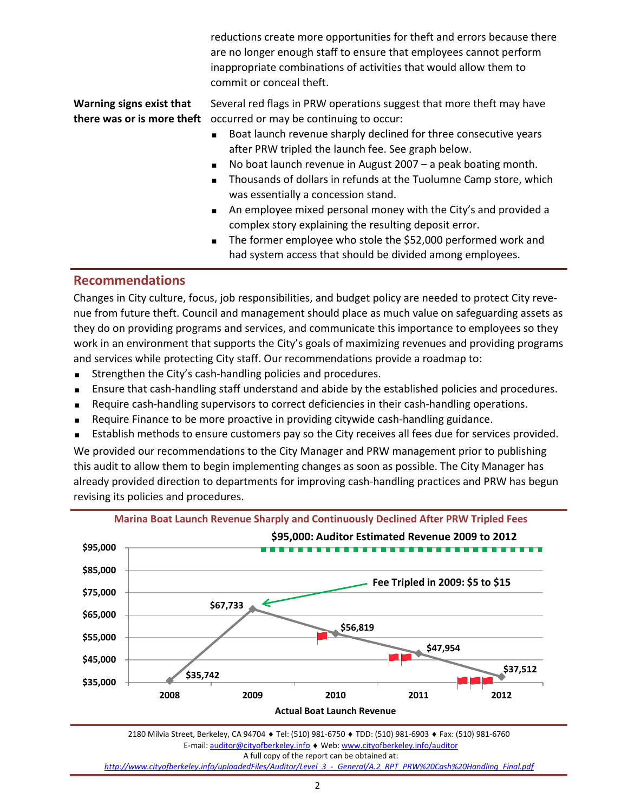reductions create more opportunities for theft and errors because there are no longer enough staff to ensure that employees cannot perform inappropriate combinations of activities that would allow them to commit or conceal theft.

**Warning signs exist that there was or is more theft**

Several red flags in PRW operations suggest that more theft may have occurred or may be continuing to occur:

- Boat launch revenue sharply declined for three consecutive years after PRW tripled the launch fee. See graph below.
- No boat launch revenue in August 2007 a peak boating month.
- **Thousands of dollars in refunds at the Tuolumne Camp store, which** was essentially a concession stand.
- An employee mixed personal money with the City's and provided a complex story explaining the resulting deposit error.
- The former employee who stole the \$52,000 performed work and had system access that should be divided among employees.

#### **Recommendations**

Changes in City culture, focus, job responsibilities, and budget policy are needed to protect City revenue from future theft. Council and management should place as much value on safeguarding assets as they do on providing programs and services, and communicate this importance to employees so they work in an environment that supports the City's goals of maximizing revenues and providing programs and services while protecting City staff. Our recommendations provide a roadmap to:

- **EXECUTE:** Strengthen the City's cash-handling policies and procedures.
- Ensure that cash-handling staff understand and abide by the established policies and procedures.
- Require cash-handling supervisors to correct deficiencies in their cash-handling operations.
- Require Finance to be more proactive in providing citywide cash-handling guidance.
- Establish methods to ensure customers pay so the City receives all fees due for services provided.

We provided our recommendations to the City Manager and PRW management prior to publishing this audit to allow them to begin implementing changes as soon as possible. The City Manager has already provided direction to departments for improving cash-handling practices and PRW has begun revising its policies and procedures.



2180 Milvia Street, Berkeley, CA 94704 ♦ Tel: (510) 981-6750 ♦ TDD: (510) 981-6903 ♦ Fax: (510) 981-6760 E-mail[: auditor@cityofberkeley.info](mailto:auditor@cityofberkeley.info) ♦ Web[: www.cityofberkeley.info/auditor](http://www.cityofberkeley.info/auditor) A full copy of the report can be obtained at: *[http://www.cityofberkeley.info/uploadedFiles/Auditor/Level\\_3\\_-\\_General/A.2\\_RPT\\_PRW%20Cash%20Handling\\_Final.pdf](http://www.cityofberkeley.info/uploadedFiles/Auditor/Level_3_-_General/A.2_RPT_PRW%20Cash%20Handling_Final.pdf)*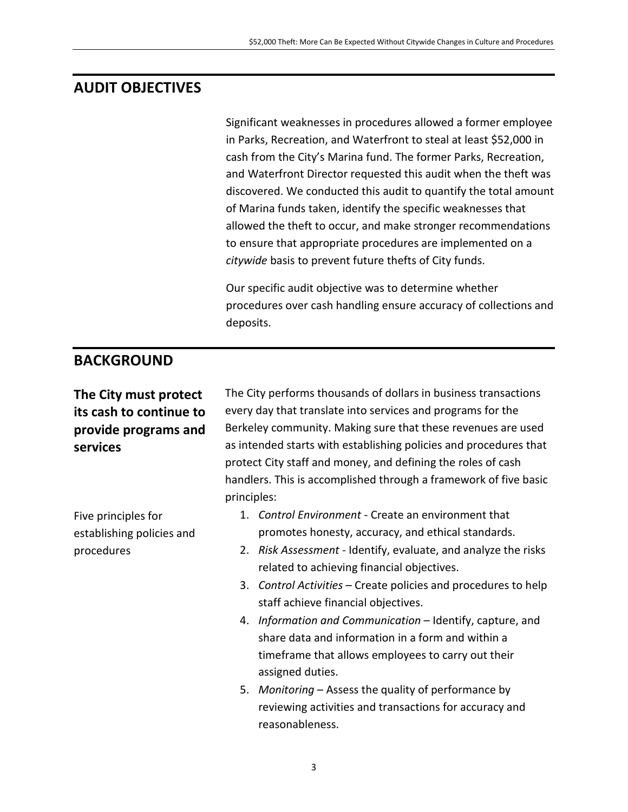### **AUDIT OBJECTIVES**

Significant weaknesses in procedures allowed a former employee in Parks, Recreation, and Waterfront to steal at least \$52,000 in cash from the City's Marina fund. The former Parks, Recreation, and Waterfront Director requested this audit when the theft was discovered. We conducted this audit to quantify the total amount of Marina funds taken, identify the specific weaknesses that allowed the theft to occur, and make stronger recommendations to ensure that appropriate procedures are implemented on a *citywide* basis to prevent future thefts of City funds.

Our specific audit objective was to determine whether procedures over cash handling ensure accuracy of collections and deposits.

#### **BACKGROUND**

#### **The City must protect its cash to continue to provide programs and services**

Five principles for establishing policies and procedures

The City performs thousands of dollars in business transactions every day that translate into services and programs for the Berkeley community. Making sure that these revenues are used as intended starts with establishing policies and procedures that protect City staff and money, and defining the roles of cash handlers. This is accomplished through a framework of five basic principles:

- 1. *Control Environment* Create an environment that promotes honesty, accuracy, and ethical standards.
- 2. *Risk Assessment* Identify, evaluate, and analyze the risks related to achieving financial objectives.
- 3. *Control Activities* Create policies and procedures to help staff achieve financial objectives.
- 4. *Information and Communication*  Identify, capture, and share data and information in a form and within a timeframe that allows employees to carry out their assigned duties.
- 5. *Monitoring* Assess the quality of performance by reviewing activities and transactions for accuracy and reasonableness.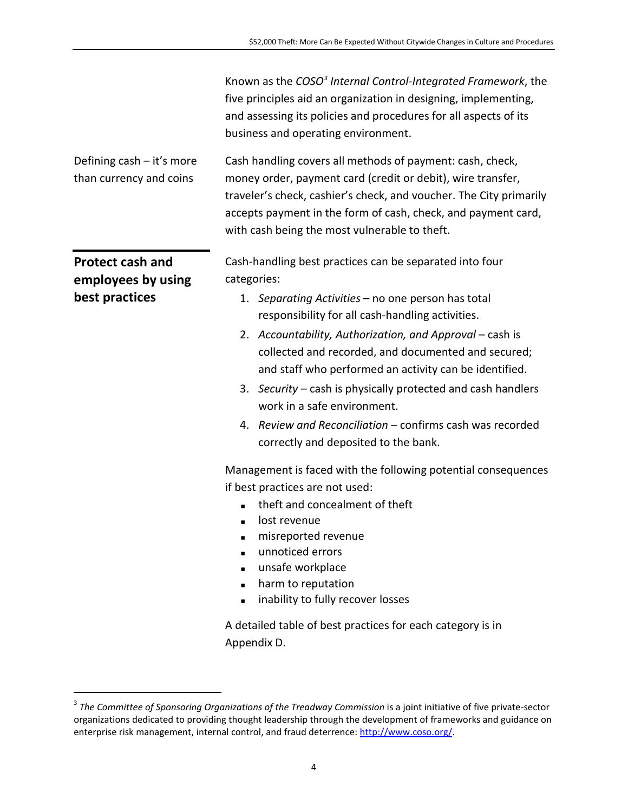|                                                                 | Known as the COSO <sup>3</sup> Internal Control-Integrated Framework, the<br>five principles aid an organization in designing, implementing,<br>and assessing its policies and procedures for all aspects of its<br>business and operating environment.                                                                                                                                                                                                                                                                                                                                                                                                                                                                                                                                                                                           |
|-----------------------------------------------------------------|---------------------------------------------------------------------------------------------------------------------------------------------------------------------------------------------------------------------------------------------------------------------------------------------------------------------------------------------------------------------------------------------------------------------------------------------------------------------------------------------------------------------------------------------------------------------------------------------------------------------------------------------------------------------------------------------------------------------------------------------------------------------------------------------------------------------------------------------------|
| Defining cash - it's more<br>than currency and coins            | Cash handling covers all methods of payment: cash, check,<br>money order, payment card (credit or debit), wire transfer,<br>traveler's check, cashier's check, and voucher. The City primarily<br>accepts payment in the form of cash, check, and payment card,<br>with cash being the most vulnerable to theft.                                                                                                                                                                                                                                                                                                                                                                                                                                                                                                                                  |
| <b>Protect cash and</b><br>employees by using<br>best practices | Cash-handling best practices can be separated into four<br>categories:<br>1. Separating Activities - no one person has total<br>responsibility for all cash-handling activities.<br>2. Accountability, Authorization, and Approval – cash is<br>collected and recorded, and documented and secured;<br>and staff who performed an activity can be identified.<br>3. Security – cash is physically protected and cash handlers<br>work in a safe environment.<br>4. Review and Reconciliation - confirms cash was recorded<br>correctly and deposited to the bank.<br>Management is faced with the following potential consequences<br>if best practices are not used:<br>theft and concealment of theft<br>lost revenue<br>misreported revenue<br>unnoticed errors<br>unsafe workplace<br>harm to reputation<br>inability to fully recover losses |
|                                                                 | A detailed table of best practices for each category is in<br>Appendix D.                                                                                                                                                                                                                                                                                                                                                                                                                                                                                                                                                                                                                                                                                                                                                                         |

<span id="page-7-0"></span><sup>&</sup>lt;sup>3</sup> The Committee of Sponsoring Organizations of the Treadway Commission is a joint initiative of five private-sector organizations dedicated to providing thought leadership through the development of frameworks and guidance on enterprise risk management, internal control, and fraud deterrence: http://www.coso.org/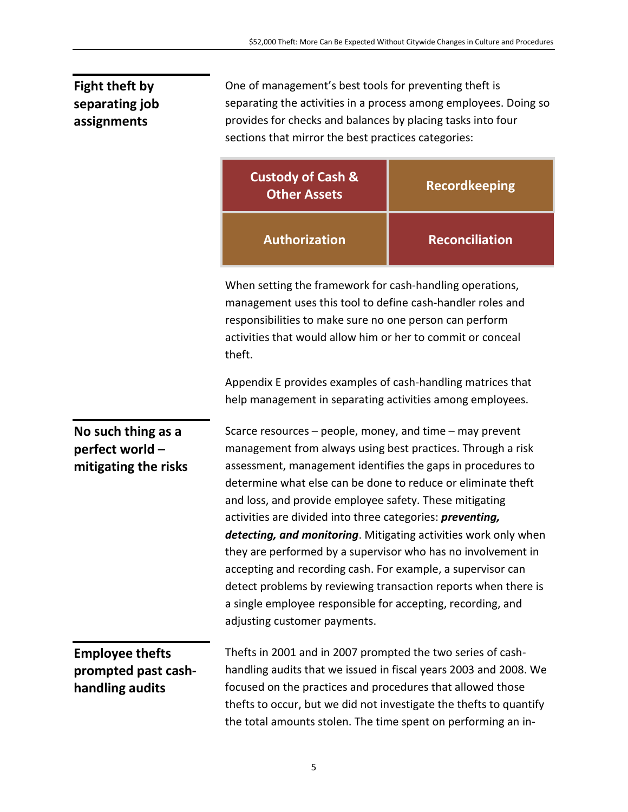### **Fight theft by separating job assignments**

One of management's best tools for preventing theft is separating the activities in a process among employees. Doing so provides for checks and balances by placing tasks into four sections that mirror the best practices categories:

|                                                                  | <b>Custody of Cash &amp;</b><br><b>Other Assets</b>                                                                                                                                                                                                                                                                                                                                                                                                                                                                                                                                                                                                                                                                                               | <b>Recordkeeping</b>  |
|------------------------------------------------------------------|---------------------------------------------------------------------------------------------------------------------------------------------------------------------------------------------------------------------------------------------------------------------------------------------------------------------------------------------------------------------------------------------------------------------------------------------------------------------------------------------------------------------------------------------------------------------------------------------------------------------------------------------------------------------------------------------------------------------------------------------------|-----------------------|
|                                                                  | <b>Authorization</b>                                                                                                                                                                                                                                                                                                                                                                                                                                                                                                                                                                                                                                                                                                                              | <b>Reconciliation</b> |
|                                                                  | When setting the framework for cash-handling operations,<br>management uses this tool to define cash-handler roles and<br>responsibilities to make sure no one person can perform<br>activities that would allow him or her to commit or conceal<br>theft.                                                                                                                                                                                                                                                                                                                                                                                                                                                                                        |                       |
|                                                                  | Appendix E provides examples of cash-handling matrices that<br>help management in separating activities among employees.                                                                                                                                                                                                                                                                                                                                                                                                                                                                                                                                                                                                                          |                       |
| No such thing as a<br>perfect world –<br>mitigating the risks    | Scarce resources - people, money, and time - may prevent<br>management from always using best practices. Through a risk<br>assessment, management identifies the gaps in procedures to<br>determine what else can be done to reduce or eliminate theft<br>and loss, and provide employee safety. These mitigating<br>activities are divided into three categories: preventing,<br>detecting, and monitoring. Mitigating activities work only when<br>they are performed by a supervisor who has no involvement in<br>accepting and recording cash. For example, a supervisor can<br>detect problems by reviewing transaction reports when there is<br>a single employee responsible for accepting, recording, and<br>adjusting customer payments. |                       |
| <b>Employee thefts</b><br>prompted past cash-<br>handling audits | Thefts in 2001 and in 2007 prompted the two series of cash-<br>handling audits that we issued in fiscal years 2003 and 2008. We<br>focused on the practices and procedures that allowed those<br>thefts to occur, but we did not investigate the thefts to quantify<br>the total amounts stolen. The time spent on performing an in-                                                                                                                                                                                                                                                                                                                                                                                                              |                       |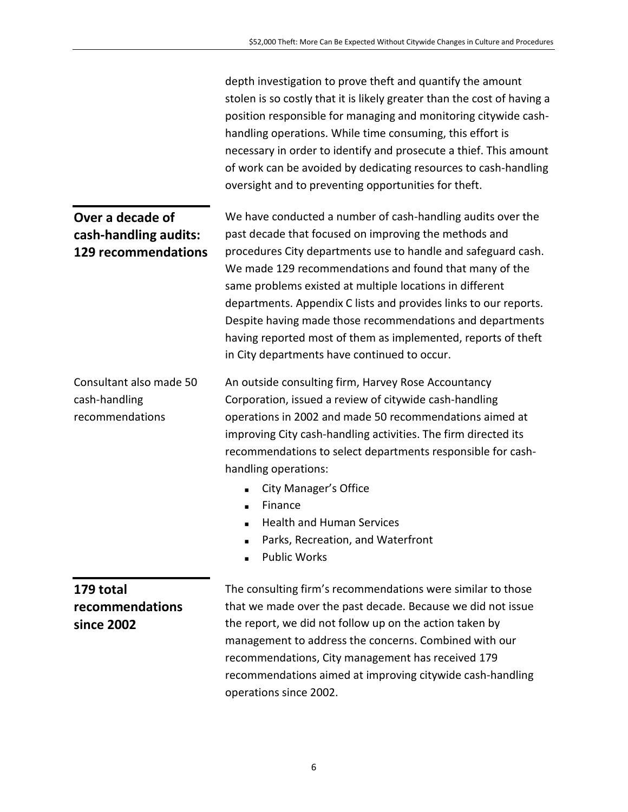|                                                                         | depth investigation to prove theft and quantify the amount<br>stolen is so costly that it is likely greater than the cost of having a<br>position responsible for managing and monitoring citywide cash-<br>handling operations. While time consuming, this effort is<br>necessary in order to identify and prosecute a thief. This amount<br>of work can be avoided by dedicating resources to cash-handling<br>oversight and to preventing opportunities for theft.                                                                                         |  |
|-------------------------------------------------------------------------|---------------------------------------------------------------------------------------------------------------------------------------------------------------------------------------------------------------------------------------------------------------------------------------------------------------------------------------------------------------------------------------------------------------------------------------------------------------------------------------------------------------------------------------------------------------|--|
| Over a decade of<br>cash-handling audits:<br><b>129 recommendations</b> | We have conducted a number of cash-handling audits over the<br>past decade that focused on improving the methods and<br>procedures City departments use to handle and safeguard cash.<br>We made 129 recommendations and found that many of the<br>same problems existed at multiple locations in different<br>departments. Appendix C lists and provides links to our reports.<br>Despite having made those recommendations and departments<br>having reported most of them as implemented, reports of theft<br>in City departments have continued to occur. |  |
| Consultant also made 50<br>cash-handling<br>recommendations             | An outside consulting firm, Harvey Rose Accountancy<br>Corporation, issued a review of citywide cash-handling<br>operations in 2002 and made 50 recommendations aimed at<br>improving City cash-handling activities. The firm directed its<br>recommendations to select departments responsible for cash-<br>handling operations:<br>City Manager's Office<br>$\blacksquare$<br>Finance<br>$\blacksquare$<br><b>Health and Human Services</b><br>Parks, Recreation, and Waterfront<br><b>Public Works</b>                                                     |  |
| 179 total<br>recommendations<br>since 2002                              | The consulting firm's recommendations were similar to those<br>that we made over the past decade. Because we did not issue<br>the report, we did not follow up on the action taken by<br>management to address the concerns. Combined with our<br>recommendations, City management has received 179<br>recommendations aimed at improving citywide cash-handling<br>operations since 2002.                                                                                                                                                                    |  |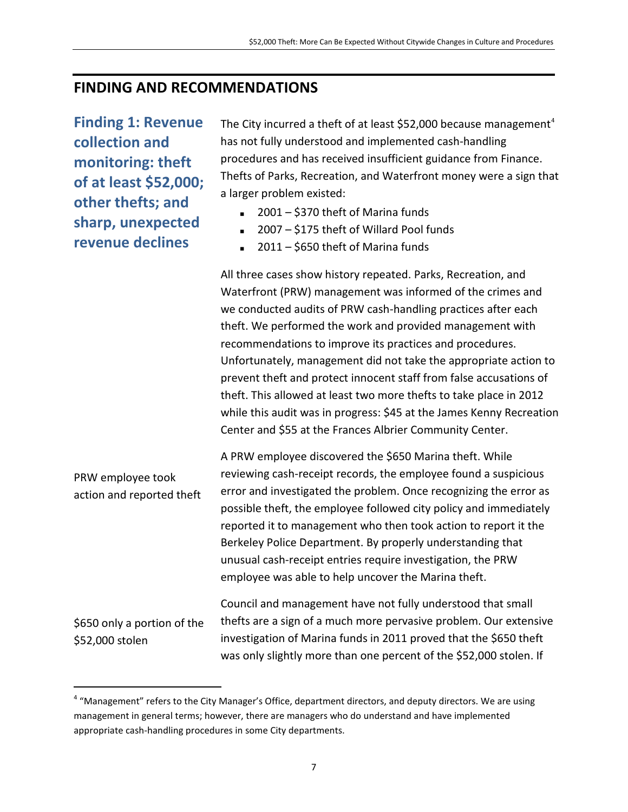#### **FINDING AND RECOMMENDATIONS**

**Finding 1: Revenue collection and monitoring: theft of at least \$52,000; other thefts; and sharp, unexpected revenue declines**

The City incurred a theft of at least \$52,000 because management<sup>[4](#page-7-0)</sup> has not fully understood and implemented cash-handling procedures and has received insufficient guidance from Finance. Thefts of Parks, Recreation, and Waterfront money were a sign that a larger problem existed:

- $2001 $370$  theft of Marina funds
- 2007 \$175 theft of Willard Pool funds
- 2011 \$650 theft of Marina funds

All three cases show history repeated. Parks, Recreation, and Waterfront (PRW) management was informed of the crimes and we conducted audits of PRW cash-handling practices after each theft. We performed the work and provided management with recommendations to improve its practices and procedures. Unfortunately, management did not take the appropriate action to prevent theft and protect innocent staff from false accusations of theft. This allowed at least two more thefts to take place in 2012 while this audit was in progress: \$45 at the James Kenny Recreation Center and \$55 at the Frances Albrier Community Center.

PRW employee took action and reported theft A PRW employee discovered the \$650 Marina theft. While reviewing cash-receipt records, the employee found a suspicious error and investigated the problem. Once recognizing the error as possible theft, the employee followed city policy and immediately reported it to management who then took action to report it the Berkeley Police Department. By properly understanding that unusual cash-receipt entries require investigation, the PRW employee was able to help uncover the Marina theft.

\$650 only a portion of the \$52,000 stolen

Council and management have not fully understood that small thefts are a sign of a much more pervasive problem. Our extensive investigation of Marina funds in 2011 proved that the \$650 theft was only slightly more than one percent of the \$52,000 stolen. If

<span id="page-10-0"></span><sup>&</sup>lt;sup>4</sup> "Management" refers to the City Manager's Office, department directors, and deputy directors. We are using management in general terms; however, there are managers who do understand and have implemented appropriate cash-handling procedures in some City departments.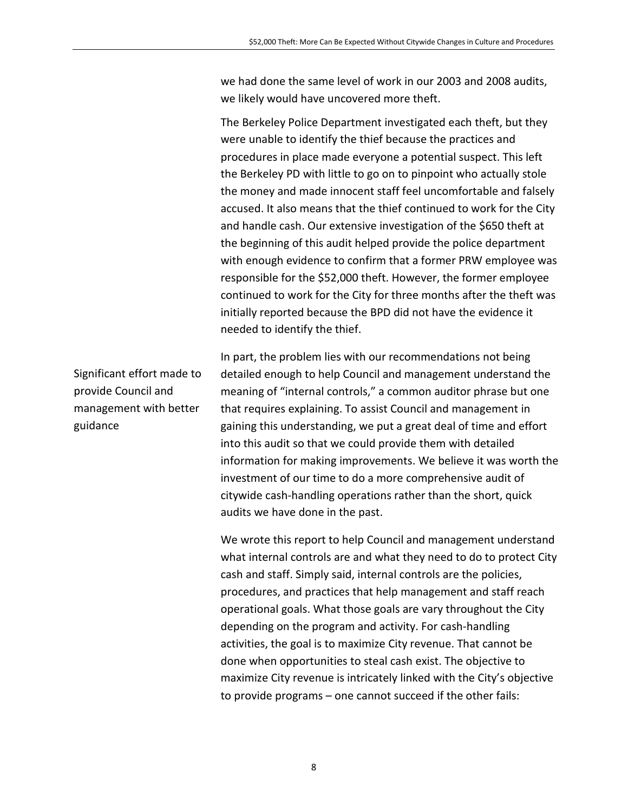we had done the same level of work in our 2003 and 2008 audits, we likely would have uncovered more theft.

The Berkeley Police Department investigated each theft, but they were unable to identify the thief because the practices and procedures in place made everyone a potential suspect. This left the Berkeley PD with little to go on to pinpoint who actually stole the money and made innocent staff feel uncomfortable and falsely accused. It also means that the thief continued to work for the City and handle cash. Our extensive investigation of the \$650 theft at the beginning of this audit helped provide the police department with enough evidence to confirm that a former PRW employee was responsible for the \$52,000 theft. However, the former employee continued to work for the City for three months after the theft was initially reported because the BPD did not have the evidence it needed to identify the thief.

In part, the problem lies with our recommendations not being detailed enough to help Council and management understand the meaning of "internal controls," a common auditor phrase but one that requires explaining. To assist Council and management in gaining this understanding, we put a great deal of time and effort into this audit so that we could provide them with detailed information for making improvements. We believe it was worth the investment of our time to do a more comprehensive audit of citywide cash-handling operations rather than the short, quick audits we have done in the past.

We wrote this report to help Council and management understand what internal controls are and what they need to do to protect City cash and staff. Simply said, internal controls are the policies, procedures, and practices that help management and staff reach operational goals. What those goals are vary throughout the City depending on the program and activity. For cash-handling activities, the goal is to maximize City revenue. That cannot be done when opportunities to steal cash exist. The objective to maximize City revenue is intricately linked with the City's objective to provide programs – one cannot succeed if the other fails:

Significant effort made to provide Council and management with better guidance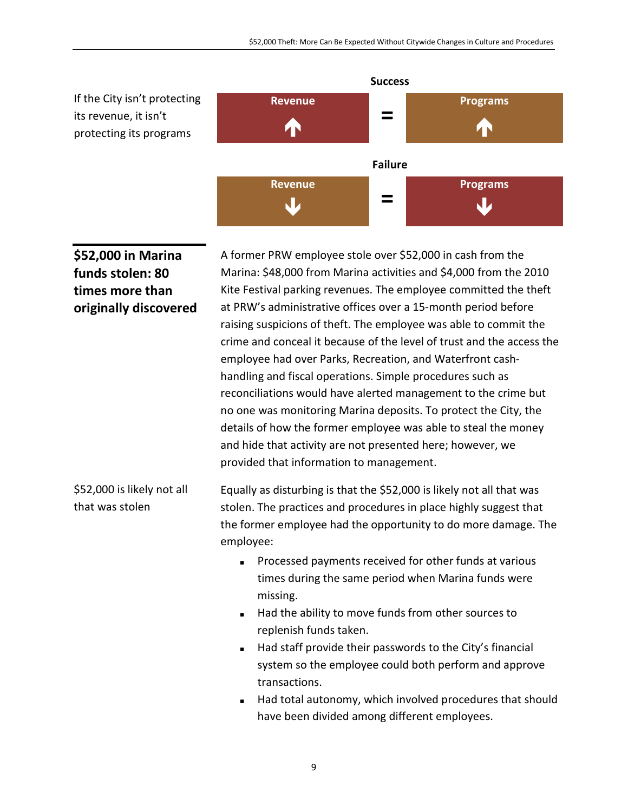

**\$52,000 in Marina funds stolen: 80 times more than originally discovered** A former PRW employee stole over \$52,000 in cash from the Marina: \$48,000 from Marina activities and \$4,000 from the 2010 Kite Festival parking revenues. The employee committed the theft at PRW's administrative offices over a 15-month period before raising suspicions of theft. The employee was able to commit the crime and conceal it because of the level of trust and the access the employee had over Parks, Recreation, and Waterfront cashhandling and fiscal operations. Simple procedures such as reconciliations would have alerted management to the crime but no one was monitoring Marina deposits. To protect the City, the details of how the former employee was able to steal the money and hide that activity are not presented here; however, we provided that information to management.

\$52,000 is likely not all that was stolen Equally as disturbing is that the \$52,000 is likely not all that was stolen. The practices and procedures in place highly suggest that the former employee had the opportunity to do more damage. The employee:

- **Processed payments received for other funds at various** times during the same period when Marina funds were missing.
- Had the ability to move funds from other sources to replenish funds taken.
- Had staff provide their passwords to the City's financial system so the employee could both perform and approve transactions.
- Had total autonomy, which involved procedures that should have been divided among different employees.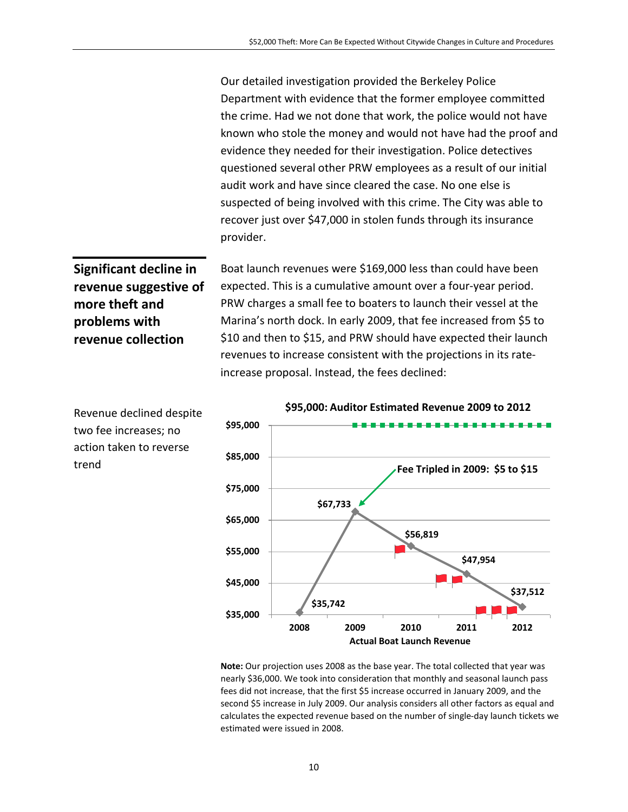Our detailed investigation provided the Berkeley Police Department with evidence that the former employee committed the crime. Had we not done that work, the police would not have known who stole the money and would not have had the proof and evidence they needed for their investigation. Police detectives questioned several other PRW employees as a result of our initial audit work and have since cleared the case. No one else is suspected of being involved with this crime. The City was able to recover just over \$47,000 in stolen funds through its insurance provider.

**Significant decline in revenue suggestive of more theft and problems with revenue collection**

Boat launch revenues were \$169,000 less than could have been expected. This is a cumulative amount over a four-year period. PRW charges a small fee to boaters to launch their vessel at the Marina's north dock. In early 2009, that fee increased from \$5 to \$10 and then to \$15, and PRW should have expected their launch revenues to increase consistent with the projections in its rateincrease proposal. Instead, the fees declined:



**Note:** Our projection uses 2008 as the base year. The total collected that year was nearly \$36,000. We took into consideration that monthly and seasonal launch pass fees did not increase, that the first \$5 increase occurred in January 2009, and the second \$5 increase in July 2009. Our analysis considers all other factors as equal and calculates the expected revenue based on the number of single-day launch tickets we estimated were issued in 2008.

Revenue declined despite two fee increases; no action taken to reverse trend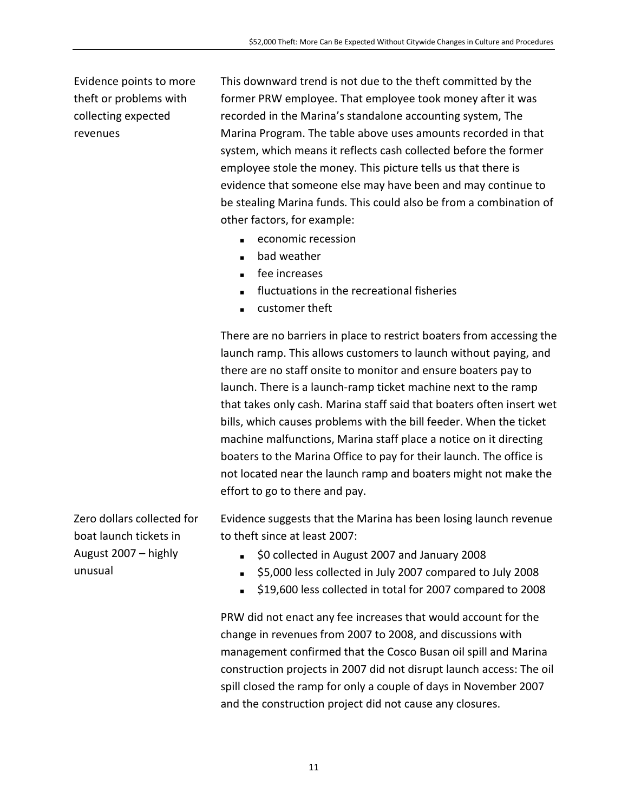Evidence points to more theft or problems with collecting expected revenues

This downward trend is not due to the theft committed by the former PRW employee. That employee took money after it was recorded in the Marina's standalone accounting system, The Marina Program. The table above uses amounts recorded in that system, which means it reflects cash collected before the former employee stole the money. This picture tells us that there is evidence that someone else may have been and may continue to be stealing Marina funds. This could also be from a combination of other factors, for example:

- economic recession
- bad weather
- **fee increases**
- **fluctuations in the recreational fisheries**
- customer theft

There are no barriers in place to restrict boaters from accessing the launch ramp. This allows customers to launch without paying, and there are no staff onsite to monitor and ensure boaters pay to launch. There is a launch-ramp ticket machine next to the ramp that takes only cash. Marina staff said that boaters often insert wet bills, which causes problems with the bill feeder. When the ticket machine malfunctions, Marina staff place a notice on it directing boaters to the Marina Office to pay for their launch. The office is not located near the launch ramp and boaters might not make the effort to go to there and pay.

Zero dollars collected for boat launch tickets in August 2007 – highly unusual

Evidence suggests that the Marina has been losing launch revenue to theft since at least 2007:

- **SO collected in August 2007 and January 2008**
- \$5,000 less collected in July 2007 compared to July 2008
- \$19,600 less collected in total for 2007 compared to 2008

PRW did not enact any fee increases that would account for the change in revenues from 2007 to 2008, and discussions with management confirmed that the Cosco Busan oil spill and Marina construction projects in 2007 did not disrupt launch access: The oil spill closed the ramp for only a couple of days in November 2007 and the construction project did not cause any closures.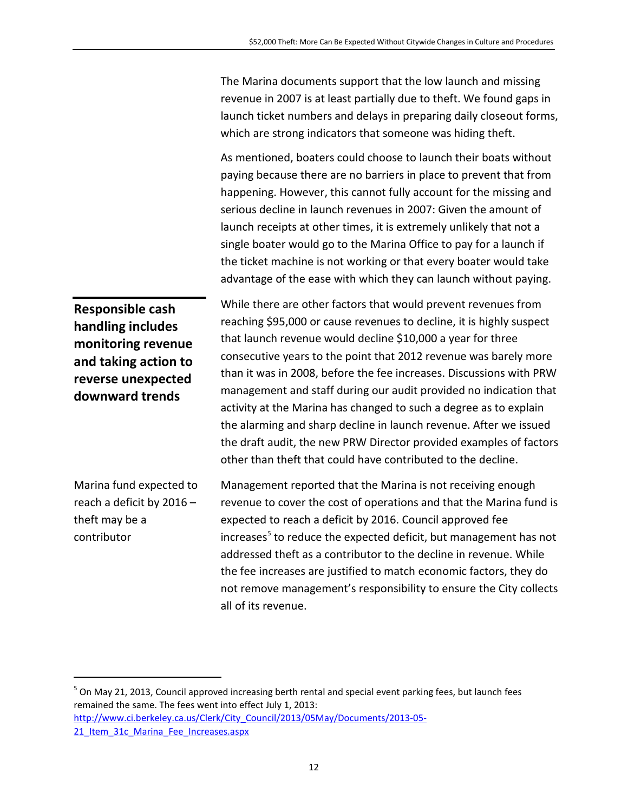The Marina documents support that the low launch and missing revenue in 2007 is at least partially due to theft. We found gaps in launch ticket numbers and delays in preparing daily closeout forms, which are strong indicators that someone was hiding theft.

As mentioned, boaters could choose to launch their boats without paying because there are no barriers in place to prevent that from happening. However, this cannot fully account for the missing and serious decline in launch revenues in 2007: Given the amount of launch receipts at other times, it is extremely unlikely that not a single boater would go to the Marina Office to pay for a launch if the ticket machine is not working or that every boater would take advantage of the ease with which they can launch without paying.

**Responsible cash handling includes monitoring revenue and taking action to reverse unexpected downward trends**

While there are other factors that would prevent revenues from reaching \$95,000 or cause revenues to decline, it is highly suspect that launch revenue would decline \$10,000 a year for three consecutive years to the point that 2012 revenue was barely more than it was in 2008, before the fee increases. Discussions with PRW management and staff during our audit provided no indication that activity at the Marina has changed to such a degree as to explain the alarming and sharp decline in launch revenue. After we issued the draft audit, the new PRW Director provided examples of factors other than theft that could have contributed to the decline.

Marina fund expected to reach a deficit by 2016 – theft may be a contributor

Management reported that the Marina is not receiving enough revenue to cover the cost of operations and that the Marina fund is expected to reach a deficit by 2016. Council approved fee  $increases<sup>5</sup>$  $increases<sup>5</sup>$  $increases<sup>5</sup>$  to reduce the expected deficit, but management has not addressed theft as a contributor to the decline in revenue. While the fee increases are justified to match economic factors, they do not remove management's responsibility to ensure the City collects all of its revenue.

<span id="page-15-0"></span> $^5$  On May 21, 2013, Council approved increasing berth rental and special event parking fees, but launch fees remained the same. The fees went into effect July 1, 2013: [http://www.ci.berkeley.ca.us/Clerk/City\\_Council/2013/05May/Documents/2013-05-](http://www.ci.berkeley.ca.us/Clerk/City_Council/2013/05May/Documents/2013-05-21_Item_31c_Marina_Fee_Increases.aspx) 21 Item 31c Marina Fee Increases.aspx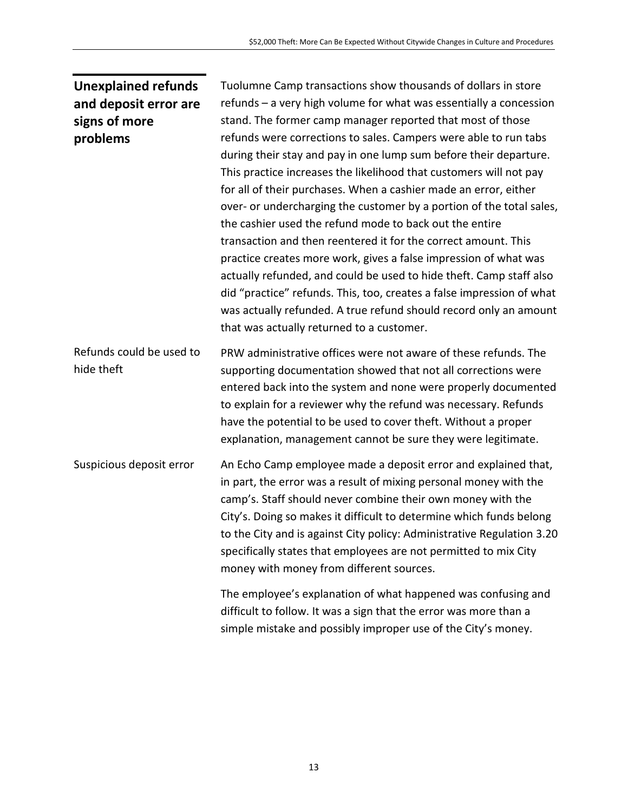#### **Unexplained refunds and deposit error are signs of more problems**

Tuolumne Camp transactions show thousands of dollars in store refunds – a very high volume for what was essentially a concession stand. The former camp manager reported that most of those refunds were corrections to sales. Campers were able to run tabs during their stay and pay in one lump sum before their departure. This practice increases the likelihood that customers will not pay for all of their purchases. When a cashier made an error, either over- or undercharging the customer by a portion of the total sales, the cashier used the refund mode to back out the entire transaction and then reentered it for the correct amount. This practice creates more work, gives a false impression of what was actually refunded, and could be used to hide theft. Camp staff also did "practice" refunds. This, too, creates a false impression of what was actually refunded. A true refund should record only an amount that was actually returned to a customer.

Refunds could be used to hide theft PRW administrative offices were not aware of these refunds. The supporting documentation showed that not all corrections were entered back into the system and none were properly documented to explain for a reviewer why the refund was necessary. Refunds have the potential to be used to cover theft. Without a proper explanation, management cannot be sure they were legitimate.

Suspicious deposit error An Echo Camp employee made a deposit error and explained that, in part, the error was a result of mixing personal money with the camp's. Staff should never combine their own money with the City's. Doing so makes it difficult to determine which funds belong to the City and is against City policy: Administrative Regulation 3.20 specifically states that employees are not permitted to mix City money with money from different sources.

> The employee's explanation of what happened was confusing and difficult to follow. It was a sign that the error was more than a simple mistake and possibly improper use of the City's money.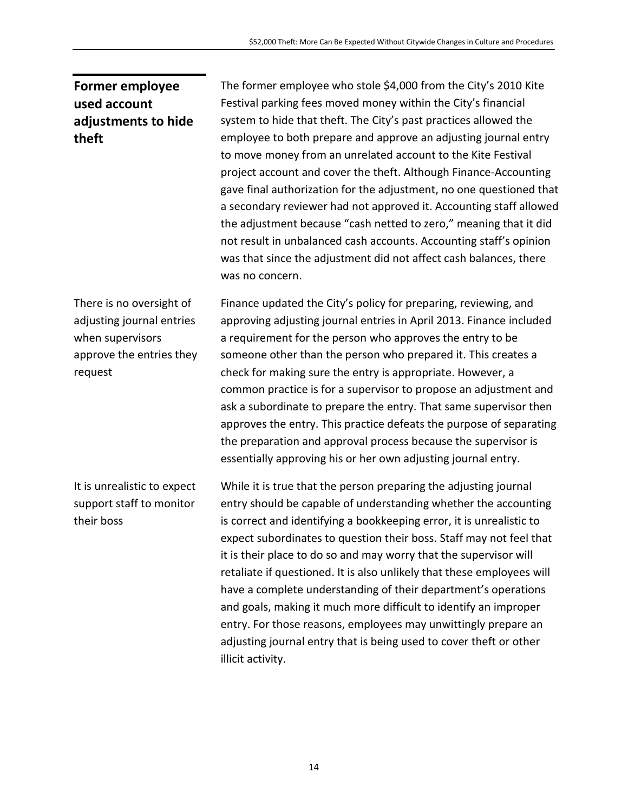#### **Former employee used account adjustments to hide theft**

The former employee who stole \$4,000 from the City's 2010 Kite Festival parking fees moved money within the City's financial system to hide that theft. The City's past practices allowed the employee to both prepare and approve an adjusting journal entry to move money from an unrelated account to the Kite Festival project account and cover the theft. Although Finance-Accounting gave final authorization for the adjustment, no one questioned that a secondary reviewer had not approved it. Accounting staff allowed the adjustment because "cash netted to zero," meaning that it did not result in unbalanced cash accounts. Accounting staff's opinion was that since the adjustment did not affect cash balances, there was no concern.

There is no oversight of adjusting journal entries when supervisors approve the entries they request

Finance updated the City's policy for preparing, reviewing, and approving adjusting journal entries in April 2013. Finance included a requirement for the person who approves the entry to be someone other than the person who prepared it. This creates a check for making sure the entry is appropriate. However, a common practice is for a supervisor to propose an adjustment and ask a subordinate to prepare the entry. That same supervisor then approves the entry. This practice defeats the purpose of separating the preparation and approval process because the supervisor is essentially approving his or her own adjusting journal entry.

It is unrealistic to expect support staff to monitor their boss

While it is true that the person preparing the adjusting journal entry should be capable of understanding whether the accounting is correct and identifying a bookkeeping error, it is unrealistic to expect subordinates to question their boss. Staff may not feel that it is their place to do so and may worry that the supervisor will retaliate if questioned. It is also unlikely that these employees will have a complete understanding of their department's operations and goals, making it much more difficult to identify an improper entry. For those reasons, employees may unwittingly prepare an adjusting journal entry that is being used to cover theft or other illicit activity.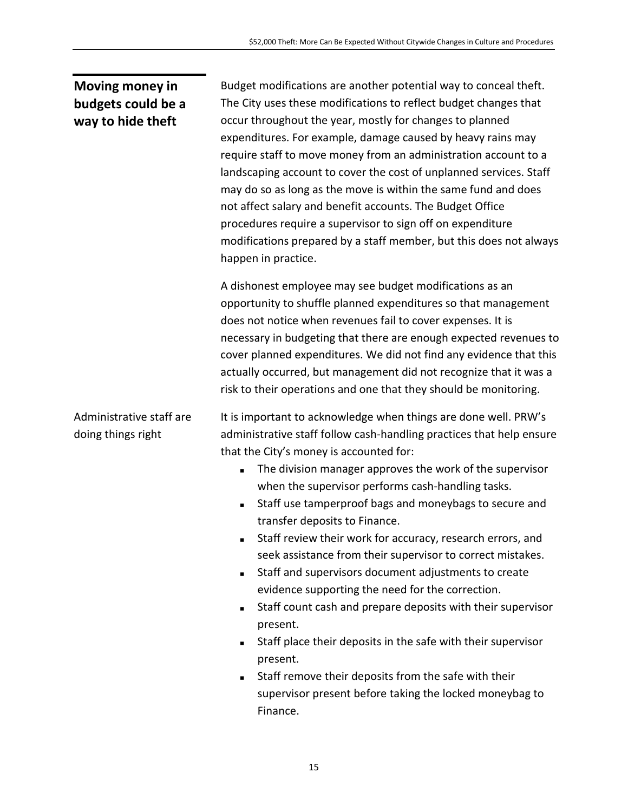#### **Moving money in budgets could be a way to hide theft**

Administrative staff are

doing things right

Budget modifications are another potential way to conceal theft. The City uses these modifications to reflect budget changes that occur throughout the year, mostly for changes to planned expenditures. For example, damage caused by heavy rains may require staff to move money from an administration account to a landscaping account to cover the cost of unplanned services. Staff may do so as long as the move is within the same fund and does not affect salary and benefit accounts. The Budget Office procedures require a supervisor to sign off on expenditure modifications prepared by a staff member, but this does not always happen in practice.

A dishonest employee may see budget modifications as an opportunity to shuffle planned expenditures so that management does not notice when revenues fail to cover expenses. It is necessary in budgeting that there are enough expected revenues to cover planned expenditures. We did not find any evidence that this actually occurred, but management did not recognize that it was a risk to their operations and one that they should be monitoring.

It is important to acknowledge when things are done well. PRW's administrative staff follow cash-handling practices that help ensure that the City's money is accounted for:

- The division manager approves the work of the supervisor when the supervisor performs cash-handling tasks.
- Staff use tamperproof bags and moneybags to secure and transfer deposits to Finance.
- Staff review their work for accuracy, research errors, and seek assistance from their supervisor to correct mistakes.
- Staff and supervisors document adjustments to create evidence supporting the need for the correction.
- Staff count cash and prepare deposits with their supervisor present.
- Staff place their deposits in the safe with their supervisor present.
- Staff remove their deposits from the safe with their supervisor present before taking the locked moneybag to Finance.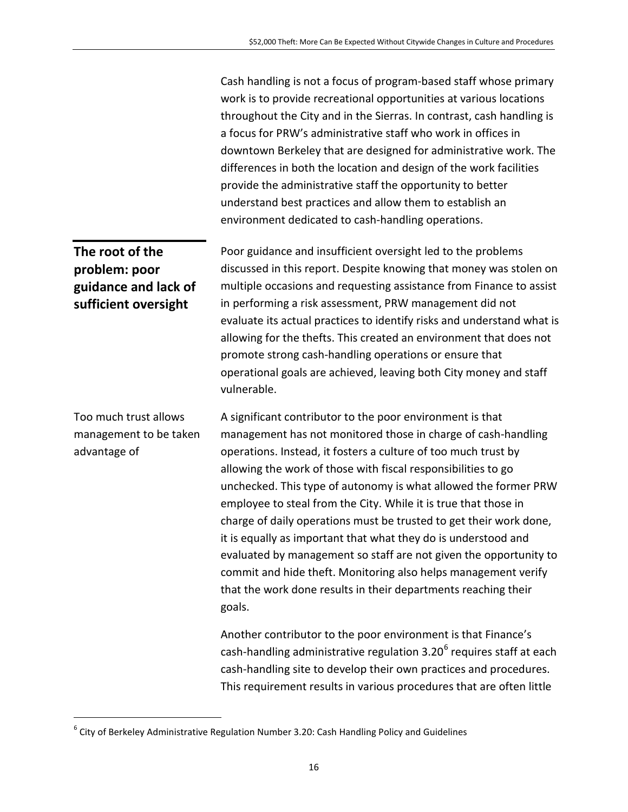Cash handling is not a focus of program-based staff whose primary work is to provide recreational opportunities at various locations throughout the City and in the Sierras. In contrast, cash handling is a focus for PRW's administrative staff who work in offices in downtown Berkeley that are designed for administrative work. The differences in both the location and design of the work facilities provide the administrative staff the opportunity to better understand best practices and allow them to establish an environment dedicated to cash-handling operations.

**The root of the sufficient oversight** Poor guidance and insufficient oversight led to the problems discussed in this report. Despite knowing that money was stolen on multiple occasions and requesting assistance from Finance to assist in performing a risk assessment, PRW management did not evaluate its actual practices to identify risks and understand what is allowing for the thefts. This created an environment that does not promote strong cash-handling operations or ensure that operational goals are achieved, leaving both City money and staff vulnerable. A significant contributor to the poor environment is that

management has not monitored those in charge of cash-handling operations. Instead, it fosters a culture of too much trust by allowing the work of those with fiscal responsibilities to go unchecked. This type of autonomy is what allowed the former PRW employee to steal from the City. While it is true that those in charge of daily operations must be trusted to get their work done, it is equally as important that what they do is understood and evaluated by management so staff are not given the opportunity to commit and hide theft. Monitoring also helps management verify that the work done results in their departments reaching their goals.

Another contributor to the poor environment is that Finance's cash-handling administrative regulation  $3.20^6$  $3.20^6$  requires staff at each cash-handling site to develop their own practices and procedures. This requirement results in various procedures that are often little

# **problem: poor guidance and lack of**

Too much trust allows management to be taken advantage of

<span id="page-19-0"></span> $6$  City of Berkeley Administrative Regulation Number 3.20: Cash Handling Policy and Guidelines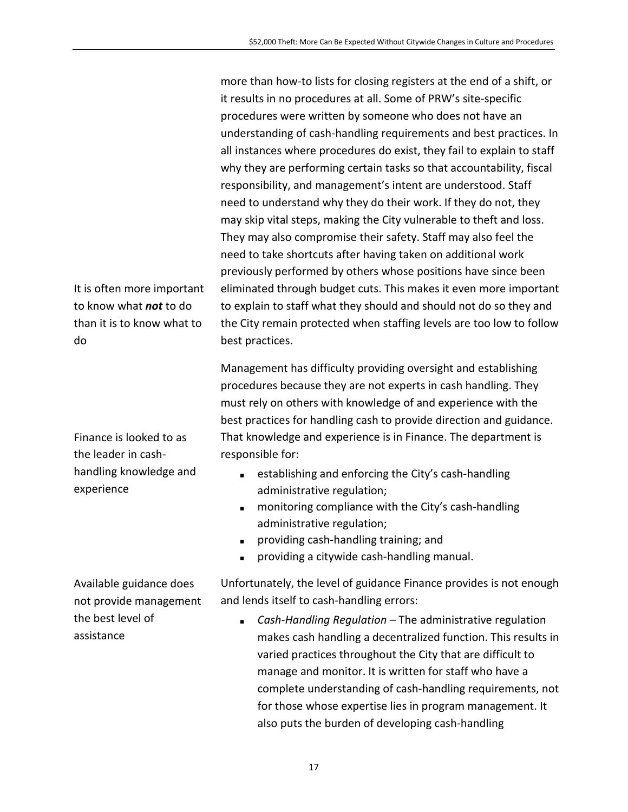more than how-to lists for closing registers at the end of a shift, or it results in no procedures at all. Some of PRW's site-specific procedures were written by someone who does not have an understanding of cash-handling requirements and best practices. In all instances where procedures do exist, they fail to explain to staff why they are performing certain tasks so that accountability, fiscal responsibility, and management's intent are understood. Staff need to understand why they do their work. If they do not, they may skip vital steps, making the City vulnerable to theft and loss. They may also compromise their safety. Staff may also feel the need to take shortcuts after having taken on additional work previously performed by others whose positions have since been eliminated through budget cuts. This makes it even more important to explain to staff what they should and should not do so they and the City remain protected when staffing levels are too low to follow best practices.

Management has difficulty providing oversight and establishing procedures because they are not experts in cash handling. They must rely on others with knowledge of and experience with the best practices for handling cash to provide direction and guidance. That knowledge and experience is in Finance. The department is responsible for:

- establishing and enforcing the City's cash-handling administrative regulation;
- **nabilihary** monitoring compliance with the City's cash-handling administrative regulation;
- **providing cash-handling training; and**
- providing a citywide cash-handling manual.

Unfortunately, the level of guidance Finance provides is not enough and lends itself to cash-handling errors:

 *Cash-Handling Regulation* – The administrative regulation makes cash handling a decentralized function. This results in varied practices throughout the City that are difficult to manage and monitor. It is written for staff who have a complete understanding of cash-handling requirements, not for those whose expertise lies in program management. It also puts the burden of developing cash-handling

It is often more important to know what *not* to do than it is to know what to do

Finance is looked to as the leader in cashhandling knowledge and experience

Available guidance does not provide management the best level of assistance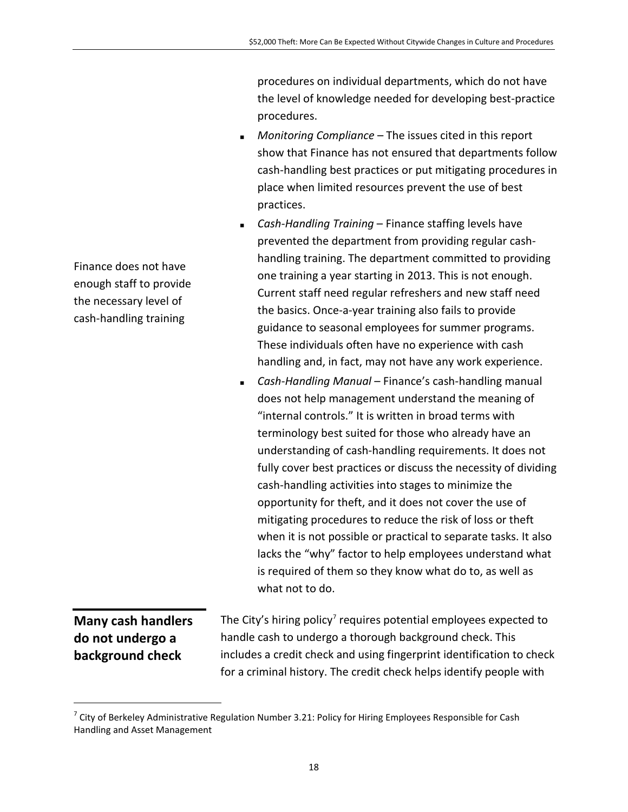procedures on individual departments, which do not have the level of knowledge needed for developing best-practice procedures.

- *Monitoring Compliance* The issues cited in this report show that Finance has not ensured that departments follow cash-handling best practices or put mitigating procedures in place when limited resources prevent the use of best practices.
- *Cash-Handling Training* Finance staffing levels have prevented the department from providing regular cashhandling training. The department committed to providing one training a year starting in 2013. This is not enough. Current staff need regular refreshers and new staff need the basics. Once-a-year training also fails to provide guidance to seasonal employees for summer programs. These individuals often have no experience with cash handling and, in fact, may not have any work experience.
- *Cash-Handling Manual* Finance's cash-handling manual does not help management understand the meaning of "internal controls." It is written in broad terms with terminology best suited for those who already have an understanding of cash-handling requirements. It does not fully cover best practices or discuss the necessity of dividing cash-handling activities into stages to minimize the opportunity for theft, and it does not cover the use of mitigating procedures to reduce the risk of loss or theft when it is not possible or practical to separate tasks. It also lacks the "why" factor to help employees understand what is required of them so they know what do to, as well as what not to do.

**Many cash handlers do not undergo a background check** The City's hiring policy<sup>[7](#page-19-0)</sup> requires potential employees expected to handle cash to undergo a thorough background check. This includes a credit check and using fingerprint identification to check for a criminal history. The credit check helps identify people with

Finance does not have enough staff to provide the necessary level of cash-handling training

<span id="page-21-0"></span> $^7$  City of Berkeley Administrative Regulation Number 3.21: Policy for Hiring Employees Responsible for Cash Handling and Asset Management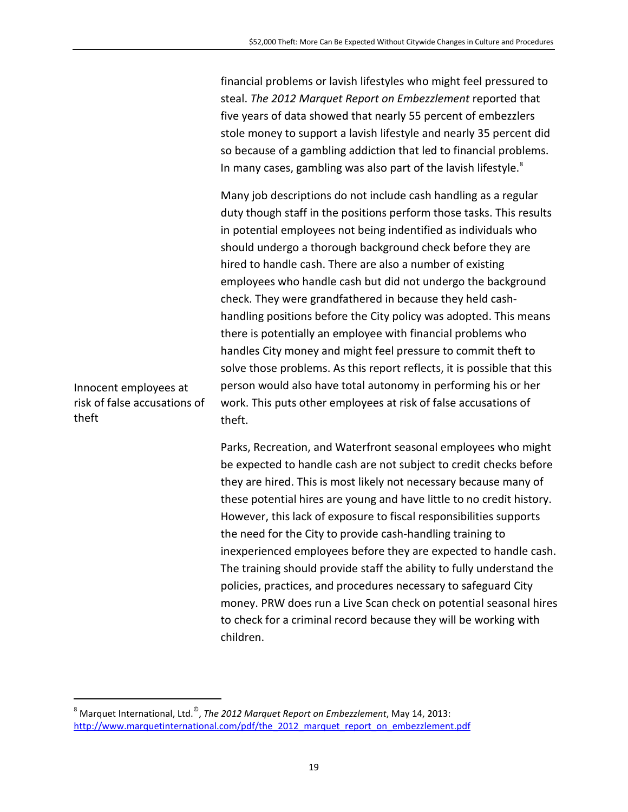financial problems or lavish lifestyles who might feel pressured to steal. *The 2012 Marquet Report on Embezzlement* reported that five years of data showed that nearly 55 percent of embezzlers stole money to support a lavish lifestyle and nearly 35 percent did so because of a gambling addiction that led to financial problems. In many cases, gambling was also part of the lavish lifestyle.<sup>[8](#page-21-0)</sup>

Many job descriptions do not include cash handling as a regular duty though staff in the positions perform those tasks. This results in potential employees not being indentified as individuals who should undergo a thorough background check before they are hired to handle cash. There are also a number of existing employees who handle cash but did not undergo the background check. They were grandfathered in because they held cashhandling positions before the City policy was adopted. This means there is potentially an employee with financial problems who handles City money and might feel pressure to commit theft to solve those problems. As this report reflects, it is possible that this person would also have total autonomy in performing his or her work. This puts other employees at risk of false accusations of theft.

Parks, Recreation, and Waterfront seasonal employees who might be expected to handle cash are not subject to credit checks before they are hired. This is most likely not necessary because many of these potential hires are young and have little to no credit history. However, this lack of exposure to fiscal responsibilities supports the need for the City to provide cash-handling training to inexperienced employees before they are expected to handle cash. The training should provide staff the ability to fully understand the policies, practices, and procedures necessary to safeguard City money. PRW does run a Live Scan check on potential seasonal hires to check for a criminal record because they will be working with children.

Innocent employees at risk of false accusations of theft

<span id="page-22-0"></span> <sup>8</sup> Marquet International, Ltd.©, *The 2012 Marquet Report on Embezzlement*, May 14, 2013: [http://www.marquetinternational.com/pdf/the\\_2012\\_marquet\\_report\\_on\\_embezzlement.pdf](http://www.marquetinternational.com/pdf/the_2012_marquet_report_on_embezzlement.pdf)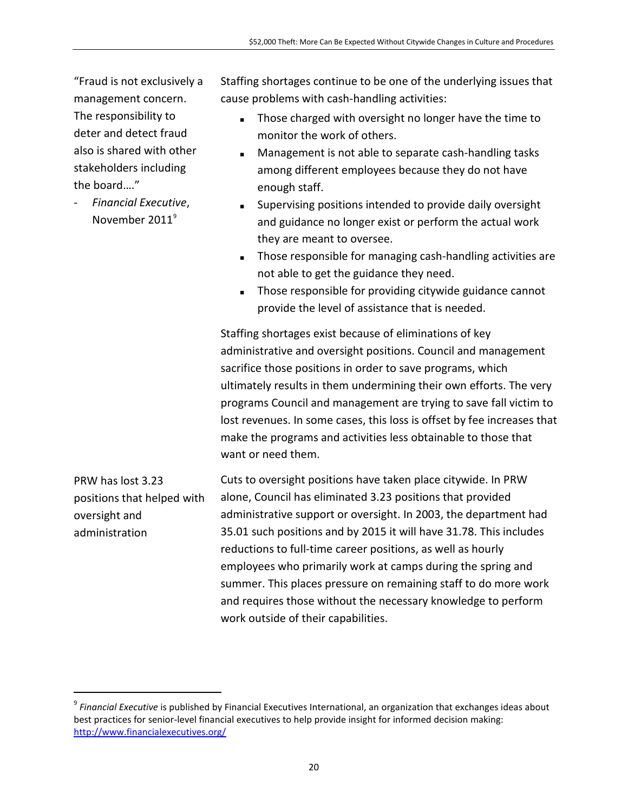"Fraud is not exclusively a management concern. The responsibility to deter and detect fraud also is shared with other stakeholders including the board…."

- *Financial Executive*, November 2011<sup>[9](#page-22-0)</sup>

Staffing shortages continue to be one of the underlying issues that cause problems with cash-handling activities:

- Those charged with oversight no longer have the time to monitor the work of others.
- **Management is not able to separate cash-handling tasks** among different employees because they do not have enough staff.
- Supervising positions intended to provide daily oversight and guidance no longer exist or perform the actual work they are meant to oversee.
- **Those responsible for managing cash-handling activities are** not able to get the guidance they need.
- Those responsible for providing citywide guidance cannot provide the level of assistance that is needed.

Staffing shortages exist because of eliminations of key administrative and oversight positions. Council and management sacrifice those positions in order to save programs, which ultimately results in them undermining their own efforts. The very programs Council and management are trying to save fall victim to lost revenues. In some cases, this loss is offset by fee increases that make the programs and activities less obtainable to those that want or need them.

PRW has lost 3.23 positions that helped with oversight and administration

Cuts to oversight positions have taken place citywide. In PRW alone, Council has eliminated 3.23 positions that provided administrative support or oversight. In 2003, the department had 35.01 such positions and by 2015 it will have 31.78. This includes reductions to full-time career positions, as well as hourly employees who primarily work at camps during the spring and summer. This places pressure on remaining staff to do more work and requires those without the necessary knowledge to perform work outside of their capabilities.

<span id="page-23-0"></span> <sup>9</sup> *Financial Executive* is published by Financial Executives International, an organization that exchanges ideas about best practices for senior-level financial executives to help provide insight for informed decision making: <http://www.financialexecutives.org/>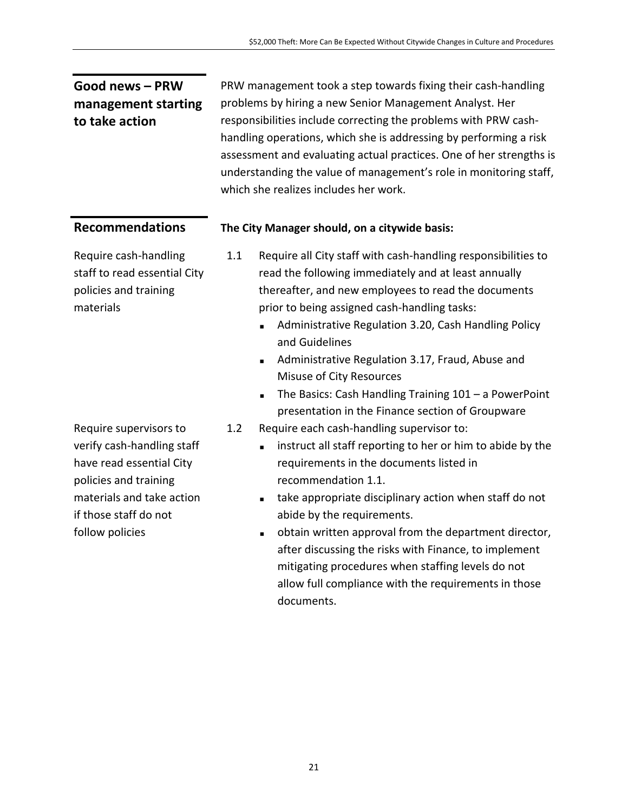#### **Good news – PRW management starting to take action**

PRW management took a step towards fixing their cash-handling problems by hiring a new Senior Management Analyst. Her responsibilities include correcting the problems with PRW cashhandling operations, which she is addressing by performing a risk assessment and evaluating actual practices. One of her strengths is understanding the value of management's role in monitoring staff, which she realizes includes her work.

#### **Recommendations The City Manager should, on a citywide basis:**

Require cash-handling staff to read essential City policies and training materials

Require supervisors to verify cash-handling staff have read essential City policies and training materials and take action if those staff do not follow policies

- 1.1 Require all City staff with cash-handling responsibilities to read the following immediately and at least annually thereafter, and new employees to read the documents prior to being assigned cash-handling tasks:
	- Administrative Regulation 3.20, Cash Handling Policy and Guidelines
	- **Administrative Regulation 3.17, Fraud, Abuse and** Misuse of City Resources
	- $\blacksquare$  The Basics: Cash Handling Training 101 a PowerPoint presentation in the Finance section of Groupware
- 1.2 Require each cash-handling supervisor to:
	- **EXECUTE:** instruct all staff reporting to her or him to abide by the requirements in the documents listed in recommendation 1.1.
	- take appropriate disciplinary action when staff do not abide by the requirements.
	- obtain written approval from the department director, after discussing the risks with Finance, to implement mitigating procedures when staffing levels do not allow full compliance with the requirements in those documents.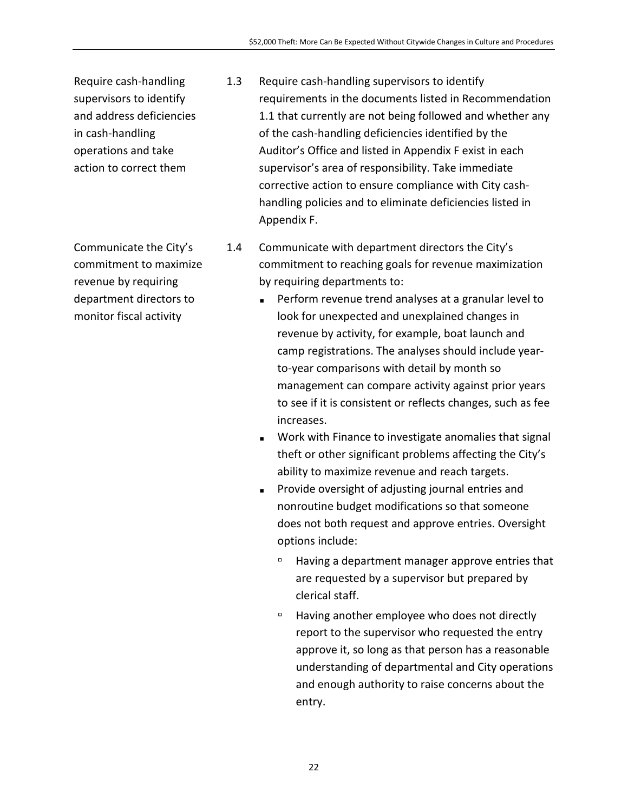Require cash-handling supervisors to identify and address deficiencies in cash-handling operations and take action to correct them

Communicate the City's commitment to maximize revenue by requiring department directors to monitor fiscal activity

- 1.3 Require cash-handling supervisors to identify requirements in the documents listed in Recommendation 1.1 that currently are not being followed and whether any of the cash-handling deficiencies identified by the Auditor's Office and listed in Appendix F exist in each supervisor's area of responsibility. Take immediate corrective action to ensure compliance with City cashhandling policies and to eliminate deficiencies listed in Appendix F.
- 1.4 Communicate with department directors the City's commitment to reaching goals for revenue maximization by requiring departments to:
	- **Perform revenue trend analyses at a granular level to** look for unexpected and unexplained changes in revenue by activity, for example, boat launch and camp registrations. The analyses should include yearto-year comparisons with detail by month so management can compare activity against prior years to see if it is consistent or reflects changes, such as fee increases.
	- **Work with Finance to investigate anomalies that signal** theft or other significant problems affecting the City's ability to maximize revenue and reach targets.
	- **Provide oversight of adjusting journal entries and** nonroutine budget modifications so that someone does not both request and approve entries. Oversight options include:
		- Having a department manager approve entries that are requested by a supervisor but prepared by clerical staff.
		- Having another employee who does not directly report to the supervisor who requested the entry approve it, so long as that person has a reasonable understanding of departmental and City operations and enough authority to raise concerns about the entry.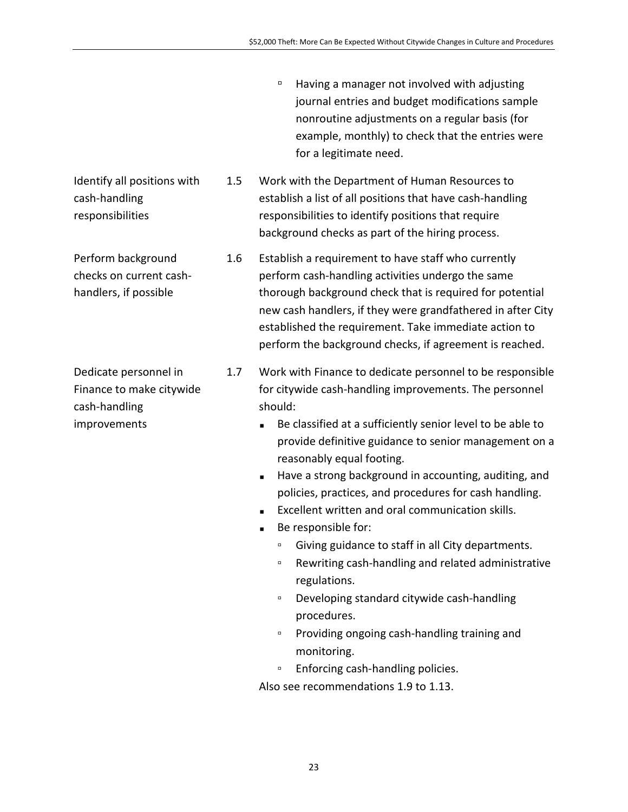- Having a manager not involved with adjusting journal entries and budget modifications sample nonroutine adjustments on a regular basis (for example, monthly) to check that the entries were for a legitimate need.
- 1.5 Work with the Department of Human Resources to establish a list of all positions that have cash-handling responsibilities to identify positions that require background checks as part of the hiring process.

1.6 Establish a requirement to have staff who currently perform cash-handling activities undergo the same thorough background check that is required for potential new cash handlers, if they were grandfathered in after City established the requirement. Take immediate action to perform the background checks, if agreement is reached.

- 1.7 Work with Finance to dedicate personnel to be responsible for citywide cash-handling improvements. The personnel should:
	- Be classified at a sufficiently senior level to be able to provide definitive guidance to senior management on a reasonably equal footing.
	- Have a strong background in accounting, auditing, and policies, practices, and procedures for cash handling.
	- Excellent written and oral communication skills.
	- Be responsible for:
		- Giving guidance to staff in all City departments.
		- Rewriting cash-handling and related administrative regulations.
		- Developing standard citywide cash-handling procedures.
		- Providing ongoing cash-handling training and monitoring.
		- Enforcing cash-handling policies.

Also see recommendations 1.9 to 1.13.

Identify all positions with cash-handling responsibilities

Perform background checks on current cashhandlers, if possible

Dedicate personnel in Finance to make citywide cash-handling improvements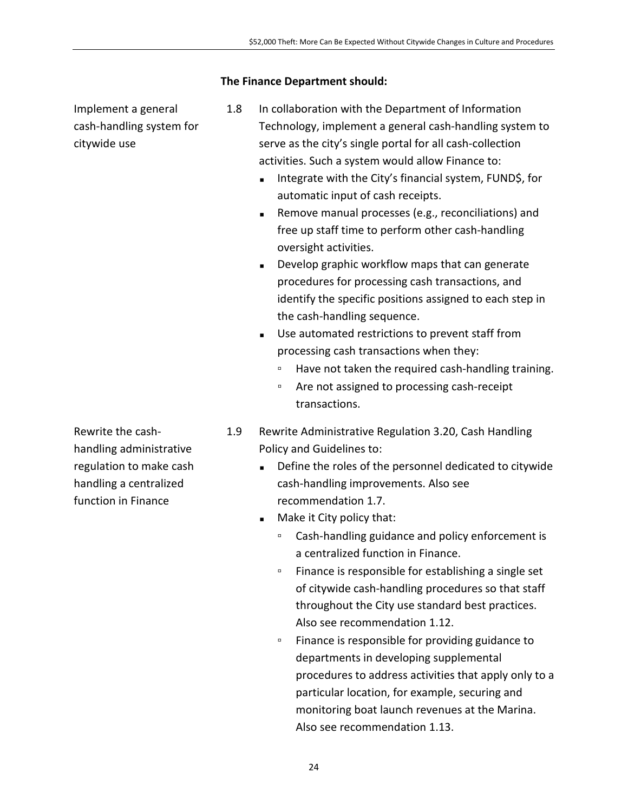#### **The Finance Department should:**

Implement a general cash-handling system for citywide use

- 1.8 In collaboration with the Department of Information Technology, implement a general cash-handling system to serve as the city's single portal for all cash-collection activities. Such a system would allow Finance to:
	- Integrate with the City's financial system, FUND\$, for automatic input of cash receipts.
	- **Remove manual processes (e.g., reconciliations) and** free up staff time to perform other cash-handling oversight activities.
	- Develop graphic workflow maps that can generate procedures for processing cash transactions, and identify the specific positions assigned to each step in the cash-handling sequence.
	- Use automated restrictions to prevent staff from processing cash transactions when they:
		- Have not taken the required cash-handling training.
		- Are not assigned to processing cash-receipt transactions.
- 1.9 Rewrite Administrative Regulation 3.20, Cash Handling Policy and Guidelines to:
	- Define the roles of the personnel dedicated to citywide cash-handling improvements. Also see recommendation 1.7.
	- **Make it City policy that:** 
		- Cash-handling guidance and policy enforcement is a centralized function in Finance.
		- Finance is responsible for establishing a single set of citywide cash-handling procedures so that staff throughout the City use standard best practices. Also see recommendation 1.12.
		- Finance is responsible for providing guidance to departments in developing supplemental procedures to address activities that apply only to a particular location, for example, securing and monitoring boat launch revenues at the Marina. Also see recommendation 1.13.

Rewrite the cashhandling administrative regulation to make cash handling a centralized function in Finance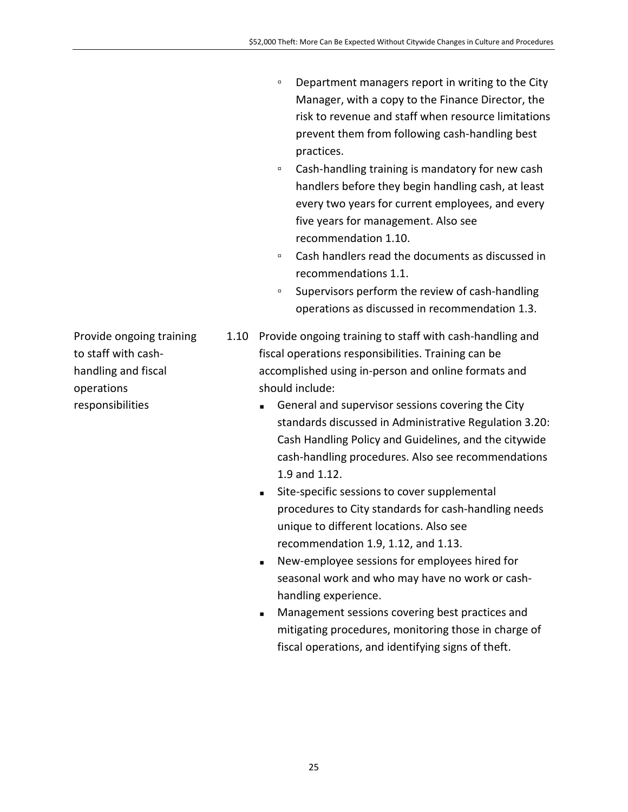- Department managers report in writing to the City Manager, with a copy to the Finance Director, the risk to revenue and staff when resource limitations prevent them from following cash-handling best practices.
- Cash-handling training is mandatory for new cash handlers before they begin handling cash, at least every two years for current employees, and every five years for management. Also see recommendation 1.10.
- Cash handlers read the documents as discussed in recommendations 1.1.
- Supervisors perform the review of cash-handling operations as discussed in recommendation 1.3.
- 1.10 Provide ongoing training to staff with cash-handling and fiscal operations responsibilities. Training can be accomplished using in-person and online formats and should include:
	- General and supervisor sessions covering the City standards discussed in Administrative Regulation 3.20: Cash Handling Policy and Guidelines, and the citywide cash-handling procedures. Also see recommendations 1.9 and 1.12.
	- Site-specific sessions to cover supplemental procedures to City standards for cash-handling needs unique to different locations. Also see recommendation 1.9, 1.12, and 1.13.
	- New-employee sessions for employees hired for seasonal work and who may have no work or cashhandling experience.
	- **Management sessions covering best practices and** mitigating procedures, monitoring those in charge of fiscal operations, and identifying signs of theft.

Provide ongoing training to staff with cashhandling and fiscal operations responsibilities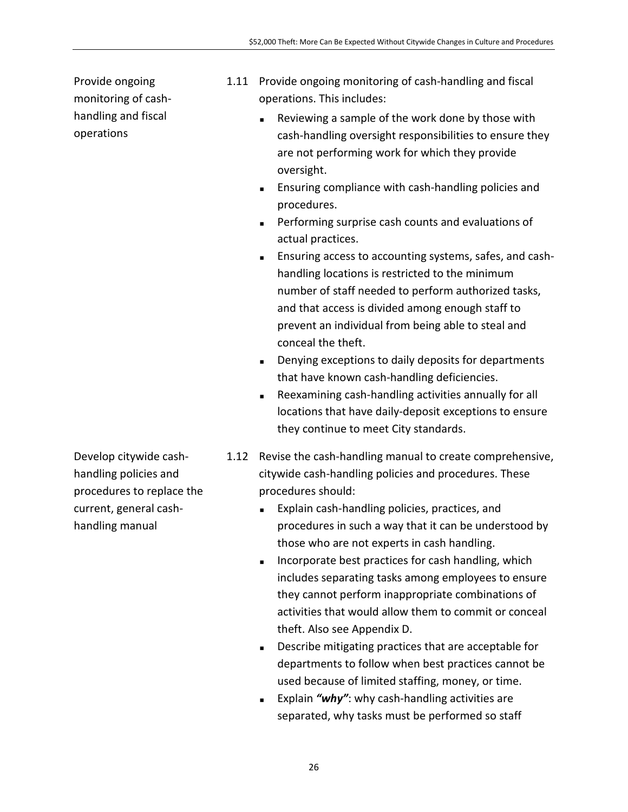Provide ongoing monitoring of cashhandling and fiscal operations

- 1.11 Provide ongoing monitoring of cash-handling and fiscal operations. This includes:
	- **Reviewing a sample of the work done by those with** cash-handling oversight responsibilities to ensure they are not performing work for which they provide oversight.
	- **Ensuring compliance with cash-handling policies and** procedures.
	- **Performing surprise cash counts and evaluations of** actual practices.
	- Ensuring access to accounting systems, safes, and cashhandling locations is restricted to the minimum number of staff needed to perform authorized tasks, and that access is divided among enough staff to prevent an individual from being able to steal and conceal the theft.
	- Denying exceptions to daily deposits for departments that have known cash-handling deficiencies.
	- Reexamining cash-handling activities annually for all locations that have daily-deposit exceptions to ensure they continue to meet City standards.
- 1.12 Revise the cash-handling manual to create comprehensive, citywide cash-handling policies and procedures. These procedures should:
	- Explain cash-handling policies, practices, and procedures in such a way that it can be understood by those who are not experts in cash handling.
	- Incorporate best practices for cash handling, which includes separating tasks among employees to ensure they cannot perform inappropriate combinations of activities that would allow them to commit or conceal theft. Also see Appendix D.
	- Describe mitigating practices that are acceptable for departments to follow when best practices cannot be used because of limited staffing, money, or time.
	- Explain *"why"*: why cash-handling activities are separated, why tasks must be performed so staff

Develop citywide cashhandling policies and procedures to replace the current, general cashhandling manual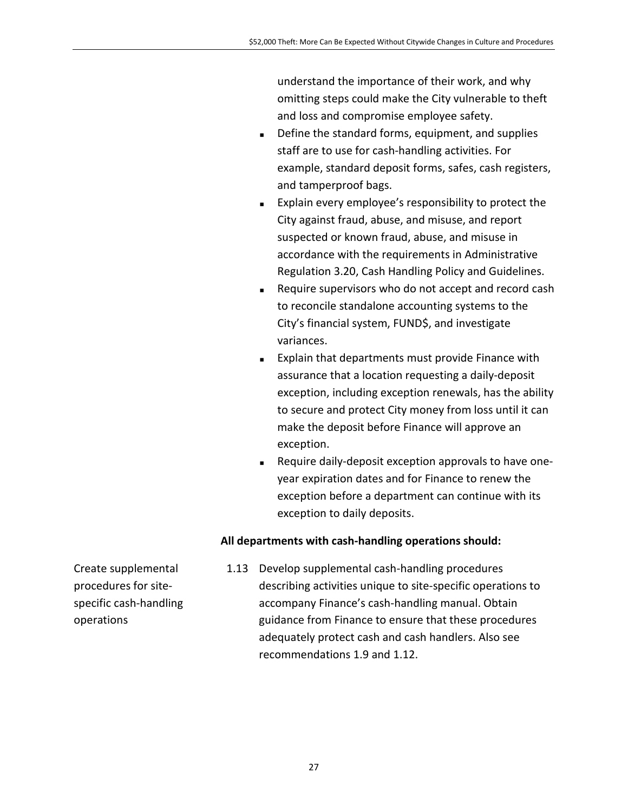understand the importance of their work, and why omitting steps could make the City vulnerable to theft and loss and compromise employee safety.

- Define the standard forms, equipment, and supplies staff are to use for cash-handling activities. For example, standard deposit forms, safes, cash registers, and tamperproof bags.
- **Explain every employee's responsibility to protect the** City against fraud, abuse, and misuse, and report suspected or known fraud, abuse, and misuse in accordance with the requirements in Administrative Regulation 3.20, Cash Handling Policy and Guidelines.
- Require supervisors who do not accept and record cash to reconcile standalone accounting systems to the City's financial system, FUND\$, and investigate variances.
- **Explain that departments must provide Finance with** assurance that a location requesting a daily-deposit exception, including exception renewals, has the ability to secure and protect City money from loss until it can make the deposit before Finance will approve an exception.
- Require daily-deposit exception approvals to have oneyear expiration dates and for Finance to renew the exception before a department can continue with its exception to daily deposits.

#### **All departments with cash-handling operations should:**

Create supplemental procedures for sitespecific cash-handling operations

1.13 Develop supplemental cash-handling procedures describing activities unique to site-specific operations to accompany Finance's cash-handling manual. Obtain guidance from Finance to ensure that these procedures adequately protect cash and cash handlers. Also see recommendations 1.9 and 1.12.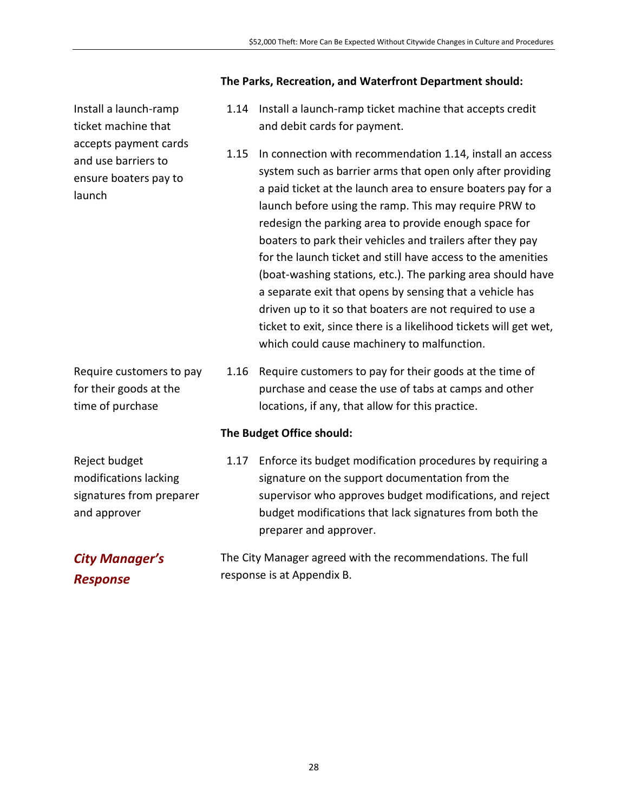#### **The Parks, Recreation, and Waterfront Department should:**

- 1.14 Install a launch-ramp ticket machine that accepts credit and debit cards for payment.
- 1.15 In connection with recommendation 1.14, install an access system such as barrier arms that open only after providing a paid ticket at the launch area to ensure boaters pay for a launch before using the ramp. This may require PRW to redesign the parking area to provide enough space for boaters to park their vehicles and trailers after they pay for the launch ticket and still have access to the amenities (boat-washing stations, etc.). The parking area should have a separate exit that opens by sensing that a vehicle has driven up to it so that boaters are not required to use a ticket to exit, since there is a likelihood tickets will get wet, which could cause machinery to malfunction.
- 1.16 Require customers to pay for their goods at the time of purchase and cease the use of tabs at camps and other locations, if any, that allow for this practice.

#### **The Budget Office should:**

1.17 Enforce its budget modification procedures by requiring a signature on the support documentation from the supervisor who approves budget modifications, and reject budget modifications that lack signatures from both the preparer and approver.

> The City Manager agreed with the recommendations. The full response is at Appendix B.

Install a launch-ramp ticket machine that accepts payment cards and use barriers to ensure boaters pay to launch

Require customers to pay for their goods at the time of purchase

Reject budget modifications lacking signatures from preparer and approver

*City Manager's Response*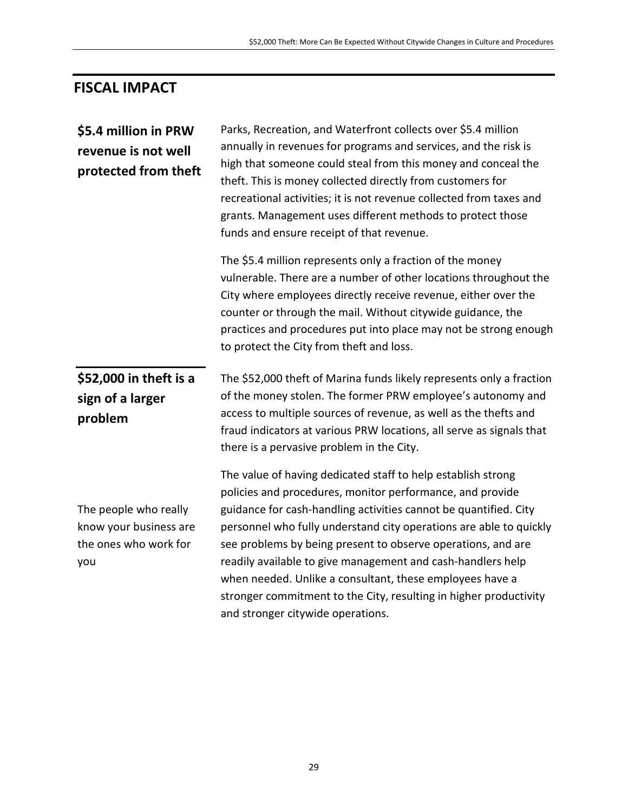## **FISCAL IMPACT**

| \$5.4 million in PRW<br>revenue is not well<br>protected from theft             | Parks, Recreation, and Waterfront collects over \$5.4 million<br>annually in revenues for programs and services, and the risk is<br>high that someone could steal from this money and conceal the<br>theft. This is money collected directly from customers for<br>recreational activities; it is not revenue collected from taxes and<br>grants. Management uses different methods to protect those<br>funds and ensure receipt of that revenue.                                                                                                                        |
|---------------------------------------------------------------------------------|--------------------------------------------------------------------------------------------------------------------------------------------------------------------------------------------------------------------------------------------------------------------------------------------------------------------------------------------------------------------------------------------------------------------------------------------------------------------------------------------------------------------------------------------------------------------------|
|                                                                                 | The \$5.4 million represents only a fraction of the money<br>vulnerable. There are a number of other locations throughout the<br>City where employees directly receive revenue, either over the<br>counter or through the mail. Without citywide guidance, the<br>practices and procedures put into place may not be strong enough<br>to protect the City from theft and loss.                                                                                                                                                                                           |
| \$52,000 in theft is a<br>sign of a larger<br>problem                           | The \$52,000 theft of Marina funds likely represents only a fraction<br>of the money stolen. The former PRW employee's autonomy and<br>access to multiple sources of revenue, as well as the thefts and<br>fraud indicators at various PRW locations, all serve as signals that<br>there is a pervasive problem in the City.                                                                                                                                                                                                                                             |
| The people who really<br>know your business are<br>the ones who work for<br>you | The value of having dedicated staff to help establish strong<br>policies and procedures, monitor performance, and provide<br>guidance for cash-handling activities cannot be quantified. City<br>personnel who fully understand city operations are able to quickly<br>see problems by being present to observe operations, and are<br>readily available to give management and cash-handlers help<br>when needed. Unlike a consultant, these employees have a<br>stronger commitment to the City, resulting in higher productivity<br>and stronger citywide operations. |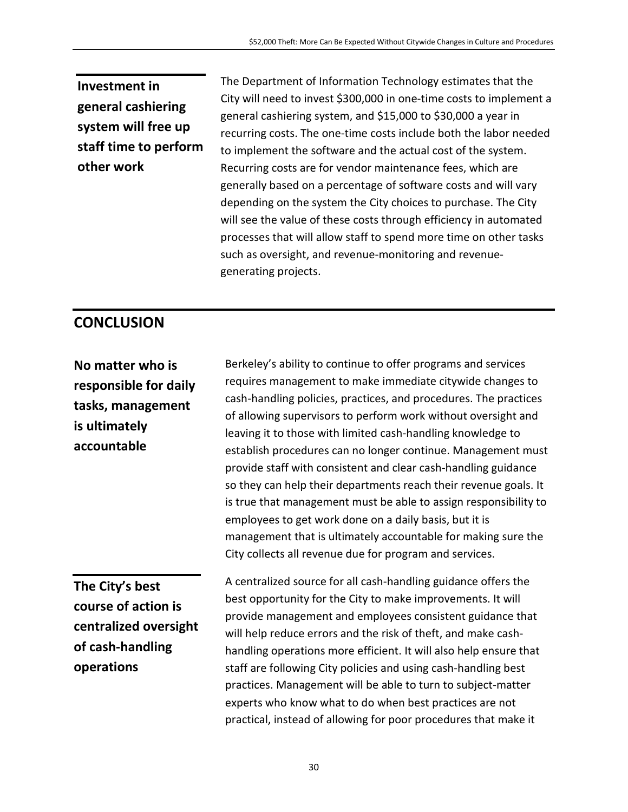**Investment in general cashiering system will free up staff time to perform other work**

The Department of Information Technology estimates that the City will need to invest \$300,000 in one-time costs to implement a general cashiering system, and \$15,000 to \$30,000 a year in recurring costs. The one-time costs include both the labor needed to implement the software and the actual cost of the system. Recurring costs are for vendor maintenance fees, which are generally based on a percentage of software costs and will vary depending on the system the City choices to purchase. The City will see the value of these costs through efficiency in automated processes that will allow staff to spend more time on other tasks such as oversight, and revenue-monitoring and revenuegenerating projects.

### **CONCLUSION**

**No matter who is responsible for daily tasks, management is ultimately accountable**

Berkeley's ability to continue to offer programs and services requires management to make immediate citywide changes to cash-handling policies, practices, and procedures. The practices of allowing supervisors to perform work without oversight and leaving it to those with limited cash-handling knowledge to establish procedures can no longer continue. Management must provide staff with consistent and clear cash-handling guidance so they can help their departments reach their revenue goals. It is true that management must be able to assign responsibility to employees to get work done on a daily basis, but it is management that is ultimately accountable for making sure the City collects all revenue due for program and services.

**The City's best course of action is centralized oversight of cash-handling operations**

A centralized source for all cash-handling guidance offers the best opportunity for the City to make improvements. It will provide management and employees consistent guidance that will help reduce errors and the risk of theft, and make cashhandling operations more efficient. It will also help ensure that staff are following City policies and using cash-handling best practices. Management will be able to turn to subject-matter experts who know what to do when best practices are not practical, instead of allowing for poor procedures that make it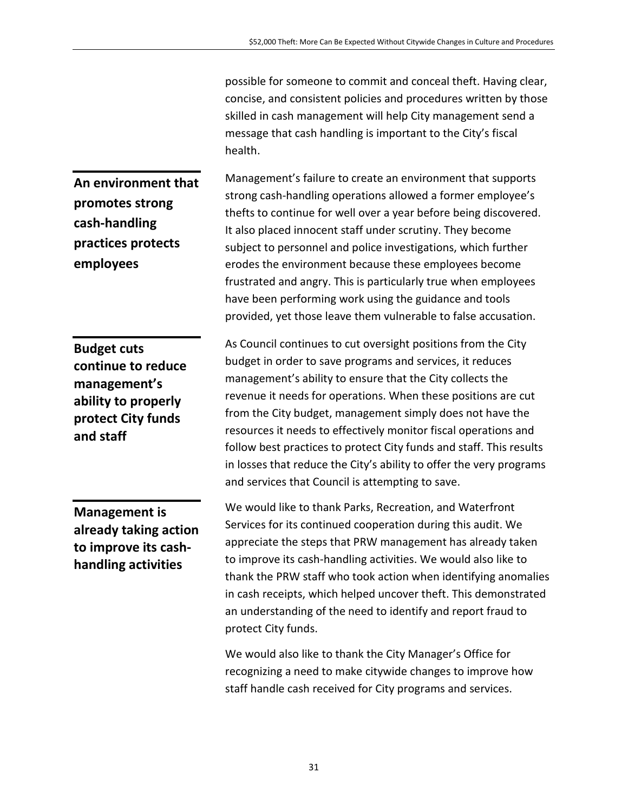possible for someone to commit and conceal theft. Having clear, concise, and consistent policies and procedures written by those skilled in cash management will help City management send a message that cash handling is important to the City's fiscal health.

**An environment that promotes strong cash-handling practices protects employees**

**Budget cuts continue to reduce management's ability to properly protect City funds and staff**

Management's failure to create an environment that supports strong cash-handling operations allowed a former employee's thefts to continue for well over a year before being discovered. It also placed innocent staff under scrutiny. They become subject to personnel and police investigations, which further erodes the environment because these employees become frustrated and angry. This is particularly true when employees have been performing work using the guidance and tools provided, yet those leave them vulnerable to false accusation.

As Council continues to cut oversight positions from the City budget in order to save programs and services, it reduces management's ability to ensure that the City collects the revenue it needs for operations. When these positions are cut from the City budget, management simply does not have the resources it needs to effectively monitor fiscal operations and follow best practices to protect City funds and staff. This results in losses that reduce the City's ability to offer the very programs and services that Council is attempting to save.

**Management is already taking action to improve its cashhandling activities**

We would like to thank Parks, Recreation, and Waterfront Services for its continued cooperation during this audit. We appreciate the steps that PRW management has already taken to improve its cash-handling activities. We would also like to thank the PRW staff who took action when identifying anomalies in cash receipts, which helped uncover theft. This demonstrated an understanding of the need to identify and report fraud to protect City funds.

We would also like to thank the City Manager's Office for recognizing a need to make citywide changes to improve how staff handle cash received for City programs and services.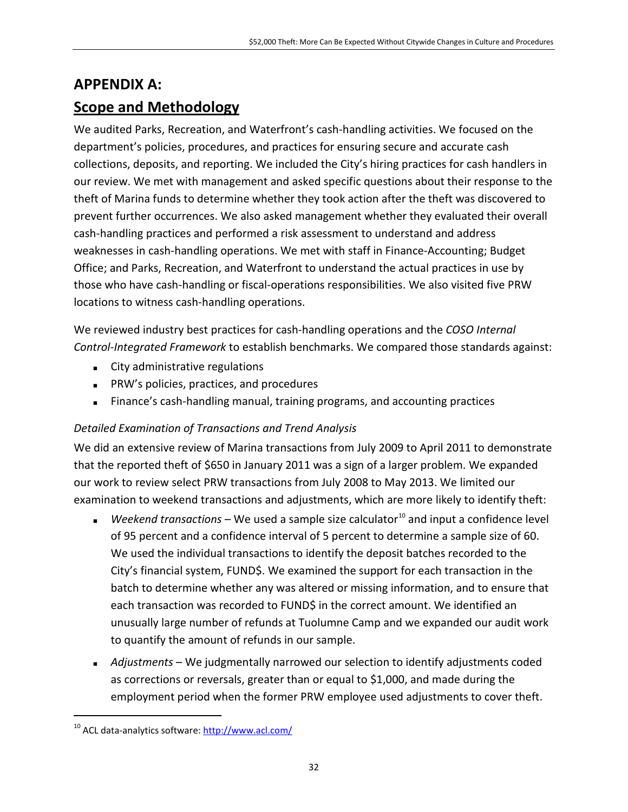#### **APPENDIX A:**

### **Scope and Methodology**

We audited Parks, Recreation, and Waterfront's cash-handling activities. We focused on the department's policies, procedures, and practices for ensuring secure and accurate cash collections, deposits, and reporting. We included the City's hiring practices for cash handlers in our review. We met with management and asked specific questions about their response to the theft of Marina funds to determine whether they took action after the theft was discovered to prevent further occurrences. We also asked management whether they evaluated their overall cash-handling practices and performed a risk assessment to understand and address weaknesses in cash-handling operations. We met with staff in Finance-Accounting; Budget Office; and Parks, Recreation, and Waterfront to understand the actual practices in use by those who have cash-handling or fiscal-operations responsibilities. We also visited five PRW locations to witness cash-handling operations.

We reviewed industry best practices for cash-handling operations and the *COSO Internal Control-Integrated Framework* to establish benchmarks. We compared those standards against:

- **City administrative regulations**
- PRW's policies, practices, and procedures
- Finance's cash-handling manual, training programs, and accounting practices

#### *Detailed Examination of Transactions and Trend Analysis*

We did an extensive review of Marina transactions from July 2009 to April 2011 to demonstrate that the reported theft of \$650 in January 2011 was a sign of a larger problem. We expanded our work to review select PRW transactions from July 2008 to May 2013. We limited our examination to weekend transactions and adjustments, which are more likely to identify theft:

- **Weekend transactions** We used a sample size calculator<sup>[10](#page-23-0)</sup> and input a confidence level of 95 percent and a confidence interval of 5 percent to determine a sample size of 60. We used the individual transactions to identify the deposit batches recorded to the City's financial system, FUND\$. We examined the support for each transaction in the batch to determine whether any was altered or missing information, and to ensure that each transaction was recorded to FUND\$ in the correct amount. We identified an unusually large number of refunds at Tuolumne Camp and we expanded our audit work to quantify the amount of refunds in our sample.
- *Adjustments* We judgmentally narrowed our selection to identify adjustments coded as corrections or reversals, greater than or equal to \$1,000, and made during the employment period when the former PRW employee used adjustments to cover theft.

<sup>&</sup>lt;sup>10</sup> ACL data-analytics software:<http://www.acl.com/>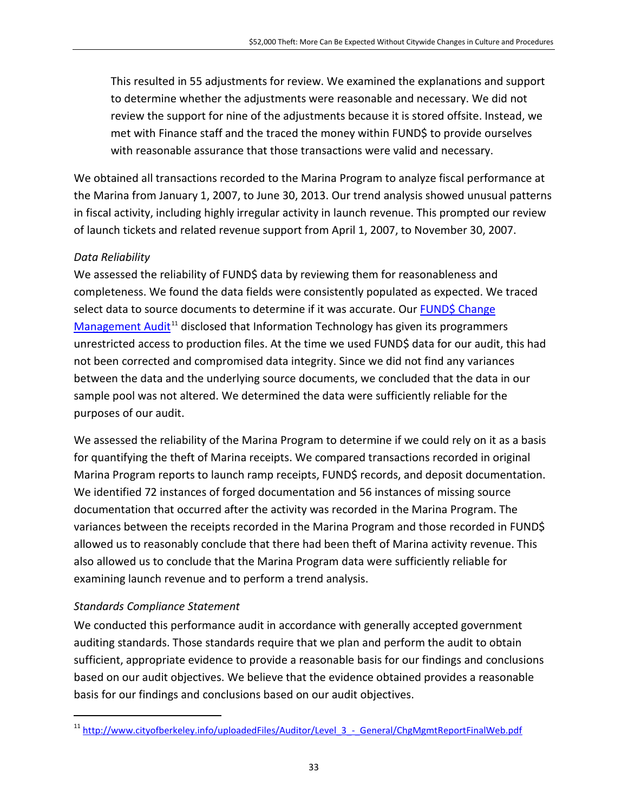This resulted in 55 adjustments for review. We examined the explanations and support to determine whether the adjustments were reasonable and necessary. We did not review the support for nine of the adjustments because it is stored offsite. Instead, we met with Finance staff and the traced the money within FUND\$ to provide ourselves with reasonable assurance that those transactions were valid and necessary.

We obtained all transactions recorded to the Marina Program to analyze fiscal performance at the Marina from January 1, 2007, to June 30, 2013. Our trend analysis showed unusual patterns in fiscal activity, including highly irregular activity in launch revenue. This prompted our review of launch tickets and related revenue support from April 1, 2007, to November 30, 2007.

#### *Data Reliability*

We assessed the reliability of FUND\$ data by reviewing them for reasonableness and completeness. We found the data fields were consistently populated as expected. We traced select data to source documents to determine if it was accurate. Our FUND\$ Change [Management Audit](http://www.cityofberkeley.info/uploadedFiles/Auditor/Level_3_-_General/ChgMgmtReportFinalWeb.pdf)<sup>[11](#page-35-0)</sup> disclosed that Information Technology has given its programmers unrestricted access to production files. At the time we used FUND\$ data for our audit, this had not been corrected and compromised data integrity. Since we did not find any variances between the data and the underlying source documents, we concluded that the data in our sample pool was not altered. We determined the data were sufficiently reliable for the purposes of our audit.

We assessed the reliability of the Marina Program to determine if we could rely on it as a basis for quantifying the theft of Marina receipts. We compared transactions recorded in original Marina Program reports to launch ramp receipts, FUND\$ records, and deposit documentation. We identified 72 instances of forged documentation and 56 instances of missing source documentation that occurred after the activity was recorded in the Marina Program. The variances between the receipts recorded in the Marina Program and those recorded in FUND\$ allowed us to reasonably conclude that there had been theft of Marina activity revenue. This also allowed us to conclude that the Marina Program data were sufficiently reliable for examining launch revenue and to perform a trend analysis.

#### *Standards Compliance Statement*

We conducted this performance audit in accordance with generally accepted government auditing standards. Those standards require that we plan and perform the audit to obtain sufficient, appropriate evidence to provide a reasonable basis for our findings and conclusions based on our audit objectives. We believe that the evidence obtained provides a reasonable basis for our findings and conclusions based on our audit objectives.

<sup>&</sup>lt;sup>11</sup> http://www.cityofberkeley.info/uploadedFiles/Auditor/Level 3 - General/ChgMgmtReportFinalWeb.pdf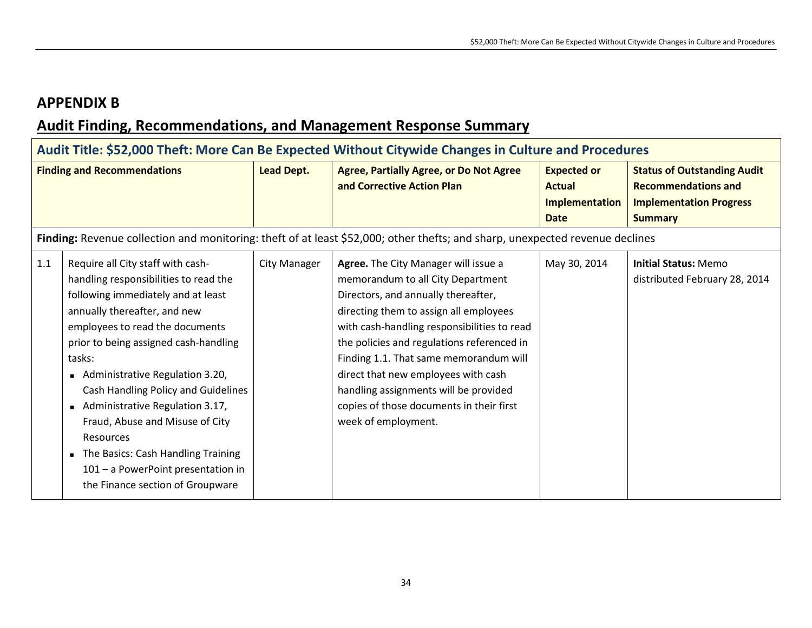### **APPENDIX B**

## **Audit Finding, Recommendations, and Management Response Summary**

|     | Audit Title: \$52,000 Theft: More Can Be Expected Without Citywide Changes in Culture and Procedures                                                                                                                                                                                                                                                                                                                                                                                                                |                     |                                                                                                                                                                                                                                                                                                                                                                                                                                                      |                                                                             |                                                                                                                      |  |  |
|-----|---------------------------------------------------------------------------------------------------------------------------------------------------------------------------------------------------------------------------------------------------------------------------------------------------------------------------------------------------------------------------------------------------------------------------------------------------------------------------------------------------------------------|---------------------|------------------------------------------------------------------------------------------------------------------------------------------------------------------------------------------------------------------------------------------------------------------------------------------------------------------------------------------------------------------------------------------------------------------------------------------------------|-----------------------------------------------------------------------------|----------------------------------------------------------------------------------------------------------------------|--|--|
|     | <b>Finding and Recommendations</b>                                                                                                                                                                                                                                                                                                                                                                                                                                                                                  | <b>Lead Dept.</b>   | <b>Agree, Partially Agree, or Do Not Agree</b><br>and Corrective Action Plan                                                                                                                                                                                                                                                                                                                                                                         | <b>Expected or</b><br><b>Actual</b><br><b>Implementation</b><br><b>Date</b> | <b>Status of Outstanding Audit</b><br><b>Recommendations and</b><br><b>Implementation Progress</b><br><b>Summary</b> |  |  |
|     |                                                                                                                                                                                                                                                                                                                                                                                                                                                                                                                     |                     | Finding: Revenue collection and monitoring: theft of at least \$52,000; other thefts; and sharp, unexpected revenue declines                                                                                                                                                                                                                                                                                                                         |                                                                             |                                                                                                                      |  |  |
| 1.1 | Require all City staff with cash-<br>handling responsibilities to read the<br>following immediately and at least<br>annually thereafter, and new<br>employees to read the documents<br>prior to being assigned cash-handling<br>tasks:<br>Administrative Regulation 3.20,<br>Cash Handling Policy and Guidelines<br>Administrative Regulation 3.17,<br>Fraud, Abuse and Misuse of City<br>Resources<br>The Basics: Cash Handling Training<br>101 - a PowerPoint presentation in<br>the Finance section of Groupware | <b>City Manager</b> | Agree. The City Manager will issue a<br>memorandum to all City Department<br>Directors, and annually thereafter,<br>directing them to assign all employees<br>with cash-handling responsibilities to read<br>the policies and regulations referenced in<br>Finding 1.1. That same memorandum will<br>direct that new employees with cash<br>handling assignments will be provided<br>copies of those documents in their first<br>week of employment. | May 30, 2014                                                                | <b>Initial Status: Memo</b><br>distributed February 28, 2014                                                         |  |  |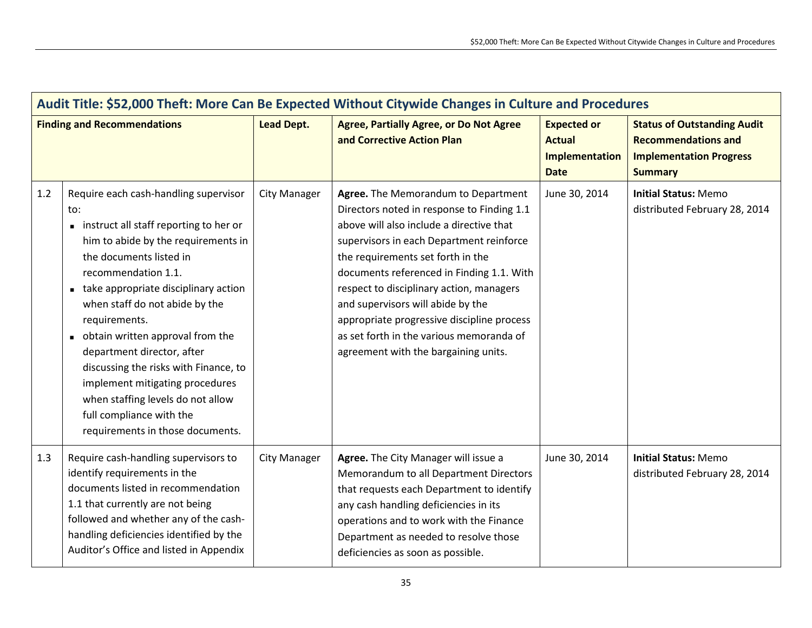| Audit Title: \$52,000 Theft: More Can Be Expected Without Citywide Changes in Culture and Procedures |                                                                                                                                                                                                                                                                                                                                                                                                                                                                                                                               |                     |                                                                                                                                                                                                                                                                                                                                                                                                                                                                                |                                                                      |                                                                                                                      |  |  |
|------------------------------------------------------------------------------------------------------|-------------------------------------------------------------------------------------------------------------------------------------------------------------------------------------------------------------------------------------------------------------------------------------------------------------------------------------------------------------------------------------------------------------------------------------------------------------------------------------------------------------------------------|---------------------|--------------------------------------------------------------------------------------------------------------------------------------------------------------------------------------------------------------------------------------------------------------------------------------------------------------------------------------------------------------------------------------------------------------------------------------------------------------------------------|----------------------------------------------------------------------|----------------------------------------------------------------------------------------------------------------------|--|--|
| <b>Finding and Recommendations</b>                                                                   |                                                                                                                                                                                                                                                                                                                                                                                                                                                                                                                               | <b>Lead Dept.</b>   | <b>Agree, Partially Agree, or Do Not Agree</b><br>and Corrective Action Plan                                                                                                                                                                                                                                                                                                                                                                                                   | <b>Expected or</b><br><b>Actual</b><br>Implementation<br><b>Date</b> | <b>Status of Outstanding Audit</b><br><b>Recommendations and</b><br><b>Implementation Progress</b><br><b>Summary</b> |  |  |
| 1.2                                                                                                  | Require each cash-handling supervisor<br>to:<br>instruct all staff reporting to her or<br>him to abide by the requirements in<br>the documents listed in<br>recommendation 1.1.<br>take appropriate disciplinary action<br>when staff do not abide by the<br>requirements.<br>obtain written approval from the<br>department director, after<br>discussing the risks with Finance, to<br>implement mitigating procedures<br>when staffing levels do not allow<br>full compliance with the<br>requirements in those documents. | <b>City Manager</b> | Agree. The Memorandum to Department<br>Directors noted in response to Finding 1.1<br>above will also include a directive that<br>supervisors in each Department reinforce<br>the requirements set forth in the<br>documents referenced in Finding 1.1. With<br>respect to disciplinary action, managers<br>and supervisors will abide by the<br>appropriate progressive discipline process<br>as set forth in the various memoranda of<br>agreement with the bargaining units. | June 30, 2014                                                        | <b>Initial Status: Memo</b><br>distributed February 28, 2014                                                         |  |  |
| 1.3                                                                                                  | Require cash-handling supervisors to<br>identify requirements in the<br>documents listed in recommendation<br>1.1 that currently are not being<br>followed and whether any of the cash-<br>handling deficiencies identified by the<br>Auditor's Office and listed in Appendix                                                                                                                                                                                                                                                 | City Manager        | Agree. The City Manager will issue a<br>Memorandum to all Department Directors<br>that requests each Department to identify<br>any cash handling deficiencies in its<br>operations and to work with the Finance<br>Department as needed to resolve those<br>deficiencies as soon as possible.                                                                                                                                                                                  | June 30, 2014                                                        | <b>Initial Status: Memo</b><br>distributed February 28, 2014                                                         |  |  |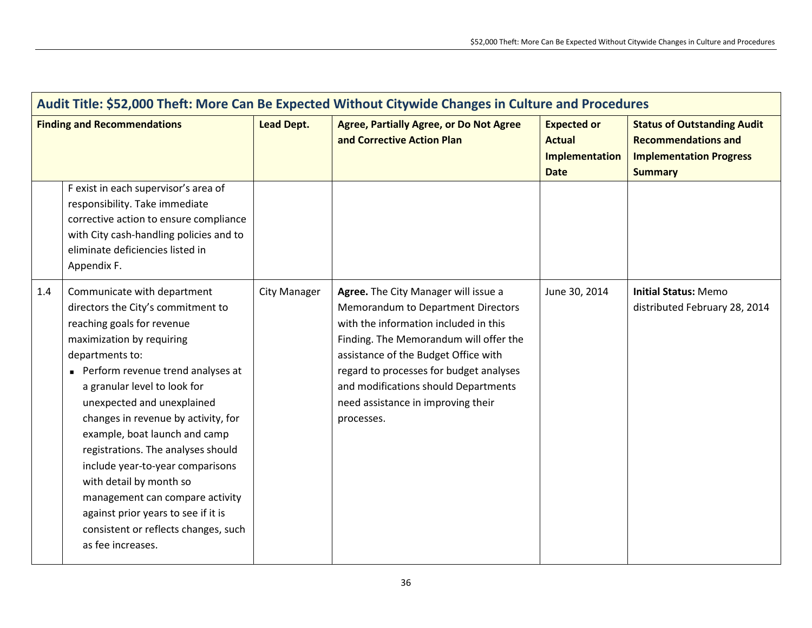| Audit Title: \$52,000 Theft: More Can Be Expected Without Citywide Changes in Culture and Procedures |                                                                                                                                                                                                                                                                                                                                                                                                                                                                                                                                                                        |                     |                                                                                                                                                                                                                                                                                                                                              |                                                                      |                                                                                                                      |  |
|------------------------------------------------------------------------------------------------------|------------------------------------------------------------------------------------------------------------------------------------------------------------------------------------------------------------------------------------------------------------------------------------------------------------------------------------------------------------------------------------------------------------------------------------------------------------------------------------------------------------------------------------------------------------------------|---------------------|----------------------------------------------------------------------------------------------------------------------------------------------------------------------------------------------------------------------------------------------------------------------------------------------------------------------------------------------|----------------------------------------------------------------------|----------------------------------------------------------------------------------------------------------------------|--|
| <b>Finding and Recommendations</b>                                                                   |                                                                                                                                                                                                                                                                                                                                                                                                                                                                                                                                                                        | <b>Lead Dept.</b>   | <b>Agree, Partially Agree, or Do Not Agree</b><br>and Corrective Action Plan                                                                                                                                                                                                                                                                 | <b>Expected or</b><br><b>Actual</b><br>Implementation<br><b>Date</b> | <b>Status of Outstanding Audit</b><br><b>Recommendations and</b><br><b>Implementation Progress</b><br><b>Summary</b> |  |
|                                                                                                      | F exist in each supervisor's area of<br>responsibility. Take immediate<br>corrective action to ensure compliance<br>with City cash-handling policies and to<br>eliminate deficiencies listed in<br>Appendix F.                                                                                                                                                                                                                                                                                                                                                         |                     |                                                                                                                                                                                                                                                                                                                                              |                                                                      |                                                                                                                      |  |
| 1.4                                                                                                  | Communicate with department<br>directors the City's commitment to<br>reaching goals for revenue<br>maximization by requiring<br>departments to:<br>Perform revenue trend analyses at<br>a granular level to look for<br>unexpected and unexplained<br>changes in revenue by activity, for<br>example, boat launch and camp<br>registrations. The analyses should<br>include year-to-year comparisons<br>with detail by month so<br>management can compare activity<br>against prior years to see if it is<br>consistent or reflects changes, such<br>as fee increases. | <b>City Manager</b> | Agree. The City Manager will issue a<br>Memorandum to Department Directors<br>with the information included in this<br>Finding. The Memorandum will offer the<br>assistance of the Budget Office with<br>regard to processes for budget analyses<br>and modifications should Departments<br>need assistance in improving their<br>processes. | June 30, 2014                                                        | <b>Initial Status: Memo</b><br>distributed February 28, 2014                                                         |  |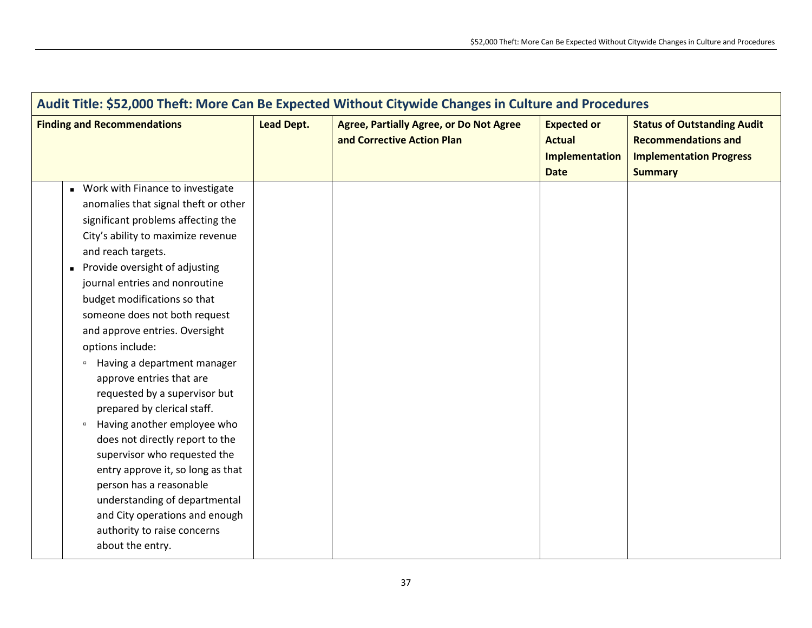| Audit Title: \$52,000 Theft: More Can Be Expected Without Citywide Changes in Culture and Procedures                                                                                                                                                                                                                                                                                                                                                                                                                                                                                                                                                                                                                                                                                                                             |                   |                                                                              |                                                                      |                                                                                                                      |  |
|----------------------------------------------------------------------------------------------------------------------------------------------------------------------------------------------------------------------------------------------------------------------------------------------------------------------------------------------------------------------------------------------------------------------------------------------------------------------------------------------------------------------------------------------------------------------------------------------------------------------------------------------------------------------------------------------------------------------------------------------------------------------------------------------------------------------------------|-------------------|------------------------------------------------------------------------------|----------------------------------------------------------------------|----------------------------------------------------------------------------------------------------------------------|--|
| <b>Finding and Recommendations</b>                                                                                                                                                                                                                                                                                                                                                                                                                                                                                                                                                                                                                                                                                                                                                                                               | <b>Lead Dept.</b> | <b>Agree, Partially Agree, or Do Not Agree</b><br>and Corrective Action Plan | <b>Expected or</b><br><b>Actual</b><br>Implementation<br><b>Date</b> | <b>Status of Outstanding Audit</b><br><b>Recommendations and</b><br><b>Implementation Progress</b><br><b>Summary</b> |  |
| • Work with Finance to investigate<br>anomalies that signal theft or other<br>significant problems affecting the<br>City's ability to maximize revenue<br>and reach targets.<br>Provide oversight of adjusting<br>$\blacksquare$<br>journal entries and nonroutine<br>budget modifications so that<br>someone does not both request<br>and approve entries. Oversight<br>options include:<br>Having a department manager<br>$\Box$<br>approve entries that are<br>requested by a supervisor but<br>prepared by clerical staff.<br>Having another employee who<br>$\Box$<br>does not directly report to the<br>supervisor who requested the<br>entry approve it, so long as that<br>person has a reasonable<br>understanding of departmental<br>and City operations and enough<br>authority to raise concerns<br>about the entry. |                   |                                                                              |                                                                      |                                                                                                                      |  |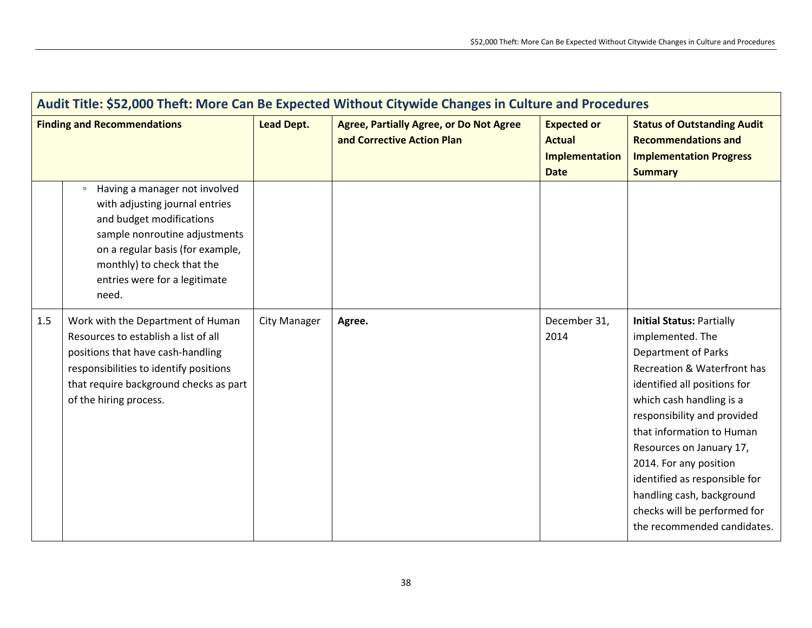| Audit Title: \$52,000 Theft: More Can Be Expected Without Citywide Changes in Culture and Procedures |                                                                                                                                                                                                                                                    |                     |                                                                              |                                                                             |                                                                                                                                                                                                                                                                                                                                                                                                                              |  |
|------------------------------------------------------------------------------------------------------|----------------------------------------------------------------------------------------------------------------------------------------------------------------------------------------------------------------------------------------------------|---------------------|------------------------------------------------------------------------------|-----------------------------------------------------------------------------|------------------------------------------------------------------------------------------------------------------------------------------------------------------------------------------------------------------------------------------------------------------------------------------------------------------------------------------------------------------------------------------------------------------------------|--|
| <b>Finding and Recommendations</b>                                                                   |                                                                                                                                                                                                                                                    | <b>Lead Dept.</b>   | <b>Agree, Partially Agree, or Do Not Agree</b><br>and Corrective Action Plan | <b>Expected or</b><br><b>Actual</b><br><b>Implementation</b><br><b>Date</b> | <b>Status of Outstanding Audit</b><br><b>Recommendations and</b><br><b>Implementation Progress</b><br><b>Summary</b>                                                                                                                                                                                                                                                                                                         |  |
|                                                                                                      | Having a manager not involved<br>$\Box$<br>with adjusting journal entries<br>and budget modifications<br>sample nonroutine adjustments<br>on a regular basis (for example,<br>monthly) to check that the<br>entries were for a legitimate<br>need. |                     |                                                                              |                                                                             |                                                                                                                                                                                                                                                                                                                                                                                                                              |  |
| 1.5                                                                                                  | Work with the Department of Human<br>Resources to establish a list of all<br>positions that have cash-handling<br>responsibilities to identify positions<br>that require background checks as part<br>of the hiring process.                       | <b>City Manager</b> | Agree.                                                                       | December 31,<br>2014                                                        | <b>Initial Status: Partially</b><br>implemented. The<br><b>Department of Parks</b><br>Recreation & Waterfront has<br>identified all positions for<br>which cash handling is a<br>responsibility and provided<br>that information to Human<br>Resources on January 17,<br>2014. For any position<br>identified as responsible for<br>handling cash, background<br>checks will be performed for<br>the recommended candidates. |  |

T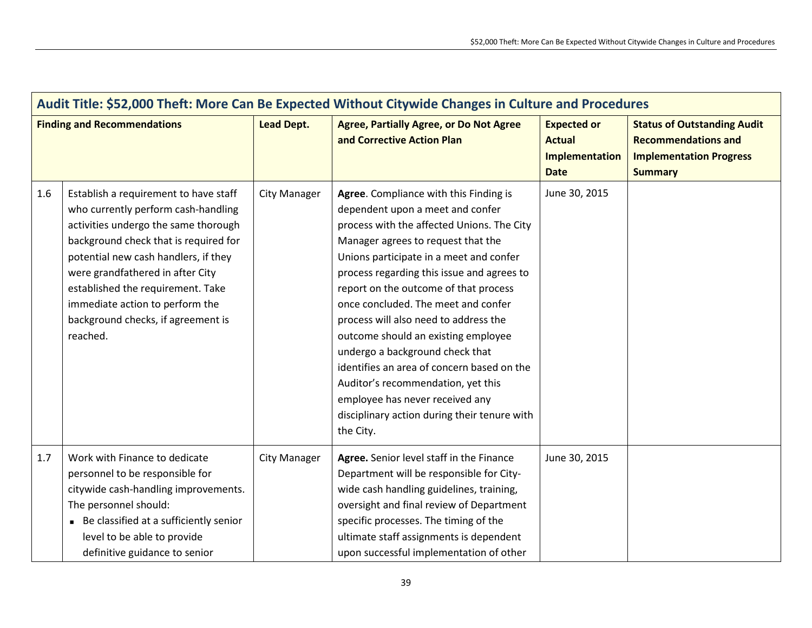| Audit Title: \$52,000 Theft: More Can Be Expected Without Citywide Changes in Culture and Procedures |                                                                                                                                                                                                                                                                                                                                                                     |                     |                                                                                                                                                                                                                                                                                                                                                                                                                                                                                                                                                                                                                                                |                                                                      |                                                                                                                      |  |  |
|------------------------------------------------------------------------------------------------------|---------------------------------------------------------------------------------------------------------------------------------------------------------------------------------------------------------------------------------------------------------------------------------------------------------------------------------------------------------------------|---------------------|------------------------------------------------------------------------------------------------------------------------------------------------------------------------------------------------------------------------------------------------------------------------------------------------------------------------------------------------------------------------------------------------------------------------------------------------------------------------------------------------------------------------------------------------------------------------------------------------------------------------------------------------|----------------------------------------------------------------------|----------------------------------------------------------------------------------------------------------------------|--|--|
| <b>Finding and Recommendations</b>                                                                   |                                                                                                                                                                                                                                                                                                                                                                     | <b>Lead Dept.</b>   | <b>Agree, Partially Agree, or Do Not Agree</b><br>and Corrective Action Plan                                                                                                                                                                                                                                                                                                                                                                                                                                                                                                                                                                   | <b>Expected or</b><br><b>Actual</b><br>Implementation<br><b>Date</b> | <b>Status of Outstanding Audit</b><br><b>Recommendations and</b><br><b>Implementation Progress</b><br><b>Summary</b> |  |  |
| 1.6                                                                                                  | Establish a requirement to have staff<br>who currently perform cash-handling<br>activities undergo the same thorough<br>background check that is required for<br>potential new cash handlers, if they<br>were grandfathered in after City<br>established the requirement. Take<br>immediate action to perform the<br>background checks, if agreement is<br>reached. | <b>City Manager</b> | Agree. Compliance with this Finding is<br>dependent upon a meet and confer<br>process with the affected Unions. The City<br>Manager agrees to request that the<br>Unions participate in a meet and confer<br>process regarding this issue and agrees to<br>report on the outcome of that process<br>once concluded. The meet and confer<br>process will also need to address the<br>outcome should an existing employee<br>undergo a background check that<br>identifies an area of concern based on the<br>Auditor's recommendation, yet this<br>employee has never received any<br>disciplinary action during their tenure with<br>the City. | June 30, 2015                                                        |                                                                                                                      |  |  |
| 1.7                                                                                                  | Work with Finance to dedicate<br>personnel to be responsible for<br>citywide cash-handling improvements.<br>The personnel should:<br>Be classified at a sufficiently senior<br>level to be able to provide<br>definitive guidance to senior                                                                                                                         | <b>City Manager</b> | Agree. Senior level staff in the Finance<br>Department will be responsible for City-<br>wide cash handling guidelines, training,<br>oversight and final review of Department<br>specific processes. The timing of the<br>ultimate staff assignments is dependent<br>upon successful implementation of other                                                                                                                                                                                                                                                                                                                                    | June 30, 2015                                                        |                                                                                                                      |  |  |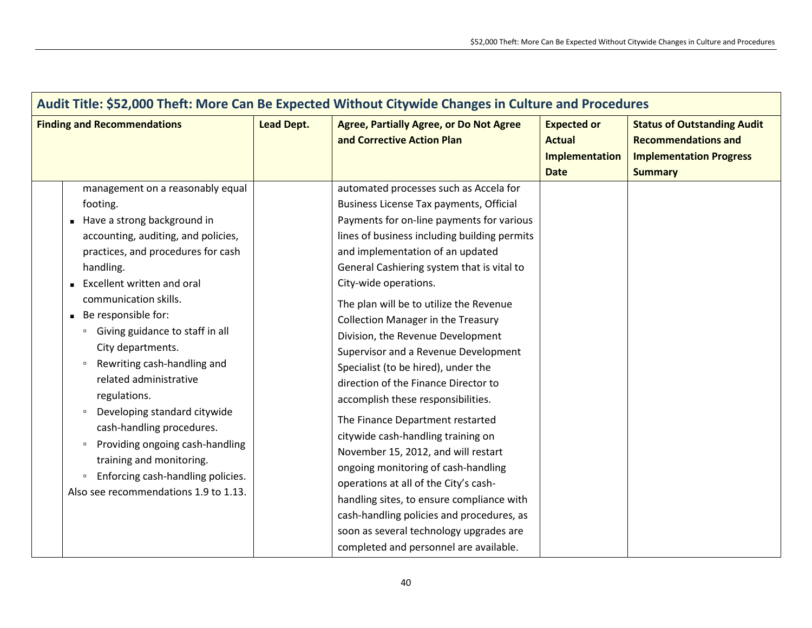|                                                                                                                                                                                                                                                                                                                                                                                                                                                                                                                                                                                                                                                         | Audit Title: \$52,000 Theft: More Can Be Expected Without Citywide Changes in Culture and Procedures |                                                                                                                                                                                                                                                                                                                                                                                                                                                                                                                                                                                                                                                                                                                                                                                                                                                                                                                                                                     |                                                                             |                                                                                                                      |  |  |
|---------------------------------------------------------------------------------------------------------------------------------------------------------------------------------------------------------------------------------------------------------------------------------------------------------------------------------------------------------------------------------------------------------------------------------------------------------------------------------------------------------------------------------------------------------------------------------------------------------------------------------------------------------|------------------------------------------------------------------------------------------------------|---------------------------------------------------------------------------------------------------------------------------------------------------------------------------------------------------------------------------------------------------------------------------------------------------------------------------------------------------------------------------------------------------------------------------------------------------------------------------------------------------------------------------------------------------------------------------------------------------------------------------------------------------------------------------------------------------------------------------------------------------------------------------------------------------------------------------------------------------------------------------------------------------------------------------------------------------------------------|-----------------------------------------------------------------------------|----------------------------------------------------------------------------------------------------------------------|--|--|
| <b>Finding and Recommendations</b>                                                                                                                                                                                                                                                                                                                                                                                                                                                                                                                                                                                                                      | <b>Lead Dept.</b>                                                                                    | <b>Agree, Partially Agree, or Do Not Agree</b><br>and Corrective Action Plan                                                                                                                                                                                                                                                                                                                                                                                                                                                                                                                                                                                                                                                                                                                                                                                                                                                                                        | <b>Expected or</b><br><b>Actual</b><br><b>Implementation</b><br><b>Date</b> | <b>Status of Outstanding Audit</b><br><b>Recommendations and</b><br><b>Implementation Progress</b><br><b>Summary</b> |  |  |
| management on a reasonably equal<br>footing.<br>Have a strong background in<br>accounting, auditing, and policies,<br>practices, and procedures for cash<br>handling.<br><b>Excellent written and oral</b><br>communication skills.<br>Be responsible for:<br>Giving guidance to staff in all<br>$\Box$<br>City departments.<br>Rewriting cash-handling and<br>$\Box$<br>related administrative<br>regulations.<br>Developing standard citywide<br>$\Box$<br>cash-handling procedures.<br>Providing ongoing cash-handling<br>$\Box$<br>training and monitoring.<br>Enforcing cash-handling policies.<br>$\Box$<br>Also see recommendations 1.9 to 1.13. |                                                                                                      | automated processes such as Accela for<br>Business License Tax payments, Official<br>Payments for on-line payments for various<br>lines of business including building permits<br>and implementation of an updated<br>General Cashiering system that is vital to<br>City-wide operations.<br>The plan will be to utilize the Revenue<br><b>Collection Manager in the Treasury</b><br>Division, the Revenue Development<br>Supervisor and a Revenue Development<br>Specialist (to be hired), under the<br>direction of the Finance Director to<br>accomplish these responsibilities.<br>The Finance Department restarted<br>citywide cash-handling training on<br>November 15, 2012, and will restart<br>ongoing monitoring of cash-handling<br>operations at all of the City's cash-<br>handling sites, to ensure compliance with<br>cash-handling policies and procedures, as<br>soon as several technology upgrades are<br>completed and personnel are available. |                                                                             |                                                                                                                      |  |  |

 $\mathbf{r}$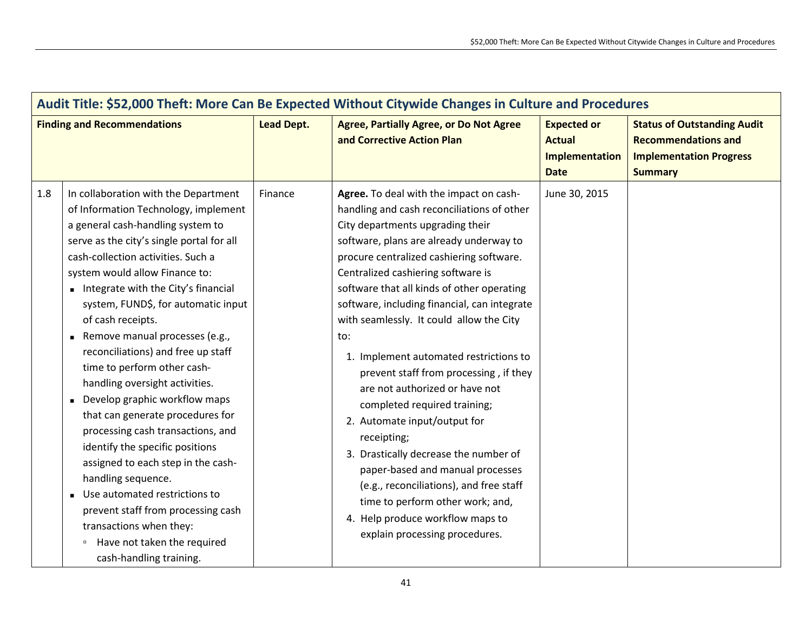| Audit Title: \$52,000 Theft: More Can Be Expected Without Citywide Changes in Culture and Procedures |                                                                                                                                                                                                                                                                                                                                                                                                                                                                                                                                                                                                                                                                                                                                                                                                                                                                      |                   |                                                                                                                                                                                                                                                                                                                                                                                                                                                                                                                                                                                                                                                                                                                                                                                                                                                |                                                                      |                                                                                                                      |  |
|------------------------------------------------------------------------------------------------------|----------------------------------------------------------------------------------------------------------------------------------------------------------------------------------------------------------------------------------------------------------------------------------------------------------------------------------------------------------------------------------------------------------------------------------------------------------------------------------------------------------------------------------------------------------------------------------------------------------------------------------------------------------------------------------------------------------------------------------------------------------------------------------------------------------------------------------------------------------------------|-------------------|------------------------------------------------------------------------------------------------------------------------------------------------------------------------------------------------------------------------------------------------------------------------------------------------------------------------------------------------------------------------------------------------------------------------------------------------------------------------------------------------------------------------------------------------------------------------------------------------------------------------------------------------------------------------------------------------------------------------------------------------------------------------------------------------------------------------------------------------|----------------------------------------------------------------------|----------------------------------------------------------------------------------------------------------------------|--|
| <b>Finding and Recommendations</b>                                                                   |                                                                                                                                                                                                                                                                                                                                                                                                                                                                                                                                                                                                                                                                                                                                                                                                                                                                      | <b>Lead Dept.</b> | <b>Agree, Partially Agree, or Do Not Agree</b><br>and Corrective Action Plan                                                                                                                                                                                                                                                                                                                                                                                                                                                                                                                                                                                                                                                                                                                                                                   | <b>Expected or</b><br><b>Actual</b><br>Implementation<br><b>Date</b> | <b>Status of Outstanding Audit</b><br><b>Recommendations and</b><br><b>Implementation Progress</b><br><b>Summary</b> |  |
| 1.8                                                                                                  | In collaboration with the Department<br>of Information Technology, implement<br>a general cash-handling system to<br>serve as the city's single portal for all<br>cash-collection activities. Such a<br>system would allow Finance to:<br>Integrate with the City's financial<br>system, FUND\$, for automatic input<br>of cash receipts.<br>Remove manual processes (e.g.,<br>reconciliations) and free up staff<br>time to perform other cash-<br>handling oversight activities.<br>Develop graphic workflow maps<br>that can generate procedures for<br>processing cash transactions, and<br>identify the specific positions<br>assigned to each step in the cash-<br>handling sequence.<br>Use automated restrictions to<br>prevent staff from processing cash<br>transactions when they:<br><sup>o</sup> Have not taken the required<br>cash-handling training. | Finance           | Agree. To deal with the impact on cash-<br>handling and cash reconciliations of other<br>City departments upgrading their<br>software, plans are already underway to<br>procure centralized cashiering software.<br>Centralized cashiering software is<br>software that all kinds of other operating<br>software, including financial, can integrate<br>with seamlessly. It could allow the City<br>to:<br>1. Implement automated restrictions to<br>prevent staff from processing, if they<br>are not authorized or have not<br>completed required training;<br>2. Automate input/output for<br>receipting;<br>3. Drastically decrease the number of<br>paper-based and manual processes<br>(e.g., reconciliations), and free staff<br>time to perform other work; and,<br>4. Help produce workflow maps to<br>explain processing procedures. | June 30, 2015                                                        |                                                                                                                      |  |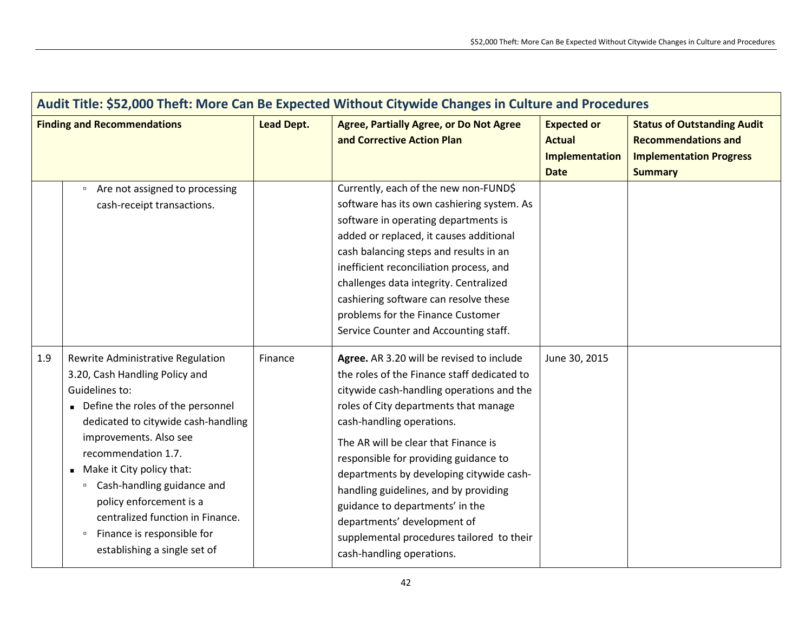| Audit Title: \$52,000 Theft: More Can Be Expected Without Citywide Changes in Culture and Procedures |                                                                                                                                                                                                                                                                                                                                                                                                                                   |                   |                                                                                                                                                                                                                                                                                                                                                                                                                                                                                                                               |                                                                      |                                                                                                                      |  |
|------------------------------------------------------------------------------------------------------|-----------------------------------------------------------------------------------------------------------------------------------------------------------------------------------------------------------------------------------------------------------------------------------------------------------------------------------------------------------------------------------------------------------------------------------|-------------------|-------------------------------------------------------------------------------------------------------------------------------------------------------------------------------------------------------------------------------------------------------------------------------------------------------------------------------------------------------------------------------------------------------------------------------------------------------------------------------------------------------------------------------|----------------------------------------------------------------------|----------------------------------------------------------------------------------------------------------------------|--|
| <b>Finding and Recommendations</b>                                                                   |                                                                                                                                                                                                                                                                                                                                                                                                                                   | <b>Lead Dept.</b> | <b>Agree, Partially Agree, or Do Not Agree</b><br>and Corrective Action Plan                                                                                                                                                                                                                                                                                                                                                                                                                                                  | <b>Expected or</b><br><b>Actual</b><br>Implementation<br><b>Date</b> | <b>Status of Outstanding Audit</b><br><b>Recommendations and</b><br><b>Implementation Progress</b><br><b>Summary</b> |  |
|                                                                                                      | Are not assigned to processing<br>$\Box$<br>cash-receipt transactions.                                                                                                                                                                                                                                                                                                                                                            |                   | Currently, each of the new non-FUND\$<br>software has its own cashiering system. As<br>software in operating departments is<br>added or replaced, it causes additional<br>cash balancing steps and results in an<br>inefficient reconciliation process, and<br>challenges data integrity. Centralized<br>cashiering software can resolve these<br>problems for the Finance Customer<br>Service Counter and Accounting staff.                                                                                                  |                                                                      |                                                                                                                      |  |
| 1.9                                                                                                  | Rewrite Administrative Regulation<br>3.20, Cash Handling Policy and<br>Guidelines to:<br>Define the roles of the personnel<br>dedicated to citywide cash-handling<br>improvements. Also see<br>recommendation 1.7.<br>Make it City policy that:<br>Cash-handling guidance and<br>$\Box$<br>policy enforcement is a<br>centralized function in Finance.<br><sup>o</sup> Finance is responsible for<br>establishing a single set of | Finance           | Agree. AR 3.20 will be revised to include<br>the roles of the Finance staff dedicated to<br>citywide cash-handling operations and the<br>roles of City departments that manage<br>cash-handling operations.<br>The AR will be clear that Finance is<br>responsible for providing guidance to<br>departments by developing citywide cash-<br>handling guidelines, and by providing<br>guidance to departments' in the<br>departments' development of<br>supplemental procedures tailored to their<br>cash-handling operations. | June 30, 2015                                                        |                                                                                                                      |  |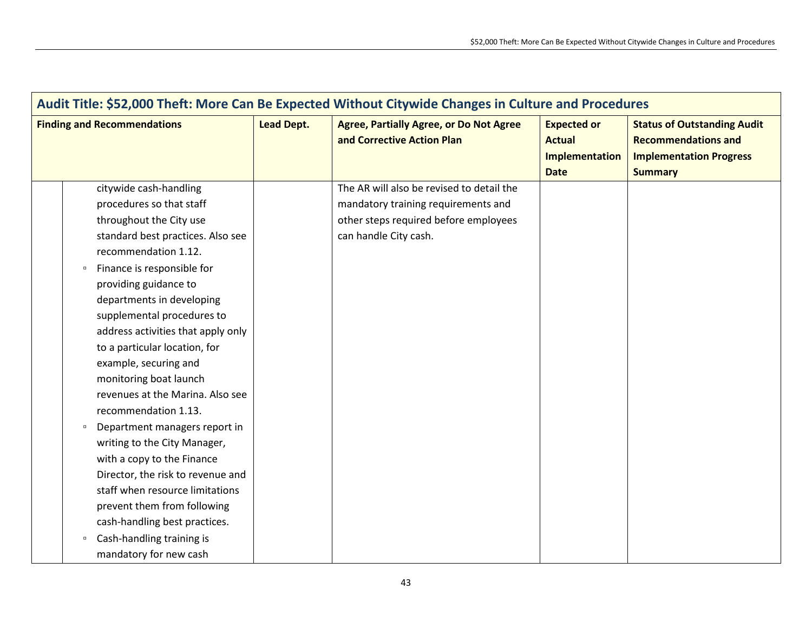| Audit Title: \$52,000 Theft: More Can Be Expected Without Citywide Changes in Culture and Procedures |                                         |                   |                                                                              |                                                                      |                                                                                                                      |  |
|------------------------------------------------------------------------------------------------------|-----------------------------------------|-------------------|------------------------------------------------------------------------------|----------------------------------------------------------------------|----------------------------------------------------------------------------------------------------------------------|--|
|                                                                                                      | <b>Finding and Recommendations</b>      | <b>Lead Dept.</b> | <b>Agree, Partially Agree, or Do Not Agree</b><br>and Corrective Action Plan | <b>Expected or</b><br><b>Actual</b><br>Implementation<br><b>Date</b> | <b>Status of Outstanding Audit</b><br><b>Recommendations and</b><br><b>Implementation Progress</b><br><b>Summary</b> |  |
|                                                                                                      | citywide cash-handling                  |                   | The AR will also be revised to detail the                                    |                                                                      |                                                                                                                      |  |
|                                                                                                      | procedures so that staff                |                   | mandatory training requirements and                                          |                                                                      |                                                                                                                      |  |
|                                                                                                      | throughout the City use                 |                   | other steps required before employees                                        |                                                                      |                                                                                                                      |  |
|                                                                                                      | standard best practices. Also see       |                   | can handle City cash.                                                        |                                                                      |                                                                                                                      |  |
|                                                                                                      | recommendation 1.12.                    |                   |                                                                              |                                                                      |                                                                                                                      |  |
|                                                                                                      | Finance is responsible for<br>$\Box$    |                   |                                                                              |                                                                      |                                                                                                                      |  |
|                                                                                                      | providing guidance to                   |                   |                                                                              |                                                                      |                                                                                                                      |  |
|                                                                                                      | departments in developing               |                   |                                                                              |                                                                      |                                                                                                                      |  |
|                                                                                                      | supplemental procedures to              |                   |                                                                              |                                                                      |                                                                                                                      |  |
|                                                                                                      | address activities that apply only      |                   |                                                                              |                                                                      |                                                                                                                      |  |
|                                                                                                      | to a particular location, for           |                   |                                                                              |                                                                      |                                                                                                                      |  |
|                                                                                                      | example, securing and                   |                   |                                                                              |                                                                      |                                                                                                                      |  |
|                                                                                                      | monitoring boat launch                  |                   |                                                                              |                                                                      |                                                                                                                      |  |
|                                                                                                      | revenues at the Marina. Also see        |                   |                                                                              |                                                                      |                                                                                                                      |  |
|                                                                                                      | recommendation 1.13.                    |                   |                                                                              |                                                                      |                                                                                                                      |  |
|                                                                                                      | Department managers report in<br>$\Box$ |                   |                                                                              |                                                                      |                                                                                                                      |  |
|                                                                                                      | writing to the City Manager,            |                   |                                                                              |                                                                      |                                                                                                                      |  |
|                                                                                                      | with a copy to the Finance              |                   |                                                                              |                                                                      |                                                                                                                      |  |
|                                                                                                      | Director, the risk to revenue and       |                   |                                                                              |                                                                      |                                                                                                                      |  |
|                                                                                                      | staff when resource limitations         |                   |                                                                              |                                                                      |                                                                                                                      |  |
|                                                                                                      | prevent them from following             |                   |                                                                              |                                                                      |                                                                                                                      |  |
|                                                                                                      | cash-handling best practices.           |                   |                                                                              |                                                                      |                                                                                                                      |  |
|                                                                                                      | Cash-handling training is<br>$\Box$     |                   |                                                                              |                                                                      |                                                                                                                      |  |
|                                                                                                      | mandatory for new cash                  |                   |                                                                              |                                                                      |                                                                                                                      |  |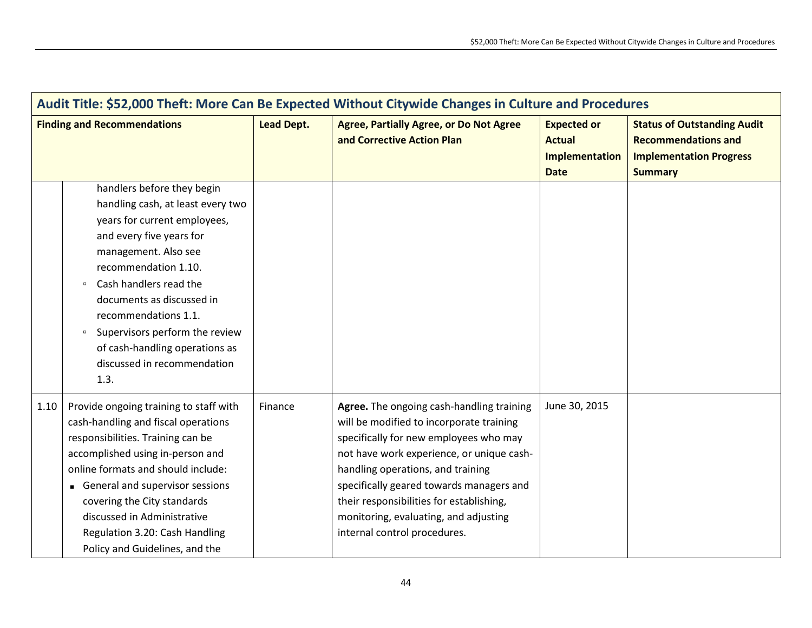| Audit Title: \$52,000 Theft: More Can Be Expected Without Citywide Changes in Culture and Procedures |                                                                                                                                                                                                                                                                                                                                                                                           |                   |                                                                                                                                                                                                                                                                                                                                                                                    |                                                                      |                                                                                                                      |  |
|------------------------------------------------------------------------------------------------------|-------------------------------------------------------------------------------------------------------------------------------------------------------------------------------------------------------------------------------------------------------------------------------------------------------------------------------------------------------------------------------------------|-------------------|------------------------------------------------------------------------------------------------------------------------------------------------------------------------------------------------------------------------------------------------------------------------------------------------------------------------------------------------------------------------------------|----------------------------------------------------------------------|----------------------------------------------------------------------------------------------------------------------|--|
| <b>Finding and Recommendations</b>                                                                   |                                                                                                                                                                                                                                                                                                                                                                                           | <b>Lead Dept.</b> | <b>Agree, Partially Agree, or Do Not Agree</b><br>and Corrective Action Plan                                                                                                                                                                                                                                                                                                       | <b>Expected or</b><br><b>Actual</b><br>Implementation<br><b>Date</b> | <b>Status of Outstanding Audit</b><br><b>Recommendations and</b><br><b>Implementation Progress</b><br><b>Summary</b> |  |
|                                                                                                      | handlers before they begin<br>handling cash, at least every two<br>years for current employees,<br>and every five years for<br>management. Also see<br>recommendation 1.10.<br>Cash handlers read the<br>$\Box$<br>documents as discussed in<br>recommendations 1.1.<br>Supervisors perform the review<br>$\Box$<br>of cash-handling operations as<br>discussed in recommendation<br>1.3. |                   |                                                                                                                                                                                                                                                                                                                                                                                    |                                                                      |                                                                                                                      |  |
| 1.10                                                                                                 | Provide ongoing training to staff with<br>cash-handling and fiscal operations<br>responsibilities. Training can be<br>accomplished using in-person and<br>online formats and should include:<br>General and supervisor sessions<br>covering the City standards<br>discussed in Administrative<br>Regulation 3.20: Cash Handling<br>Policy and Guidelines, and the                         | Finance           | Agree. The ongoing cash-handling training<br>will be modified to incorporate training<br>specifically for new employees who may<br>not have work experience, or unique cash-<br>handling operations, and training<br>specifically geared towards managers and<br>their responsibilities for establishing,<br>monitoring, evaluating, and adjusting<br>internal control procedures. | June 30, 2015                                                        |                                                                                                                      |  |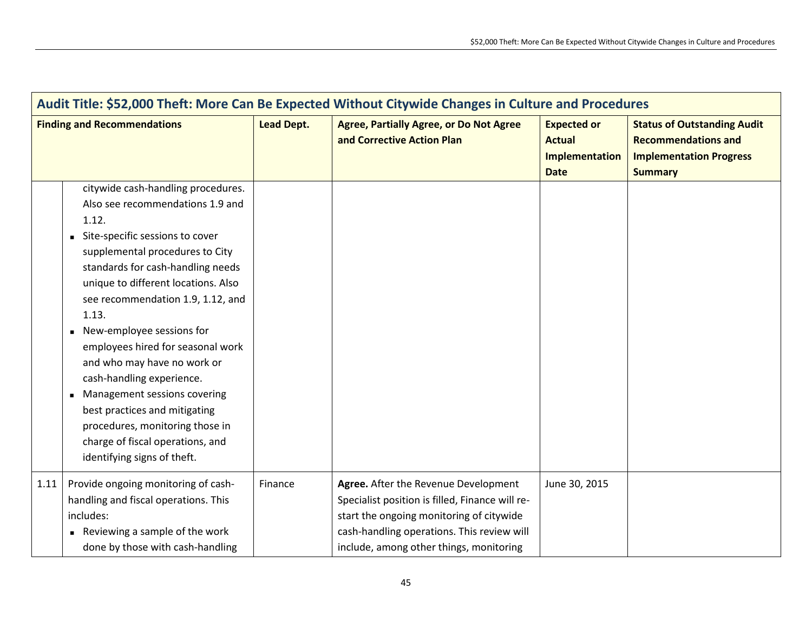| Audit Title: \$52,000 Theft: More Can Be Expected Without Citywide Changes in Culture and Procedures |                                                                                                                                                                                                                                                                                                                                                                                                                                                                                                                                                                                      |                   |                                                                                                                                                                                                                              |                                                                      |                                                                                                                      |
|------------------------------------------------------------------------------------------------------|--------------------------------------------------------------------------------------------------------------------------------------------------------------------------------------------------------------------------------------------------------------------------------------------------------------------------------------------------------------------------------------------------------------------------------------------------------------------------------------------------------------------------------------------------------------------------------------|-------------------|------------------------------------------------------------------------------------------------------------------------------------------------------------------------------------------------------------------------------|----------------------------------------------------------------------|----------------------------------------------------------------------------------------------------------------------|
| <b>Finding and Recommendations</b>                                                                   |                                                                                                                                                                                                                                                                                                                                                                                                                                                                                                                                                                                      | <b>Lead Dept.</b> | <b>Agree, Partially Agree, or Do Not Agree</b><br>and Corrective Action Plan                                                                                                                                                 | <b>Expected or</b><br><b>Actual</b><br>Implementation<br><b>Date</b> | <b>Status of Outstanding Audit</b><br><b>Recommendations and</b><br><b>Implementation Progress</b><br><b>Summary</b> |
|                                                                                                      | citywide cash-handling procedures.<br>Also see recommendations 1.9 and<br>1.12.<br>Site-specific sessions to cover<br>supplemental procedures to City<br>standards for cash-handling needs<br>unique to different locations. Also<br>see recommendation 1.9, 1.12, and<br>1.13.<br>New-employee sessions for<br>employees hired for seasonal work<br>and who may have no work or<br>cash-handling experience.<br>Management sessions covering<br>best practices and mitigating<br>procedures, monitoring those in<br>charge of fiscal operations, and<br>identifying signs of theft. |                   |                                                                                                                                                                                                                              |                                                                      |                                                                                                                      |
| 1.11                                                                                                 | Provide ongoing monitoring of cash-<br>handling and fiscal operations. This<br>includes:<br>Reviewing a sample of the work<br>done by those with cash-handling                                                                                                                                                                                                                                                                                                                                                                                                                       | Finance           | Agree. After the Revenue Development<br>Specialist position is filled, Finance will re-<br>start the ongoing monitoring of citywide<br>cash-handling operations. This review will<br>include, among other things, monitoring | June 30, 2015                                                        |                                                                                                                      |

 $\mathbf{r}$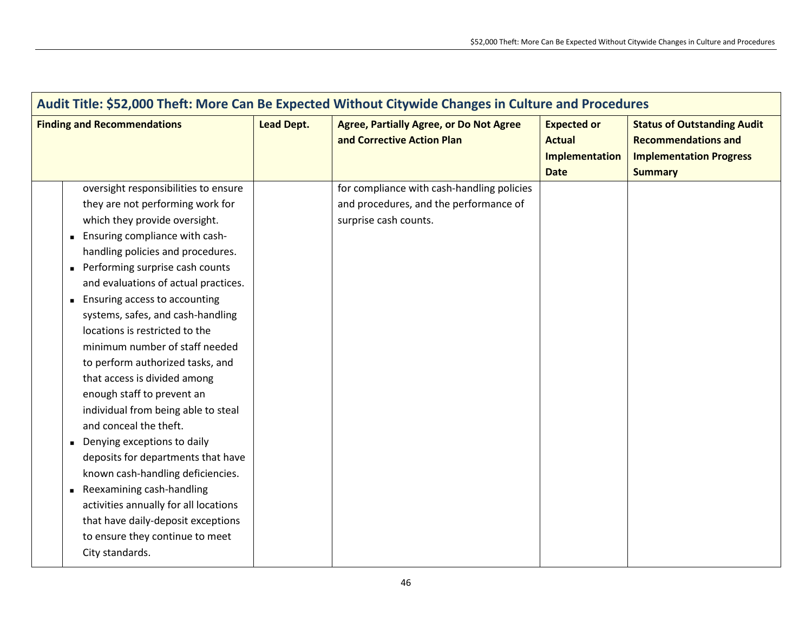| Audit Title: \$52,000 Theft: More Can Be Expected Without Citywide Changes in Culture and Procedures                                                                                                                                                                                                                                                                                                                                                                                                                                                                                                                                                                                                                                                                                                                                                               |                   |                                                                                                               |                                                                      |                                                                                                                      |  |  |
|--------------------------------------------------------------------------------------------------------------------------------------------------------------------------------------------------------------------------------------------------------------------------------------------------------------------------------------------------------------------------------------------------------------------------------------------------------------------------------------------------------------------------------------------------------------------------------------------------------------------------------------------------------------------------------------------------------------------------------------------------------------------------------------------------------------------------------------------------------------------|-------------------|---------------------------------------------------------------------------------------------------------------|----------------------------------------------------------------------|----------------------------------------------------------------------------------------------------------------------|--|--|
| <b>Finding and Recommendations</b>                                                                                                                                                                                                                                                                                                                                                                                                                                                                                                                                                                                                                                                                                                                                                                                                                                 | <b>Lead Dept.</b> | <b>Agree, Partially Agree, or Do Not Agree</b><br>and Corrective Action Plan                                  | <b>Expected or</b><br><b>Actual</b><br>Implementation<br><b>Date</b> | <b>Status of Outstanding Audit</b><br><b>Recommendations and</b><br><b>Implementation Progress</b><br><b>Summary</b> |  |  |
| oversight responsibilities to ensure<br>they are not performing work for<br>which they provide oversight.<br><b>Ensuring compliance with cash-</b><br>handling policies and procedures.<br>Performing surprise cash counts<br>and evaluations of actual practices.<br><b>Ensuring access to accounting</b><br>systems, safes, and cash-handling<br>locations is restricted to the<br>minimum number of staff needed<br>to perform authorized tasks, and<br>that access is divided among<br>enough staff to prevent an<br>individual from being able to steal<br>and conceal the theft.<br>Denying exceptions to daily<br>deposits for departments that have<br>known cash-handling deficiencies.<br>Reexamining cash-handling<br>activities annually for all locations<br>that have daily-deposit exceptions<br>to ensure they continue to meet<br>City standards. |                   | for compliance with cash-handling policies<br>and procedures, and the performance of<br>surprise cash counts. |                                                                      |                                                                                                                      |  |  |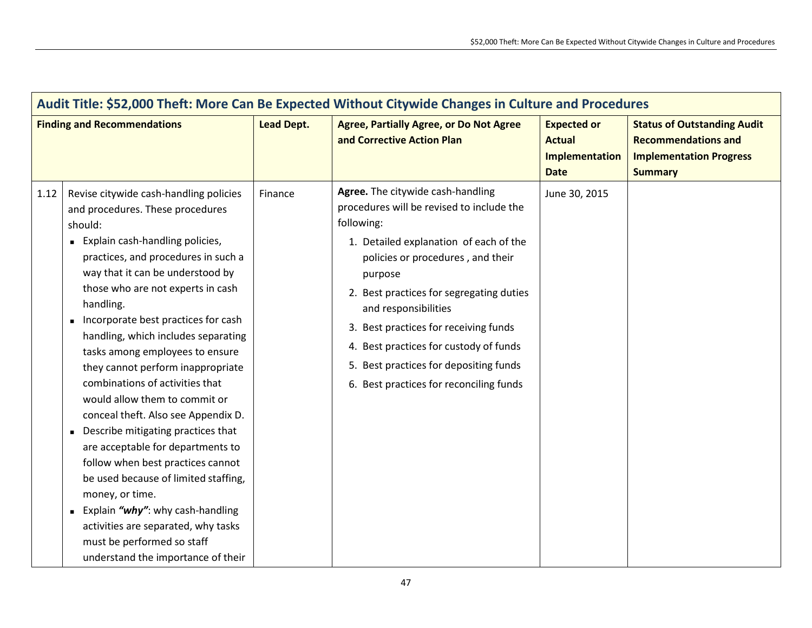| Audit Title: \$52,000 Theft: More Can Be Expected Without Citywide Changes in Culture and Procedures |                                                                                                                                                                                                                                                                                                                                                                                                                                                                                                                                                                                                                                                                                                                                                                                                                                                                    |                   |                                                                                                                                                                                                                                                                                                                                                                                                                                    |                                                                      |                                                                                                                      |  |
|------------------------------------------------------------------------------------------------------|--------------------------------------------------------------------------------------------------------------------------------------------------------------------------------------------------------------------------------------------------------------------------------------------------------------------------------------------------------------------------------------------------------------------------------------------------------------------------------------------------------------------------------------------------------------------------------------------------------------------------------------------------------------------------------------------------------------------------------------------------------------------------------------------------------------------------------------------------------------------|-------------------|------------------------------------------------------------------------------------------------------------------------------------------------------------------------------------------------------------------------------------------------------------------------------------------------------------------------------------------------------------------------------------------------------------------------------------|----------------------------------------------------------------------|----------------------------------------------------------------------------------------------------------------------|--|
| <b>Finding and Recommendations</b>                                                                   |                                                                                                                                                                                                                                                                                                                                                                                                                                                                                                                                                                                                                                                                                                                                                                                                                                                                    | <b>Lead Dept.</b> | <b>Agree, Partially Agree, or Do Not Agree</b><br>and Corrective Action Plan                                                                                                                                                                                                                                                                                                                                                       | <b>Expected or</b><br><b>Actual</b><br>Implementation<br><b>Date</b> | <b>Status of Outstanding Audit</b><br><b>Recommendations and</b><br><b>Implementation Progress</b><br><b>Summary</b> |  |
| 1.12                                                                                                 | Revise citywide cash-handling policies<br>and procedures. These procedures<br>should:<br>Explain cash-handling policies,<br>practices, and procedures in such a<br>way that it can be understood by<br>those who are not experts in cash<br>handling.<br>Incorporate best practices for cash<br>handling, which includes separating<br>tasks among employees to ensure<br>they cannot perform inappropriate<br>combinations of activities that<br>would allow them to commit or<br>conceal theft. Also see Appendix D.<br>Describe mitigating practices that<br>are acceptable for departments to<br>follow when best practices cannot<br>be used because of limited staffing,<br>money, or time.<br>Explain "why": why cash-handling<br>$\blacksquare$<br>activities are separated, why tasks<br>must be performed so staff<br>understand the importance of their | Finance           | Agree. The citywide cash-handling<br>procedures will be revised to include the<br>following:<br>1. Detailed explanation of each of the<br>policies or procedures, and their<br>purpose<br>2. Best practices for segregating duties<br>and responsibilities<br>3. Best practices for receiving funds<br>4. Best practices for custody of funds<br>5. Best practices for depositing funds<br>6. Best practices for reconciling funds | June 30, 2015                                                        |                                                                                                                      |  |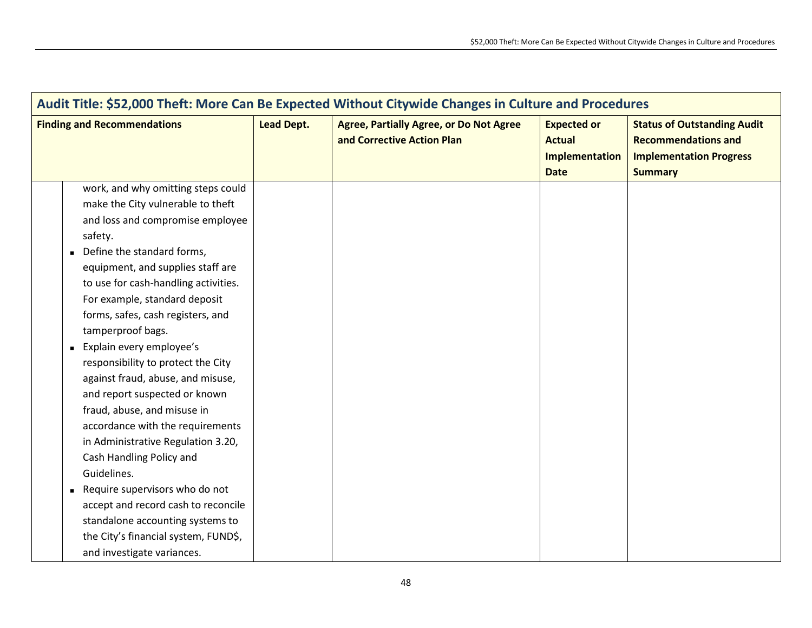| Audit Title: \$52,000 Theft: More Can Be Expected Without Citywide Changes in Culture and Procedures                                                                                                                                                                                                                                                                                                                                                                                                                                                                                                                                                                                                                                                                                                        |                   |                                                                              |                                                                      |                                                                                                                      |  |
|-------------------------------------------------------------------------------------------------------------------------------------------------------------------------------------------------------------------------------------------------------------------------------------------------------------------------------------------------------------------------------------------------------------------------------------------------------------------------------------------------------------------------------------------------------------------------------------------------------------------------------------------------------------------------------------------------------------------------------------------------------------------------------------------------------------|-------------------|------------------------------------------------------------------------------|----------------------------------------------------------------------|----------------------------------------------------------------------------------------------------------------------|--|
| <b>Finding and Recommendations</b>                                                                                                                                                                                                                                                                                                                                                                                                                                                                                                                                                                                                                                                                                                                                                                          | <b>Lead Dept.</b> | <b>Agree, Partially Agree, or Do Not Agree</b><br>and Corrective Action Plan | <b>Expected or</b><br><b>Actual</b><br>Implementation<br><b>Date</b> | <b>Status of Outstanding Audit</b><br><b>Recommendations and</b><br><b>Implementation Progress</b><br><b>Summary</b> |  |
| work, and why omitting steps could<br>make the City vulnerable to theft<br>and loss and compromise employee<br>safety.<br>Define the standard forms,<br>equipment, and supplies staff are<br>to use for cash-handling activities.<br>For example, standard deposit<br>forms, safes, cash registers, and<br>tamperproof bags.<br>Explain every employee's<br>responsibility to protect the City<br>against fraud, abuse, and misuse,<br>and report suspected or known<br>fraud, abuse, and misuse in<br>accordance with the requirements<br>in Administrative Regulation 3.20,<br>Cash Handling Policy and<br>Guidelines.<br>Require supervisors who do not<br>accept and record cash to reconcile<br>standalone accounting systems to<br>the City's financial system, FUND\$,<br>and investigate variances. |                   |                                                                              |                                                                      |                                                                                                                      |  |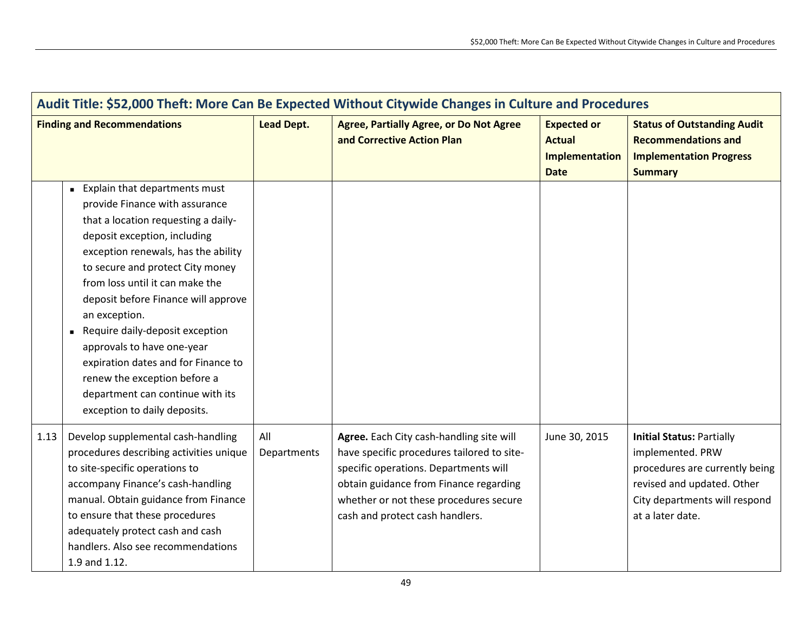| Audit Title: \$52,000 Theft: More Can Be Expected Without Citywide Changes in Culture and Procedures |                                                                                                                                                                                                                                                                                                                                                                                                                                                                                                                          |                    |                                                                                                                                                                                                                                                        |                                                                      |                                                                                                                                                                           |
|------------------------------------------------------------------------------------------------------|--------------------------------------------------------------------------------------------------------------------------------------------------------------------------------------------------------------------------------------------------------------------------------------------------------------------------------------------------------------------------------------------------------------------------------------------------------------------------------------------------------------------------|--------------------|--------------------------------------------------------------------------------------------------------------------------------------------------------------------------------------------------------------------------------------------------------|----------------------------------------------------------------------|---------------------------------------------------------------------------------------------------------------------------------------------------------------------------|
| <b>Finding and Recommendations</b>                                                                   |                                                                                                                                                                                                                                                                                                                                                                                                                                                                                                                          | <b>Lead Dept.</b>  | <b>Agree, Partially Agree, or Do Not Agree</b><br>and Corrective Action Plan                                                                                                                                                                           | <b>Expected or</b><br><b>Actual</b><br>Implementation<br><b>Date</b> | <b>Status of Outstanding Audit</b><br><b>Recommendations and</b><br><b>Implementation Progress</b><br><b>Summary</b>                                                      |
|                                                                                                      | Explain that departments must<br>provide Finance with assurance<br>that a location requesting a daily-<br>deposit exception, including<br>exception renewals, has the ability<br>to secure and protect City money<br>from loss until it can make the<br>deposit before Finance will approve<br>an exception.<br>Require daily-deposit exception<br>approvals to have one-year<br>expiration dates and for Finance to<br>renew the exception before a<br>department can continue with its<br>exception to daily deposits. |                    |                                                                                                                                                                                                                                                        |                                                                      |                                                                                                                                                                           |
| 1.13                                                                                                 | Develop supplemental cash-handling<br>procedures describing activities unique<br>to site-specific operations to<br>accompany Finance's cash-handling<br>manual. Obtain guidance from Finance<br>to ensure that these procedures<br>adequately protect cash and cash<br>handlers. Also see recommendations<br>1.9 and 1.12.                                                                                                                                                                                               | All<br>Departments | Agree. Each City cash-handling site will<br>have specific procedures tailored to site-<br>specific operations. Departments will<br>obtain guidance from Finance regarding<br>whether or not these procedures secure<br>cash and protect cash handlers. | June 30, 2015                                                        | <b>Initial Status: Partially</b><br>implemented. PRW<br>procedures are currently being<br>revised and updated. Other<br>City departments will respond<br>at a later date. |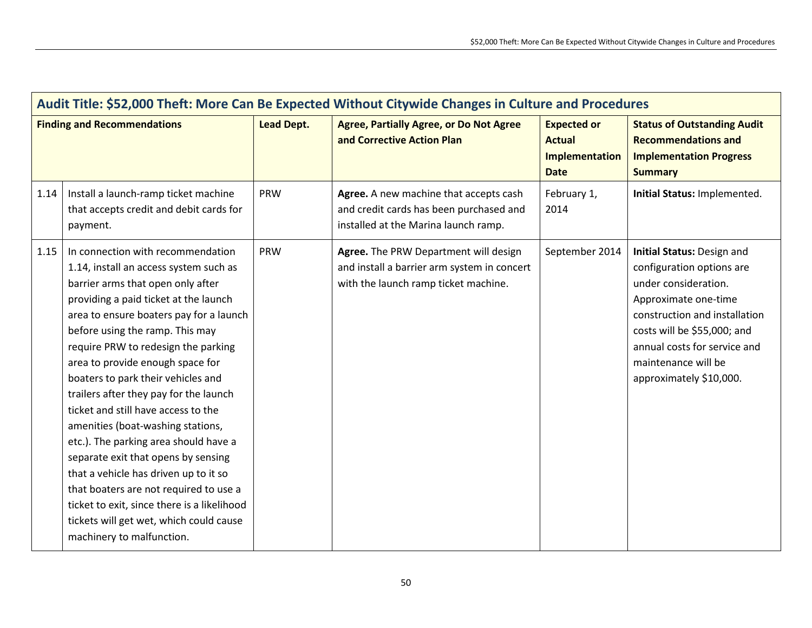| Audit Title: \$52,000 Theft: More Can Be Expected Without Citywide Changes in Culture and Procedures |                                                                                                                                                                                                                                                                                                                                                                                                                                                                                                                                                                                                                                                                                                                                                                          |                   |                                                                                                                              |                                                                             |                                                                                                                                                                                                                                                           |
|------------------------------------------------------------------------------------------------------|--------------------------------------------------------------------------------------------------------------------------------------------------------------------------------------------------------------------------------------------------------------------------------------------------------------------------------------------------------------------------------------------------------------------------------------------------------------------------------------------------------------------------------------------------------------------------------------------------------------------------------------------------------------------------------------------------------------------------------------------------------------------------|-------------------|------------------------------------------------------------------------------------------------------------------------------|-----------------------------------------------------------------------------|-----------------------------------------------------------------------------------------------------------------------------------------------------------------------------------------------------------------------------------------------------------|
|                                                                                                      | <b>Finding and Recommendations</b>                                                                                                                                                                                                                                                                                                                                                                                                                                                                                                                                                                                                                                                                                                                                       | <b>Lead Dept.</b> | <b>Agree, Partially Agree, or Do Not Agree</b><br>and Corrective Action Plan                                                 | <b>Expected or</b><br><b>Actual</b><br><b>Implementation</b><br><b>Date</b> | <b>Status of Outstanding Audit</b><br><b>Recommendations and</b><br><b>Implementation Progress</b><br><b>Summary</b>                                                                                                                                      |
| 1.14                                                                                                 | Install a launch-ramp ticket machine<br>that accepts credit and debit cards for<br>payment.                                                                                                                                                                                                                                                                                                                                                                                                                                                                                                                                                                                                                                                                              | PRW               | Agree. A new machine that accepts cash<br>and credit cards has been purchased and<br>installed at the Marina launch ramp.    | February 1,<br>2014                                                         | Initial Status: Implemented.                                                                                                                                                                                                                              |
| 1.15                                                                                                 | In connection with recommendation<br>1.14, install an access system such as<br>barrier arms that open only after<br>providing a paid ticket at the launch<br>area to ensure boaters pay for a launch<br>before using the ramp. This may<br>require PRW to redesign the parking<br>area to provide enough space for<br>boaters to park their vehicles and<br>trailers after they pay for the launch<br>ticket and still have access to the<br>amenities (boat-washing stations,<br>etc.). The parking area should have a<br>separate exit that opens by sensing<br>that a vehicle has driven up to it so<br>that boaters are not required to use a<br>ticket to exit, since there is a likelihood<br>tickets will get wet, which could cause<br>machinery to malfunction. | <b>PRW</b>        | Agree. The PRW Department will design<br>and install a barrier arm system in concert<br>with the launch ramp ticket machine. | September 2014                                                              | Initial Status: Design and<br>configuration options are<br>under consideration.<br>Approximate one-time<br>construction and installation<br>costs will be \$55,000; and<br>annual costs for service and<br>maintenance will be<br>approximately \$10,000. |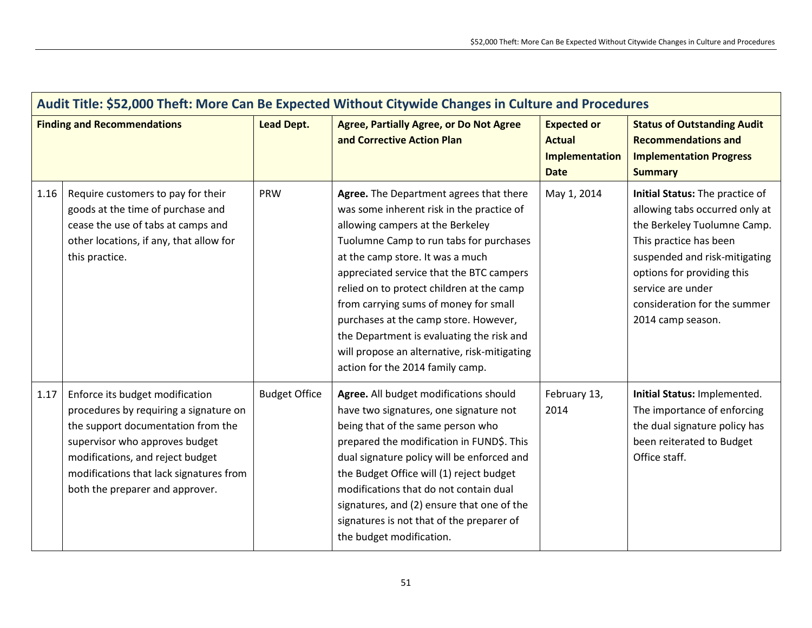| Audit Title: \$52,000 Theft: More Can Be Expected Without Citywide Changes in Culture and Procedures |                                                                                                                                                                                                                                                                     |                      |                                                                                                                                                                                                                                                                                                                                                                                                                                                                                                                     |                                                                      |                                                                                                                                                                                                                                                                     |
|------------------------------------------------------------------------------------------------------|---------------------------------------------------------------------------------------------------------------------------------------------------------------------------------------------------------------------------------------------------------------------|----------------------|---------------------------------------------------------------------------------------------------------------------------------------------------------------------------------------------------------------------------------------------------------------------------------------------------------------------------------------------------------------------------------------------------------------------------------------------------------------------------------------------------------------------|----------------------------------------------------------------------|---------------------------------------------------------------------------------------------------------------------------------------------------------------------------------------------------------------------------------------------------------------------|
|                                                                                                      | <b>Finding and Recommendations</b>                                                                                                                                                                                                                                  | <b>Lead Dept.</b>    | <b>Agree, Partially Agree, or Do Not Agree</b><br>and Corrective Action Plan                                                                                                                                                                                                                                                                                                                                                                                                                                        | <b>Expected or</b><br><b>Actual</b><br>Implementation<br><b>Date</b> | <b>Status of Outstanding Audit</b><br><b>Recommendations and</b><br><b>Implementation Progress</b><br><b>Summary</b>                                                                                                                                                |
| 1.16                                                                                                 | Require customers to pay for their<br>goods at the time of purchase and<br>cease the use of tabs at camps and<br>other locations, if any, that allow for<br>this practice.                                                                                          | PRW                  | Agree. The Department agrees that there<br>was some inherent risk in the practice of<br>allowing campers at the Berkeley<br>Tuolumne Camp to run tabs for purchases<br>at the camp store. It was a much<br>appreciated service that the BTC campers<br>relied on to protect children at the camp<br>from carrying sums of money for small<br>purchases at the camp store. However,<br>the Department is evaluating the risk and<br>will propose an alternative, risk-mitigating<br>action for the 2014 family camp. | May 1, 2014                                                          | Initial Status: The practice of<br>allowing tabs occurred only at<br>the Berkeley Tuolumne Camp.<br>This practice has been<br>suspended and risk-mitigating<br>options for providing this<br>service are under<br>consideration for the summer<br>2014 camp season. |
| 1.17                                                                                                 | Enforce its budget modification<br>procedures by requiring a signature on<br>the support documentation from the<br>supervisor who approves budget<br>modifications, and reject budget<br>modifications that lack signatures from<br>both the preparer and approver. | <b>Budget Office</b> | Agree. All budget modifications should<br>have two signatures, one signature not<br>being that of the same person who<br>prepared the modification in FUND\$. This<br>dual signature policy will be enforced and<br>the Budget Office will (1) reject budget<br>modifications that do not contain dual<br>signatures, and (2) ensure that one of the<br>signatures is not that of the preparer of<br>the budget modification.                                                                                       | February 13,<br>2014                                                 | Initial Status: Implemented.<br>The importance of enforcing<br>the dual signature policy has<br>been reiterated to Budget<br>Office staff.                                                                                                                          |

 $\mathbf{r}$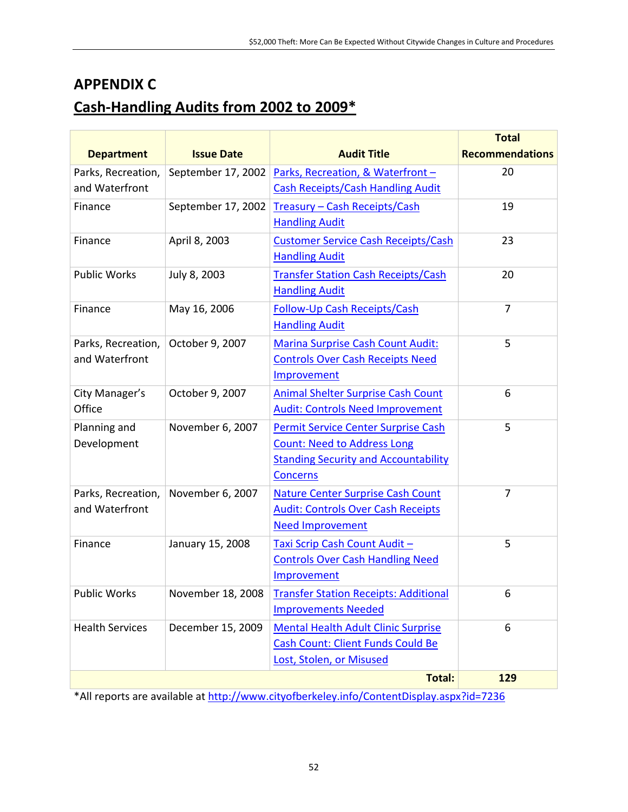### **APPENDIX C**

# **Cash-Handling Audits from 2002 to 2009\***

|                        |                    |                                              | <b>Total</b>           |
|------------------------|--------------------|----------------------------------------------|------------------------|
| <b>Department</b>      | <b>Issue Date</b>  | <b>Audit Title</b>                           | <b>Recommendations</b> |
| Parks, Recreation,     | September 17, 2002 | Parks, Recreation, & Waterfront-             | 20                     |
| and Waterfront         |                    | <b>Cash Receipts/Cash Handling Audit</b>     |                        |
| Finance                | September 17, 2002 | Treasury - Cash Receipts/Cash                | 19                     |
|                        |                    | <b>Handling Audit</b>                        |                        |
| Finance                | April 8, 2003      | <b>Customer Service Cash Receipts/Cash</b>   | 23                     |
|                        |                    | <b>Handling Audit</b>                        |                        |
| <b>Public Works</b>    | July 8, 2003       | <b>Transfer Station Cash Receipts/Cash</b>   | 20                     |
|                        |                    | <b>Handling Audit</b>                        |                        |
| Finance                | May 16, 2006       | <b>Follow-Up Cash Receipts/Cash</b>          | $\overline{7}$         |
|                        |                    | <b>Handling Audit</b>                        |                        |
| Parks, Recreation,     | October 9, 2007    | <b>Marina Surprise Cash Count Audit:</b>     | 5                      |
| and Waterfront         |                    | <b>Controls Over Cash Receipts Need</b>      |                        |
|                        |                    | Improvement                                  |                        |
| City Manager's         | October 9, 2007    | <b>Animal Shelter Surprise Cash Count</b>    | 6                      |
| Office                 |                    | <b>Audit: Controls Need Improvement</b>      |                        |
| Planning and           | November 6, 2007   | Permit Service Center Surprise Cash          | 5                      |
| Development            |                    | <b>Count: Need to Address Long</b>           |                        |
|                        |                    | <b>Standing Security and Accountability</b>  |                        |
|                        |                    | <b>Concerns</b>                              |                        |
| Parks, Recreation,     | November 6, 2007   | <b>Nature Center Surprise Cash Count</b>     | $\overline{7}$         |
| and Waterfront         |                    | <b>Audit: Controls Over Cash Receipts</b>    |                        |
|                        |                    | <b>Need Improvement</b>                      |                        |
| Finance                | January 15, 2008   | Taxi Scrip Cash Count Audit -                | 5                      |
|                        |                    | <b>Controls Over Cash Handling Need</b>      |                        |
|                        |                    | Improvement                                  |                        |
| <b>Public Works</b>    | November 18, 2008  | <b>Transfer Station Receipts: Additional</b> | 6                      |
|                        |                    | <b>Improvements Needed</b>                   |                        |
| <b>Health Services</b> | December 15, 2009  | <b>Mental Health Adult Clinic Surprise</b>   | 6                      |
|                        |                    | <b>Cash Count: Client Funds Could Be</b>     |                        |
|                        |                    | Lost, Stolen, or Misused                     |                        |
|                        |                    | <b>Total:</b>                                | 129                    |

\*All reports are available at <http://www.cityofberkeley.info/ContentDisplay.aspx?id=7236>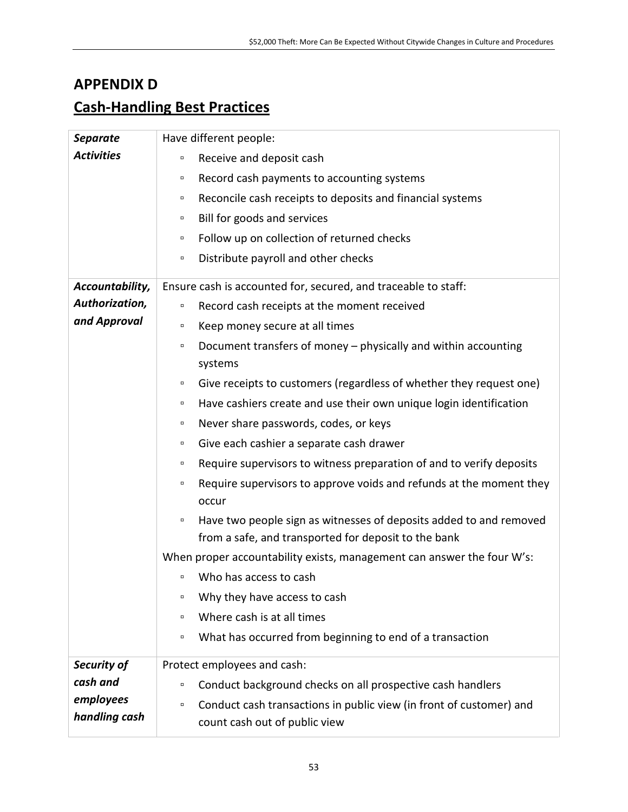### **APPENDIX D**

# **Cash-Handling Best Practices**

| <b>Separate</b>            | Have different people:                                                                                                               |
|----------------------------|--------------------------------------------------------------------------------------------------------------------------------------|
| <b>Activities</b>          | Receive and deposit cash<br>$\Box$                                                                                                   |
|                            | Record cash payments to accounting systems<br>α                                                                                      |
|                            | Reconcile cash receipts to deposits and financial systems<br>$\Box$                                                                  |
|                            | Bill for goods and services<br>$\Box$                                                                                                |
|                            | Follow up on collection of returned checks<br>$\Box$                                                                                 |
|                            | Distribute payroll and other checks<br>$\Box$                                                                                        |
| Accountability,            | Ensure cash is accounted for, secured, and traceable to staff:                                                                       |
| Authorization,             | Record cash receipts at the moment received<br>$\Box$                                                                                |
| and Approval               | Keep money secure at all times<br>$\Box$                                                                                             |
|                            | Document transfers of money - physically and within accounting<br>$\Box$<br>systems                                                  |
|                            | Give receipts to customers (regardless of whether they request one)<br>$\Box$                                                        |
|                            | Have cashiers create and use their own unique login identification<br>α                                                              |
|                            | Never share passwords, codes, or keys<br>α                                                                                           |
|                            | Give each cashier a separate cash drawer<br>α                                                                                        |
|                            | Require supervisors to witness preparation of and to verify deposits<br>$\Box$                                                       |
|                            | Require supervisors to approve voids and refunds at the moment they<br>$\Box$<br>occur                                               |
|                            | Have two people sign as witnesses of deposits added to and removed<br>$\Box$<br>from a safe, and transported for deposit to the bank |
|                            | When proper accountability exists, management can answer the four W's:                                                               |
|                            | Who has access to cash<br>$\Box$                                                                                                     |
|                            | Why they have access to cash<br>$\Box$                                                                                               |
|                            | Where cash is at all times<br>$\Box$                                                                                                 |
|                            | What has occurred from beginning to end of a transaction<br>$\Box$                                                                   |
| Security of                | Protect employees and cash:                                                                                                          |
| cash and                   | Conduct background checks on all prospective cash handlers<br>$\Box$                                                                 |
| employees<br>handling cash | Conduct cash transactions in public view (in front of customer) and<br>$\Box$<br>count cash out of public view                       |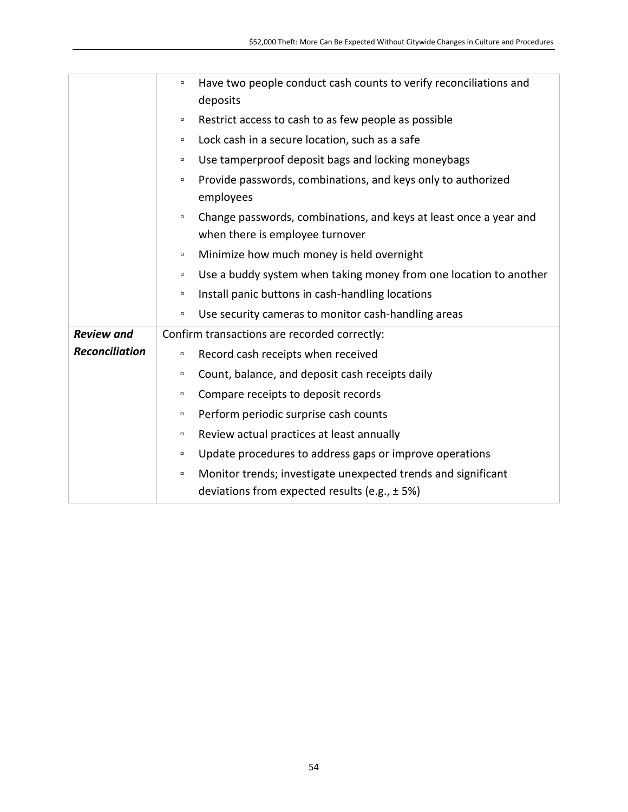|                       | Have two people conduct cash counts to verify reconciliations and<br>$\Box$<br>deposits                                      |
|-----------------------|------------------------------------------------------------------------------------------------------------------------------|
|                       | Restrict access to cash to as few people as possible<br>α                                                                    |
|                       | Lock cash in a secure location, such as a safe<br>α.                                                                         |
|                       | Use tamperproof deposit bags and locking moneybags<br>$\Box$                                                                 |
|                       | Provide passwords, combinations, and keys only to authorized<br>$\Box$<br>employees                                          |
|                       | Change passwords, combinations, and keys at least once a year and<br>$\Box$<br>when there is employee turnover               |
|                       | Minimize how much money is held overnight<br>$\Box$                                                                          |
|                       | Use a buddy system when taking money from one location to another<br>$\Box$                                                  |
|                       | Install panic buttons in cash-handling locations<br>α                                                                        |
|                       | Use security cameras to monitor cash-handling areas<br>α.                                                                    |
| <b>Review and</b>     | Confirm transactions are recorded correctly:                                                                                 |
| <b>Reconciliation</b> | Record cash receipts when received<br>$\Box$                                                                                 |
|                       | Count, balance, and deposit cash receipts daily<br>α                                                                         |
|                       | Compare receipts to deposit records<br>α                                                                                     |
|                       | Perform periodic surprise cash counts<br>$\Box$                                                                              |
|                       | Review actual practices at least annually<br>α                                                                               |
|                       | Update procedures to address gaps or improve operations<br>$\Box$                                                            |
|                       | Monitor trends; investigate unexpected trends and significant<br>$\Box$<br>deviations from expected results (e.g., $\pm$ 5%) |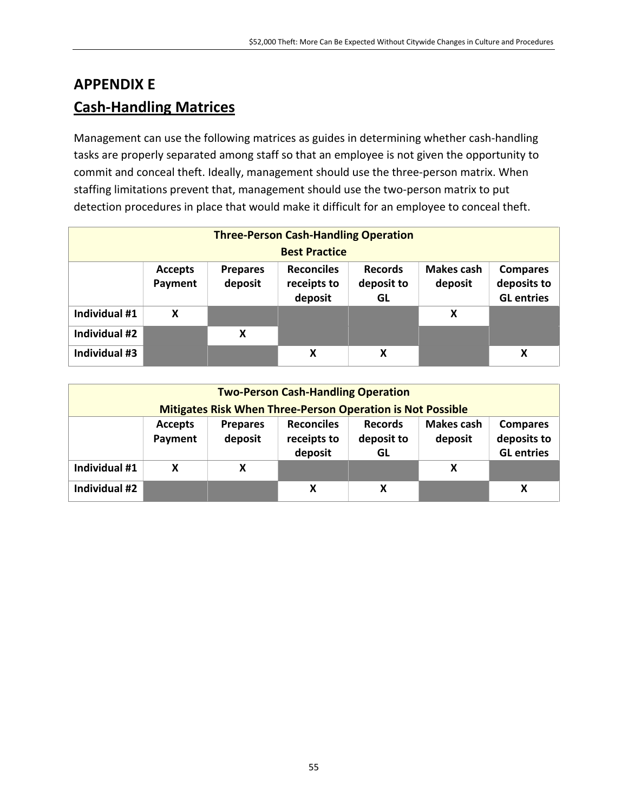# **APPENDIX E Cash-Handling Matrices**

Management can use the following matrices as guides in determining whether cash-handling tasks are properly separated among staff so that an employee is not given the opportunity to commit and conceal theft. Ideally, management should use the three-person matrix. When staffing limitations prevent that, management should use the two-person matrix to put detection procedures in place that would make it difficult for an employee to conceal theft.

| <b>Three-Person Cash-Handling Operation</b> |                           |                            |                                             |                                    |                              |                                                     |
|---------------------------------------------|---------------------------|----------------------------|---------------------------------------------|------------------------------------|------------------------------|-----------------------------------------------------|
|                                             |                           |                            | <b>Best Practice</b>                        |                                    |                              |                                                     |
|                                             | <b>Accepts</b><br>Payment | <b>Prepares</b><br>deposit | <b>Reconciles</b><br>receipts to<br>deposit | <b>Records</b><br>deposit to<br>GL | <b>Makes cash</b><br>deposit | <b>Compares</b><br>deposits to<br><b>GL</b> entries |
| Individual #1                               | X                         |                            |                                             |                                    | X                            |                                                     |
| Individual #2                               |                           | χ                          |                                             |                                    |                              |                                                     |
| Individual #3                               |                           |                            | X                                           | X                                  |                              | X                                                   |

| <b>Two-Person Cash-Handling Operation</b> |                           |                            |                                                                   |                                    |                              |                                                     |
|-------------------------------------------|---------------------------|----------------------------|-------------------------------------------------------------------|------------------------------------|------------------------------|-----------------------------------------------------|
|                                           |                           |                            | <b>Mitigates Risk When Three-Person Operation is Not Possible</b> |                                    |                              |                                                     |
|                                           | <b>Accepts</b><br>Payment | <b>Prepares</b><br>deposit | <b>Reconciles</b><br>receipts to<br>deposit                       | <b>Records</b><br>deposit to<br>GL | <b>Makes cash</b><br>deposit | <b>Compares</b><br>deposits to<br><b>GL</b> entries |
| Individual #1                             | X                         | X                          |                                                                   |                                    | X                            |                                                     |
| Individual #2                             |                           |                            | X                                                                 | X                                  |                              | X                                                   |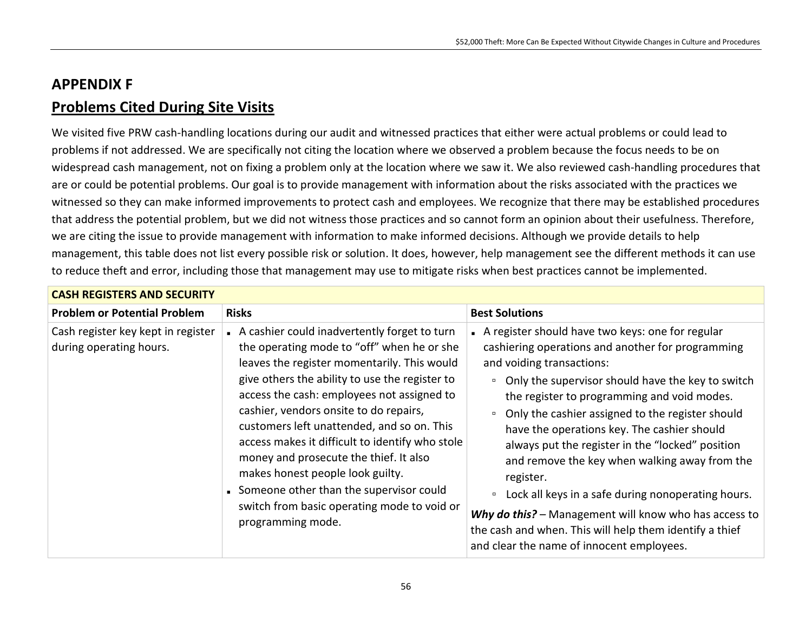## **APPENDIX F Problems Cited During Site Visits**

We visited five PRW cash-handling locations during our audit and witnessed practices that either were actual problems or could lead to problems if not addressed. We are specifically not citing the location where we observed a problem because the focus needs to be on widespread cash management, not on fixing a problem only at the location where we saw it. We also reviewed cash-handling procedures that are or could be potential problems. Our goal is to provide management with information about the risks associated with the practices we witnessed so they can make informed improvements to protect cash and employees. We recognize that there may be established procedures that address the potential problem, but we did not witness those practices and so cannot form an opinion about their usefulness. Therefore, we are citing the issue to provide management with information to make informed decisions. Although we provide details to help management, this table does not list every possible risk or solution. It does, however, help management see the different methods it can use to reduce theft and error, including those that management may use to mitigate risks when best practices cannot be implemented.

| <b>CASH REGISTERS AND SECURITY</b>                            |                                                                                                                                                                                                                                                                                                                                                                                                                                                                                                                                                                                   |                                                                                                                                                                                                                                                                                                                                                                                                                                                                                                                                                                                                                                                                                                                  |
|---------------------------------------------------------------|-----------------------------------------------------------------------------------------------------------------------------------------------------------------------------------------------------------------------------------------------------------------------------------------------------------------------------------------------------------------------------------------------------------------------------------------------------------------------------------------------------------------------------------------------------------------------------------|------------------------------------------------------------------------------------------------------------------------------------------------------------------------------------------------------------------------------------------------------------------------------------------------------------------------------------------------------------------------------------------------------------------------------------------------------------------------------------------------------------------------------------------------------------------------------------------------------------------------------------------------------------------------------------------------------------------|
| <b>Problem or Potential Problem</b>                           | <b>Risks</b>                                                                                                                                                                                                                                                                                                                                                                                                                                                                                                                                                                      | <b>Best Solutions</b>                                                                                                                                                                                                                                                                                                                                                                                                                                                                                                                                                                                                                                                                                            |
| Cash register key kept in register<br>during operating hours. | A cashier could inadvertently forget to turn<br>the operating mode to "off" when he or she<br>leaves the register momentarily. This would<br>give others the ability to use the register to<br>access the cash: employees not assigned to<br>cashier, vendors onsite to do repairs,<br>customers left unattended, and so on. This<br>access makes it difficult to identify who stole<br>money and prosecute the thief. It also<br>makes honest people look guilty.<br>Someone other than the supervisor could<br>switch from basic operating mode to void or<br>programming mode. | A register should have two keys: one for regular<br>cashiering operations and another for programming<br>and voiding transactions:<br>Only the supervisor should have the key to switch<br>$\Box$<br>the register to programming and void modes.<br>Only the cashier assigned to the register should<br>$\Box$<br>have the operations key. The cashier should<br>always put the register in the "locked" position<br>and remove the key when walking away from the<br>register.<br>Lock all keys in a safe during nonoperating hours.<br>$\Box$<br>Why do this? - Management will know who has access to<br>the cash and when. This will help them identify a thief<br>and clear the name of innocent employees. |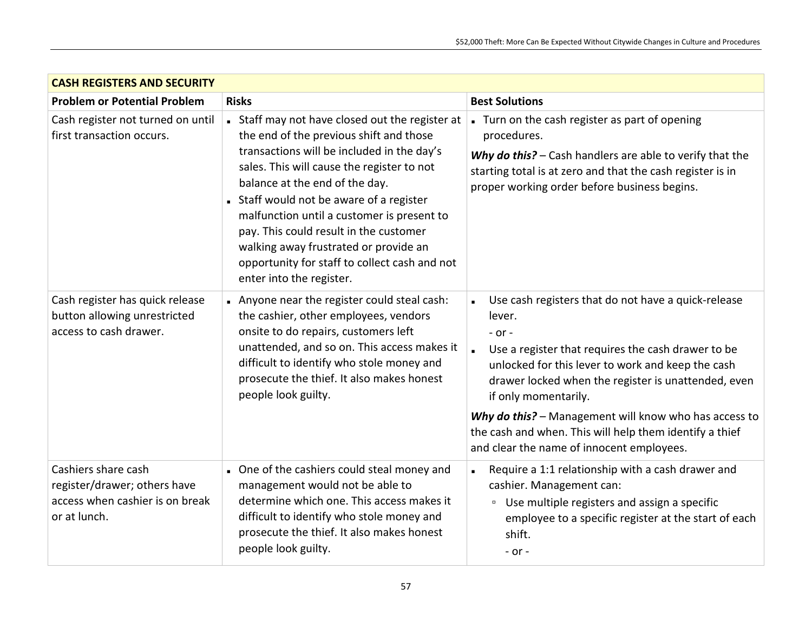| <b>CASH REGISTERS AND SECURITY</b>                                                                     |                                                                                                                                                                                                                                                                                                                                                                                                                                                                                |                                                                                                                                                                                                                                                                                                                                                                                                                                        |
|--------------------------------------------------------------------------------------------------------|--------------------------------------------------------------------------------------------------------------------------------------------------------------------------------------------------------------------------------------------------------------------------------------------------------------------------------------------------------------------------------------------------------------------------------------------------------------------------------|----------------------------------------------------------------------------------------------------------------------------------------------------------------------------------------------------------------------------------------------------------------------------------------------------------------------------------------------------------------------------------------------------------------------------------------|
| <b>Problem or Potential Problem</b>                                                                    | <b>Risks</b>                                                                                                                                                                                                                                                                                                                                                                                                                                                                   | <b>Best Solutions</b>                                                                                                                                                                                                                                                                                                                                                                                                                  |
| Cash register not turned on until<br>first transaction occurs.                                         | Staff may not have closed out the register at<br>the end of the previous shift and those<br>transactions will be included in the day's<br>sales. This will cause the register to not<br>balance at the end of the day.<br>Staff would not be aware of a register<br>malfunction until a customer is present to<br>pay. This could result in the customer<br>walking away frustrated or provide an<br>opportunity for staff to collect cash and not<br>enter into the register. | Turn on the cash register as part of opening<br>procedures.<br>Why do this? - Cash handlers are able to verify that the<br>starting total is at zero and that the cash register is in<br>proper working order before business begins.                                                                                                                                                                                                  |
| Cash register has quick release<br>button allowing unrestricted<br>access to cash drawer.              | Anyone near the register could steal cash:<br>the cashier, other employees, vendors<br>onsite to do repairs, customers left<br>unattended, and so on. This access makes it<br>difficult to identify who stole money and<br>prosecute the thief. It also makes honest<br>people look guilty.                                                                                                                                                                                    | Use cash registers that do not have a quick-release<br>lever.<br>$-$ or $-$<br>Use a register that requires the cash drawer to be<br>unlocked for this lever to work and keep the cash<br>drawer locked when the register is unattended, even<br>if only momentarily.<br>Why do this? - Management will know who has access to<br>the cash and when. This will help them identify a thief<br>and clear the name of innocent employees. |
| Cashiers share cash<br>register/drawer; others have<br>access when cashier is on break<br>or at lunch. | One of the cashiers could steal money and<br>management would not be able to<br>determine which one. This access makes it<br>difficult to identify who stole money and<br>prosecute the thief. It also makes honest<br>people look guilty.                                                                                                                                                                                                                                     | Require a 1:1 relationship with a cash drawer and<br>$\blacksquare$<br>cashier. Management can:<br><sup>□</sup> Use multiple registers and assign a specific<br>employee to a specific register at the start of each<br>shift.<br>$-$ or $-$                                                                                                                                                                                           |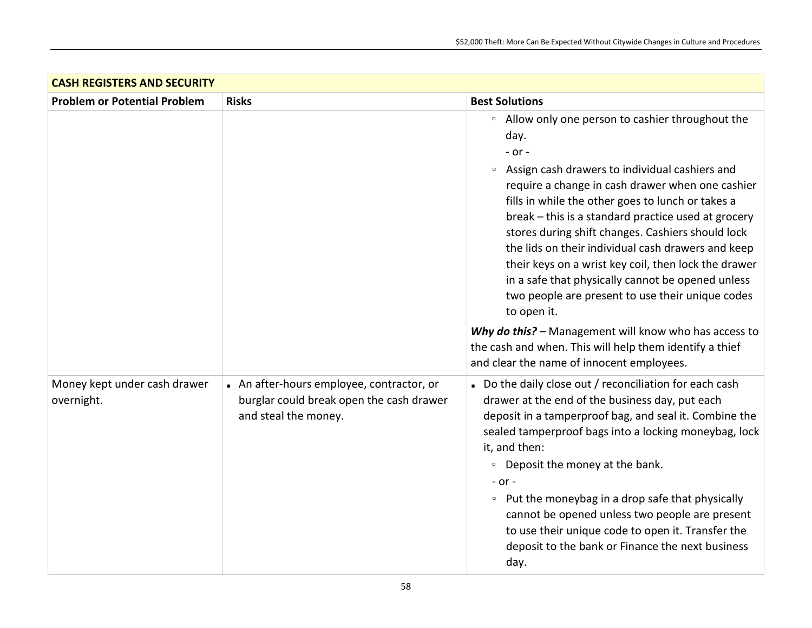| <b>CASH REGISTERS AND SECURITY</b>         |                                                                                                             |                                                                                                                                                                                                                                                                                                                                                                                                                                                                                                                                                                                                           |
|--------------------------------------------|-------------------------------------------------------------------------------------------------------------|-----------------------------------------------------------------------------------------------------------------------------------------------------------------------------------------------------------------------------------------------------------------------------------------------------------------------------------------------------------------------------------------------------------------------------------------------------------------------------------------------------------------------------------------------------------------------------------------------------------|
| <b>Problem or Potential Problem</b>        | <b>Risks</b>                                                                                                | <b>Best Solutions</b>                                                                                                                                                                                                                                                                                                                                                                                                                                                                                                                                                                                     |
|                                            |                                                                                                             | <sup>o</sup> Allow only one person to cashier throughout the<br>day.<br>$-$ or $-$<br>Assign cash drawers to individual cashiers and<br>$\Box$<br>require a change in cash drawer when one cashier<br>fills in while the other goes to lunch or takes a<br>break - this is a standard practice used at grocery<br>stores during shift changes. Cashiers should lock<br>the lids on their individual cash drawers and keep<br>their keys on a wrist key coil, then lock the drawer<br>in a safe that physically cannot be opened unless<br>two people are present to use their unique codes<br>to open it. |
|                                            |                                                                                                             | Why do this? - Management will know who has access to<br>the cash and when. This will help them identify a thief<br>and clear the name of innocent employees.                                                                                                                                                                                                                                                                                                                                                                                                                                             |
| Money kept under cash drawer<br>overnight. | An after-hours employee, contractor, or<br>burglar could break open the cash drawer<br>and steal the money. | Do the daily close out / reconciliation for each cash<br>drawer at the end of the business day, put each<br>deposit in a tamperproof bag, and seal it. Combine the<br>sealed tamperproof bags into a locking moneybag, lock<br>it, and then:<br><sup>o</sup> Deposit the money at the bank.<br>$-$ or $-$<br>• Put the moneybag in a drop safe that physically<br>cannot be opened unless two people are present<br>to use their unique code to open it. Transfer the<br>deposit to the bank or Finance the next business<br>day.                                                                         |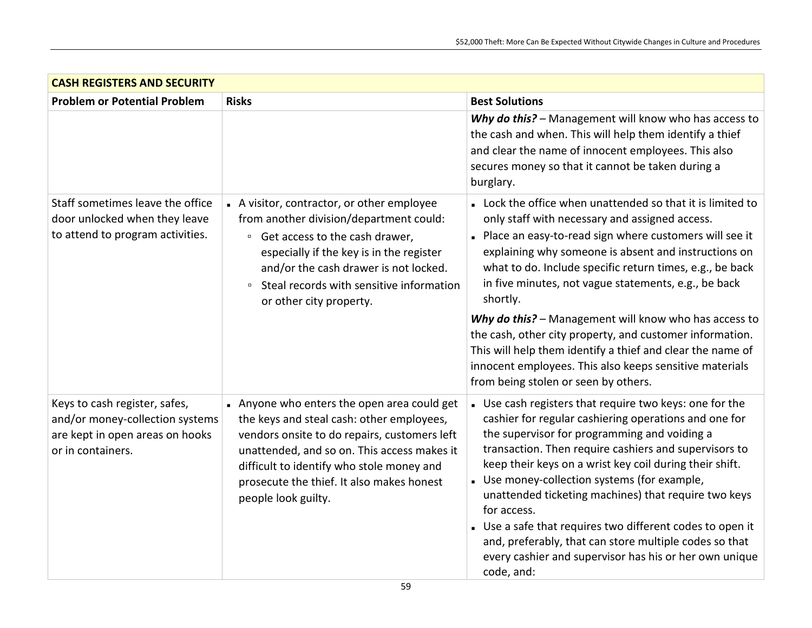| <b>CASH REGISTERS AND SECURITY</b>                                                                                       |                                                                                                                                                                                                                                                                                                          |                                                                                                                                                                                                                                                                                                                                                                                                                                                                                                                                                                                                                                                      |
|--------------------------------------------------------------------------------------------------------------------------|----------------------------------------------------------------------------------------------------------------------------------------------------------------------------------------------------------------------------------------------------------------------------------------------------------|------------------------------------------------------------------------------------------------------------------------------------------------------------------------------------------------------------------------------------------------------------------------------------------------------------------------------------------------------------------------------------------------------------------------------------------------------------------------------------------------------------------------------------------------------------------------------------------------------------------------------------------------------|
| <b>Problem or Potential Problem</b>                                                                                      | <b>Risks</b>                                                                                                                                                                                                                                                                                             | <b>Best Solutions</b>                                                                                                                                                                                                                                                                                                                                                                                                                                                                                                                                                                                                                                |
|                                                                                                                          |                                                                                                                                                                                                                                                                                                          | Why do this? - Management will know who has access to<br>the cash and when. This will help them identify a thief<br>and clear the name of innocent employees. This also<br>secures money so that it cannot be taken during a<br>burglary.                                                                                                                                                                                                                                                                                                                                                                                                            |
| Staff sometimes leave the office<br>door unlocked when they leave<br>to attend to program activities.                    | A visitor, contractor, or other employee<br>from another division/department could:<br><sup>□</sup> Get access to the cash drawer,<br>especially if the key is in the register<br>and/or the cash drawer is not locked.<br>Steal records with sensitive information<br>$\Box$<br>or other city property. | Lock the office when unattended so that it is limited to<br>only staff with necessary and assigned access.<br>- Place an easy-to-read sign where customers will see it<br>explaining why someone is absent and instructions on<br>what to do. Include specific return times, e.g., be back<br>in five minutes, not vague statements, e.g., be back<br>shortly.<br>Why do this? - Management will know who has access to<br>the cash, other city property, and customer information.<br>This will help them identify a thief and clear the name of<br>innocent employees. This also keeps sensitive materials<br>from being stolen or seen by others. |
| Keys to cash register, safes,<br>and/or money-collection systems<br>are kept in open areas on hooks<br>or in containers. | Anyone who enters the open area could get<br>the keys and steal cash: other employees,<br>vendors onsite to do repairs, customers left<br>unattended, and so on. This access makes it<br>difficult to identify who stole money and<br>prosecute the thief. It also makes honest<br>people look guilty.   | . Use cash registers that require two keys: one for the<br>cashier for regular cashiering operations and one for<br>the supervisor for programming and voiding a<br>transaction. Then require cashiers and supervisors to<br>keep their keys on a wrist key coil during their shift.<br>• Use money-collection systems (for example,<br>unattended ticketing machines) that require two keys<br>for access.<br>. Use a safe that requires two different codes to open it<br>and, preferably, that can store multiple codes so that<br>every cashier and supervisor has his or her own unique<br>code, and:                                           |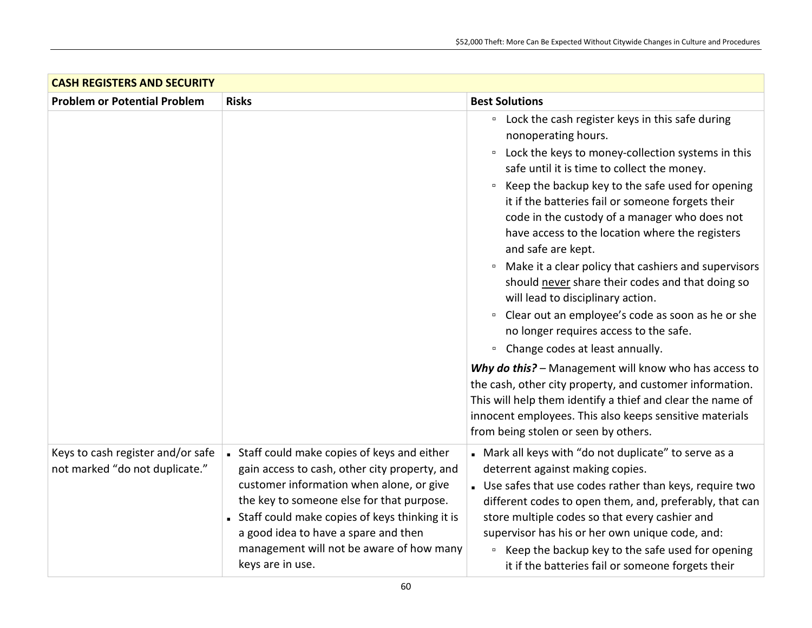| <b>CASH REGISTERS AND SECURITY</b>                                  |                                                                                                                                                                                                                                                                                                                                                    |                                                                                                                                                                                                                                                                                                                                                                                                                                                                                                                                                                                                                                                                                                                                                                                                                                                                                              |
|---------------------------------------------------------------------|----------------------------------------------------------------------------------------------------------------------------------------------------------------------------------------------------------------------------------------------------------------------------------------------------------------------------------------------------|----------------------------------------------------------------------------------------------------------------------------------------------------------------------------------------------------------------------------------------------------------------------------------------------------------------------------------------------------------------------------------------------------------------------------------------------------------------------------------------------------------------------------------------------------------------------------------------------------------------------------------------------------------------------------------------------------------------------------------------------------------------------------------------------------------------------------------------------------------------------------------------------|
| <b>Problem or Potential Problem</b>                                 | <b>Risks</b>                                                                                                                                                                                                                                                                                                                                       | <b>Best Solutions</b>                                                                                                                                                                                                                                                                                                                                                                                                                                                                                                                                                                                                                                                                                                                                                                                                                                                                        |
|                                                                     |                                                                                                                                                                                                                                                                                                                                                    | Lock the cash register keys in this safe during<br>$\Box$<br>nonoperating hours.<br>Lock the keys to money-collection systems in this<br>$\Box$<br>safe until it is time to collect the money.<br>Keep the backup key to the safe used for opening<br>$\Box$<br>it if the batteries fail or someone forgets their<br>code in the custody of a manager who does not<br>have access to the location where the registers<br>and safe are kept.<br><sup>□</sup> Make it a clear policy that cashiers and supervisors<br>should never share their codes and that doing so<br>will lead to disciplinary action.<br>Clear out an employee's code as soon as he or she<br>$\blacksquare$<br>no longer requires access to the safe.<br>Change codes at least annually.<br>$\Box$<br>Why do this? - Management will know who has access to<br>the cash, other city property, and customer information. |
|                                                                     |                                                                                                                                                                                                                                                                                                                                                    | This will help them identify a thief and clear the name of<br>innocent employees. This also keeps sensitive materials<br>from being stolen or seen by others.                                                                                                                                                                                                                                                                                                                                                                                                                                                                                                                                                                                                                                                                                                                                |
| Keys to cash register and/or safe<br>not marked "do not duplicate." | • Staff could make copies of keys and either<br>gain access to cash, other city property, and<br>customer information when alone, or give<br>the key to someone else for that purpose.<br>• Staff could make copies of keys thinking it is<br>a good idea to have a spare and then<br>management will not be aware of how many<br>keys are in use. | Mark all keys with "do not duplicate" to serve as a<br>deterrent against making copies.<br>Use safes that use codes rather than keys, require two<br>different codes to open them, and, preferably, that can<br>store multiple codes so that every cashier and<br>supervisor has his or her own unique code, and:<br><sup>□</sup> Keep the backup key to the safe used for opening<br>it if the batteries fail or someone forgets their                                                                                                                                                                                                                                                                                                                                                                                                                                                      |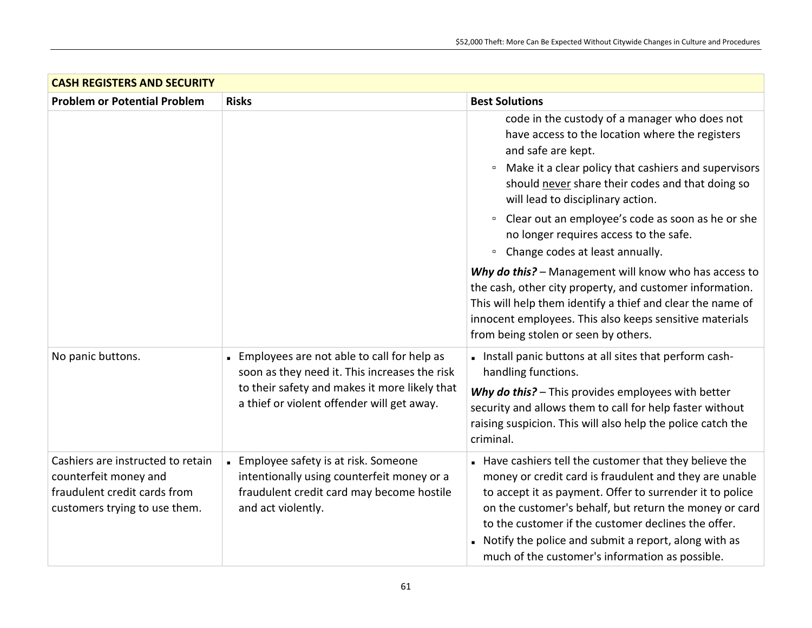| <b>CASH REGISTERS AND SECURITY</b>                                                                                          |                                                                                                                                                                                            |                                                                                                                                                                                                                                                                                                                                                                                                         |
|-----------------------------------------------------------------------------------------------------------------------------|--------------------------------------------------------------------------------------------------------------------------------------------------------------------------------------------|---------------------------------------------------------------------------------------------------------------------------------------------------------------------------------------------------------------------------------------------------------------------------------------------------------------------------------------------------------------------------------------------------------|
| <b>Problem or Potential Problem</b>                                                                                         | <b>Risks</b>                                                                                                                                                                               | <b>Best Solutions</b>                                                                                                                                                                                                                                                                                                                                                                                   |
|                                                                                                                             |                                                                                                                                                                                            | code in the custody of a manager who does not<br>have access to the location where the registers<br>and safe are kept.<br>Make it a clear policy that cashiers and supervisors<br>$\Box$<br>should never share their codes and that doing so<br>will lead to disciplinary action.                                                                                                                       |
|                                                                                                                             |                                                                                                                                                                                            | Clear out an employee's code as soon as he or she<br>$\Box$<br>no longer requires access to the safe.<br>Change codes at least annually.<br>$\Box$                                                                                                                                                                                                                                                      |
|                                                                                                                             |                                                                                                                                                                                            | Why do this? - Management will know who has access to<br>the cash, other city property, and customer information.<br>This will help them identify a thief and clear the name of<br>innocent employees. This also keeps sensitive materials<br>from being stolen or seen by others.                                                                                                                      |
| No panic buttons.                                                                                                           | Employees are not able to call for help as<br>soon as they need it. This increases the risk<br>to their safety and makes it more likely that<br>a thief or violent offender will get away. | - Install panic buttons at all sites that perform cash-<br>handling functions.<br>Why do this? - This provides employees with better<br>security and allows them to call for help faster without<br>raising suspicion. This will also help the police catch the<br>criminal.                                                                                                                            |
| Cashiers are instructed to retain<br>counterfeit money and<br>fraudulent credit cards from<br>customers trying to use them. | - Employee safety is at risk. Someone<br>intentionally using counterfeit money or a<br>fraudulent credit card may become hostile<br>and act violently.                                     | Have cashiers tell the customer that they believe the<br>money or credit card is fraudulent and they are unable<br>to accept it as payment. Offer to surrender it to police<br>on the customer's behalf, but return the money or card<br>to the customer if the customer declines the offer.<br>Notify the police and submit a report, along with as<br>much of the customer's information as possible. |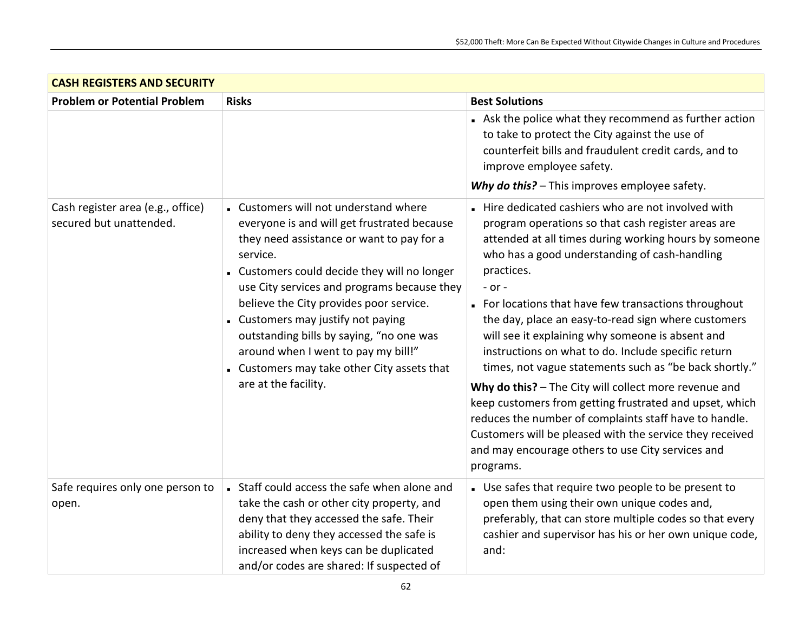| <b>CASH REGISTERS AND SECURITY</b>                           |                                                                                                                                                                                                                                                                                                                                                                                                                                                                                         |                                                                                                                                                                                                                                                                                                                                                                                                                                                                                                                                                                                                                                                                                                                                                                                                                                                |
|--------------------------------------------------------------|-----------------------------------------------------------------------------------------------------------------------------------------------------------------------------------------------------------------------------------------------------------------------------------------------------------------------------------------------------------------------------------------------------------------------------------------------------------------------------------------|------------------------------------------------------------------------------------------------------------------------------------------------------------------------------------------------------------------------------------------------------------------------------------------------------------------------------------------------------------------------------------------------------------------------------------------------------------------------------------------------------------------------------------------------------------------------------------------------------------------------------------------------------------------------------------------------------------------------------------------------------------------------------------------------------------------------------------------------|
| <b>Problem or Potential Problem</b>                          | <b>Risks</b>                                                                                                                                                                                                                                                                                                                                                                                                                                                                            | <b>Best Solutions</b>                                                                                                                                                                                                                                                                                                                                                                                                                                                                                                                                                                                                                                                                                                                                                                                                                          |
|                                                              |                                                                                                                                                                                                                                                                                                                                                                                                                                                                                         | Ask the police what they recommend as further action<br>to take to protect the City against the use of<br>counterfeit bills and fraudulent credit cards, and to<br>improve employee safety.<br>Why do this? - This improves employee safety.                                                                                                                                                                                                                                                                                                                                                                                                                                                                                                                                                                                                   |
| Cash register area (e.g., office)<br>secured but unattended. | - Customers will not understand where<br>everyone is and will get frustrated because<br>they need assistance or want to pay for a<br>service.<br>. Customers could decide they will no longer<br>use City services and programs because they<br>believe the City provides poor service.<br>- Customers may justify not paying<br>outstanding bills by saying, "no one was<br>around when I went to pay my bill!"<br>• Customers may take other City assets that<br>are at the facility. | Hire dedicated cashiers who are not involved with<br>program operations so that cash register areas are<br>attended at all times during working hours by someone<br>who has a good understanding of cash-handling<br>practices.<br>$-$ or $-$<br>• For locations that have few transactions throughout<br>the day, place an easy-to-read sign where customers<br>will see it explaining why someone is absent and<br>instructions on what to do. Include specific return<br>times, not vague statements such as "be back shortly."<br>Why do this? - The City will collect more revenue and<br>keep customers from getting frustrated and upset, which<br>reduces the number of complaints staff have to handle.<br>Customers will be pleased with the service they received<br>and may encourage others to use City services and<br>programs. |
| Safe requires only one person to<br>open.                    | Staff could access the safe when alone and<br>take the cash or other city property, and<br>deny that they accessed the safe. Their<br>ability to deny they accessed the safe is<br>increased when keys can be duplicated<br>and/or codes are shared: If suspected of                                                                                                                                                                                                                    | . Use safes that require two people to be present to<br>open them using their own unique codes and,<br>preferably, that can store multiple codes so that every<br>cashier and supervisor has his or her own unique code,<br>and:                                                                                                                                                                                                                                                                                                                                                                                                                                                                                                                                                                                                               |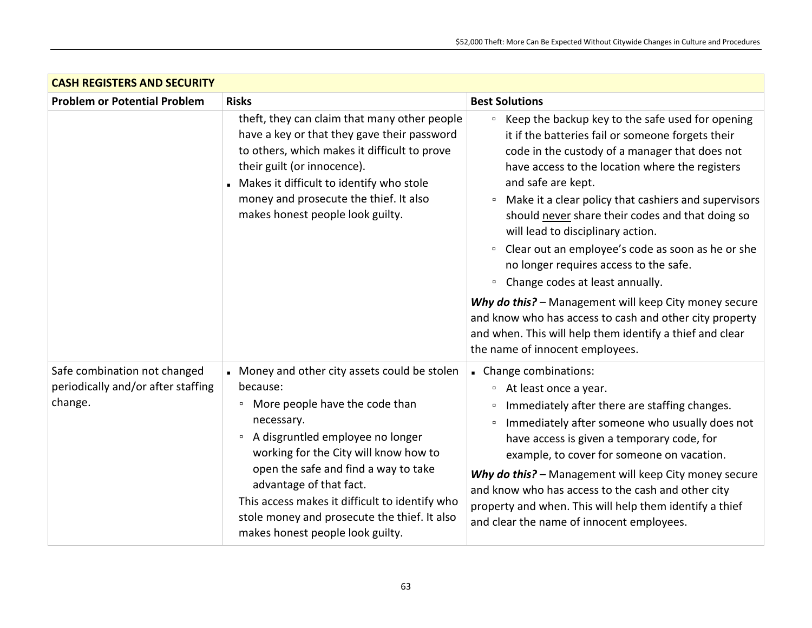| <b>CASH REGISTERS AND SECURITY</b>                                            |                                                                                                                                                                                                                                                                                                                                                                                                                                   |                                                                                                                                                                                                                                                                                                                                                                                                                                                                                                                                                                                                                                                                                                                                                                                        |
|-------------------------------------------------------------------------------|-----------------------------------------------------------------------------------------------------------------------------------------------------------------------------------------------------------------------------------------------------------------------------------------------------------------------------------------------------------------------------------------------------------------------------------|----------------------------------------------------------------------------------------------------------------------------------------------------------------------------------------------------------------------------------------------------------------------------------------------------------------------------------------------------------------------------------------------------------------------------------------------------------------------------------------------------------------------------------------------------------------------------------------------------------------------------------------------------------------------------------------------------------------------------------------------------------------------------------------|
| <b>Problem or Potential Problem</b>                                           | <b>Risks</b>                                                                                                                                                                                                                                                                                                                                                                                                                      | <b>Best Solutions</b>                                                                                                                                                                                                                                                                                                                                                                                                                                                                                                                                                                                                                                                                                                                                                                  |
|                                                                               | theft, they can claim that many other people<br>have a key or that they gave their password<br>to others, which makes it difficult to prove<br>their guilt (or innocence).<br>Makes it difficult to identify who stole<br>money and prosecute the thief. It also<br>makes honest people look guilty.                                                                                                                              | Keep the backup key to the safe used for opening<br>$\Box$<br>it if the batteries fail or someone forgets their<br>code in the custody of a manager that does not<br>have access to the location where the registers<br>and safe are kept.<br>Make it a clear policy that cashiers and supervisors<br>$\Box$<br>should never share their codes and that doing so<br>will lead to disciplinary action.<br>Clear out an employee's code as soon as he or she<br>$\blacksquare$<br>no longer requires access to the safe.<br>Change codes at least annually.<br>$\Box$<br>Why do this? - Management will keep City money secure<br>and know who has access to cash and other city property<br>and when. This will help them identify a thief and clear<br>the name of innocent employees. |
| Safe combination not changed<br>periodically and/or after staffing<br>change. | Money and other city assets could be stolen<br>because:<br>More people have the code than<br>$\blacksquare$<br>necessary.<br>A disgruntled employee no longer<br>$\blacksquare$<br>working for the City will know how to<br>open the safe and find a way to take<br>advantage of that fact.<br>This access makes it difficult to identify who<br>stole money and prosecute the thief. It also<br>makes honest people look guilty. | Change combinations:<br>At least once a year.<br>$\Box$<br>Immediately after there are staffing changes.<br>$\Box$<br>Immediately after someone who usually does not<br>$\Box$<br>have access is given a temporary code, for<br>example, to cover for someone on vacation.<br>Why do this? - Management will keep City money secure<br>and know who has access to the cash and other city<br>property and when. This will help them identify a thief<br>and clear the name of innocent employees.                                                                                                                                                                                                                                                                                      |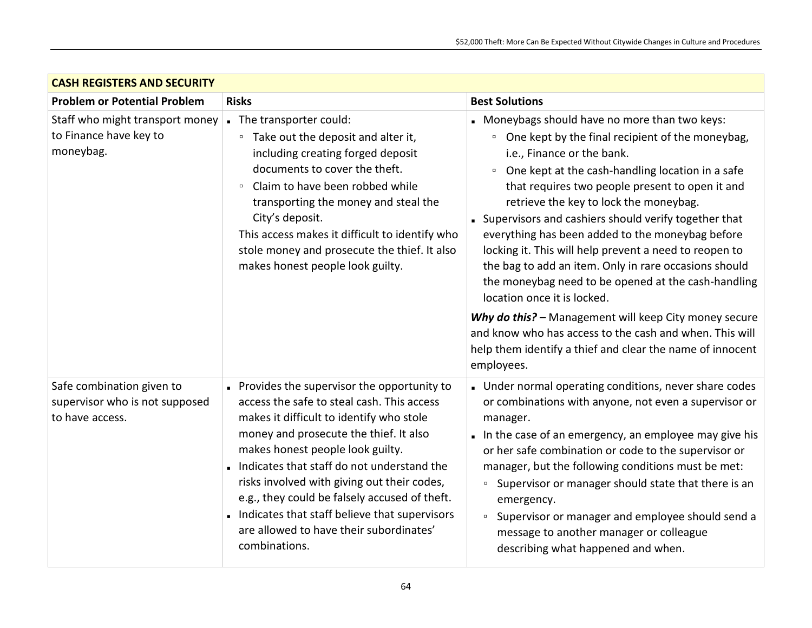| <b>CASH REGISTERS AND SECURITY</b>                                             |                                                                                                                                                                                                                                                                                                                                                                                                                                                                               |                                                                                                                                                                                                                                                                                                                                                                                                                                                                                                                                                                                                                                                                                                                                                                                                                   |
|--------------------------------------------------------------------------------|-------------------------------------------------------------------------------------------------------------------------------------------------------------------------------------------------------------------------------------------------------------------------------------------------------------------------------------------------------------------------------------------------------------------------------------------------------------------------------|-------------------------------------------------------------------------------------------------------------------------------------------------------------------------------------------------------------------------------------------------------------------------------------------------------------------------------------------------------------------------------------------------------------------------------------------------------------------------------------------------------------------------------------------------------------------------------------------------------------------------------------------------------------------------------------------------------------------------------------------------------------------------------------------------------------------|
| <b>Problem or Potential Problem</b>                                            | <b>Risks</b>                                                                                                                                                                                                                                                                                                                                                                                                                                                                  | <b>Best Solutions</b>                                                                                                                                                                                                                                                                                                                                                                                                                                                                                                                                                                                                                                                                                                                                                                                             |
| Staff who might transport money<br>to Finance have key to<br>moneybag.         | The transporter could:<br>Take out the deposit and alter it,<br>$\Box$<br>including creating forged deposit<br>documents to cover the theft.<br>Claim to have been robbed while<br>$\Box$<br>transporting the money and steal the<br>City's deposit.<br>This access makes it difficult to identify who<br>stole money and prosecute the thief. It also<br>makes honest people look guilty.                                                                                    | Moneybags should have no more than two keys:<br>• One kept by the final recipient of the moneybag,<br>i.e., Finance or the bank.<br>One kept at the cash-handling location in a safe<br>$\Box$<br>that requires two people present to open it and<br>retrieve the key to lock the moneybag.<br>• Supervisors and cashiers should verify together that<br>everything has been added to the moneybag before<br>locking it. This will help prevent a need to reopen to<br>the bag to add an item. Only in rare occasions should<br>the moneybag need to be opened at the cash-handling<br>location once it is locked.<br>Why do this? - Management will keep City money secure<br>and know who has access to the cash and when. This will<br>help them identify a thief and clear the name of innocent<br>employees. |
| Safe combination given to<br>supervisor who is not supposed<br>to have access. | Provides the supervisor the opportunity to<br>access the safe to steal cash. This access<br>makes it difficult to identify who stole<br>money and prosecute the thief. It also<br>makes honest people look guilty.<br>Indicates that staff do not understand the<br>risks involved with giving out their codes,<br>e.g., they could be falsely accused of theft.<br>Indicates that staff believe that supervisors<br>are allowed to have their subordinates'<br>combinations. | Under normal operating conditions, never share codes<br>or combinations with anyone, not even a supervisor or<br>manager.<br>In the case of an emergency, an employee may give his<br>or her safe combination or code to the supervisor or<br>manager, but the following conditions must be met:<br>Supervisor or manager should state that there is an<br>$\Box$<br>emergency.<br>Supervisor or manager and employee should send a<br>$\Box$<br>message to another manager or colleague<br>describing what happened and when.                                                                                                                                                                                                                                                                                    |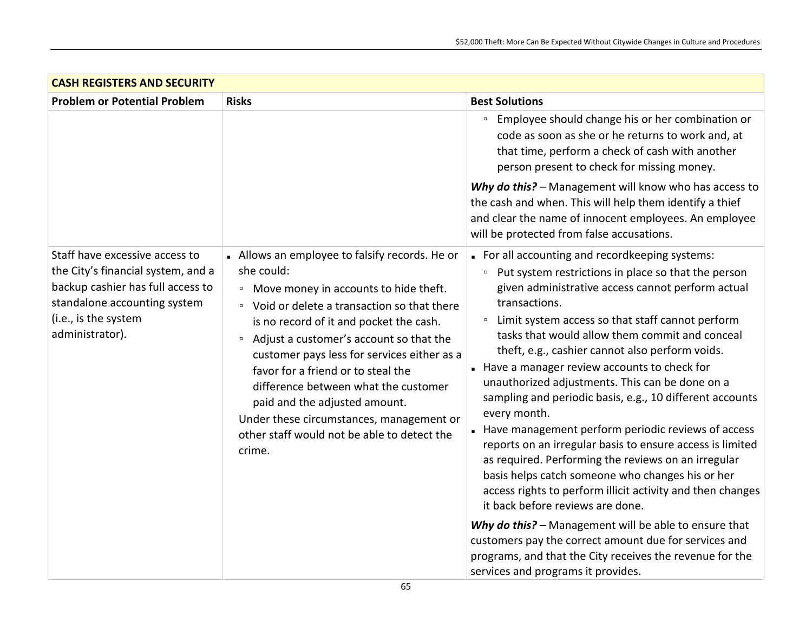| <b>CASH REGISTERS AND SECURITY</b>                                                                                                                                                                                                                                                                                                                                                                                                                                                                                                                                                                                                                                                                                            |                                                                                                                                                                                                                                                                                                                                                                                                                                                                                                                                                                                                                                                                                                                                                                                                                                                                                                                                  |                                                                                                                                                                                                                        |
|-------------------------------------------------------------------------------------------------------------------------------------------------------------------------------------------------------------------------------------------------------------------------------------------------------------------------------------------------------------------------------------------------------------------------------------------------------------------------------------------------------------------------------------------------------------------------------------------------------------------------------------------------------------------------------------------------------------------------------|----------------------------------------------------------------------------------------------------------------------------------------------------------------------------------------------------------------------------------------------------------------------------------------------------------------------------------------------------------------------------------------------------------------------------------------------------------------------------------------------------------------------------------------------------------------------------------------------------------------------------------------------------------------------------------------------------------------------------------------------------------------------------------------------------------------------------------------------------------------------------------------------------------------------------------|------------------------------------------------------------------------------------------------------------------------------------------------------------------------------------------------------------------------|
| <b>Problem or Potential Problem</b>                                                                                                                                                                                                                                                                                                                                                                                                                                                                                                                                                                                                                                                                                           | <b>Risks</b>                                                                                                                                                                                                                                                                                                                                                                                                                                                                                                                                                                                                                                                                                                                                                                                                                                                                                                                     | <b>Best Solutions</b>                                                                                                                                                                                                  |
|                                                                                                                                                                                                                                                                                                                                                                                                                                                                                                                                                                                                                                                                                                                               |                                                                                                                                                                                                                                                                                                                                                                                                                                                                                                                                                                                                                                                                                                                                                                                                                                                                                                                                  | Employee should change his or her combination or<br>$\Box$<br>code as soon as she or he returns to work and, at<br>that time, perform a check of cash with another<br>person present to check for missing money.       |
|                                                                                                                                                                                                                                                                                                                                                                                                                                                                                                                                                                                                                                                                                                                               |                                                                                                                                                                                                                                                                                                                                                                                                                                                                                                                                                                                                                                                                                                                                                                                                                                                                                                                                  | Why do this? - Management will know who has access to<br>the cash and when. This will help them identify a thief<br>and clear the name of innocent employees. An employee<br>will be protected from false accusations. |
| Staff have excessive access to<br>- Allows an employee to falsify records. He or<br>the City's financial system, and a<br>she could:<br>backup cashier has full access to<br><sup>o</sup> Move money in accounts to hide theft.<br>standalone accounting system<br>□ Void or delete a transaction so that there<br>(i.e., is the system<br>is no record of it and pocket the cash.<br>administrator).<br>Adjust a customer's account so that the<br>$\Box$<br>customer pays less for services either as a<br>favor for a friend or to steal the<br>difference between what the customer<br>paid and the adjusted amount.<br>Under these circumstances, management or<br>other staff would not be able to detect the<br>crime. | For all accounting and recordkeeping systems:<br>Put system restrictions in place so that the person<br>$\Box$<br>given administrative access cannot perform actual<br>transactions.<br>Limit system access so that staff cannot perform<br>$\Box$<br>tasks that would allow them commit and conceal<br>theft, e.g., cashier cannot also perform voids.<br>- Have a manager review accounts to check for<br>unauthorized adjustments. This can be done on a<br>sampling and periodic basis, e.g., 10 different accounts<br>every month.<br>Have management perform periodic reviews of access<br>reports on an irregular basis to ensure access is limited<br>as required. Performing the reviews on an irregular<br>basis helps catch someone who changes his or her<br>access rights to perform illicit activity and then changes<br>it back before reviews are done.<br>Why do this? - Management will be able to ensure that |                                                                                                                                                                                                                        |
|                                                                                                                                                                                                                                                                                                                                                                                                                                                                                                                                                                                                                                                                                                                               |                                                                                                                                                                                                                                                                                                                                                                                                                                                                                                                                                                                                                                                                                                                                                                                                                                                                                                                                  | customers pay the correct amount due for services and<br>programs, and that the City receives the revenue for the<br>services and programs it provides.                                                                |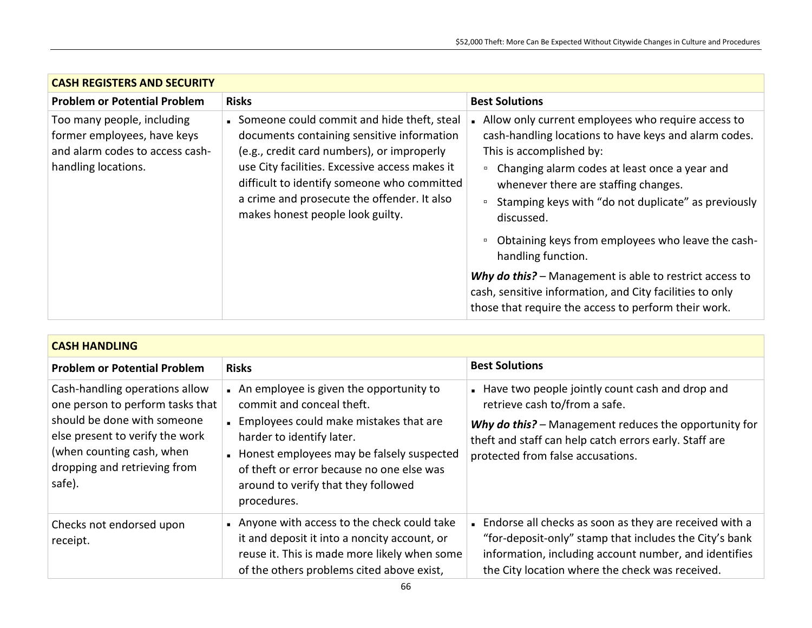| <b>CASH REGISTERS AND SECURITY</b>                                                                                                                                                                                                                                                                                                                                                                                                                |                                                                                                                                                                                                                                                                                                                                                                                                                                                                                                                                                                                                 |  |
|---------------------------------------------------------------------------------------------------------------------------------------------------------------------------------------------------------------------------------------------------------------------------------------------------------------------------------------------------------------------------------------------------------------------------------------------------|-------------------------------------------------------------------------------------------------------------------------------------------------------------------------------------------------------------------------------------------------------------------------------------------------------------------------------------------------------------------------------------------------------------------------------------------------------------------------------------------------------------------------------------------------------------------------------------------------|--|
| <b>Problem or Potential Problem</b><br><b>Risks</b>                                                                                                                                                                                                                                                                                                                                                                                               | <b>Best Solutions</b>                                                                                                                                                                                                                                                                                                                                                                                                                                                                                                                                                                           |  |
| Someone could commit and hide theft, steal<br>Too many people, including<br>former employees, have keys<br>documents containing sensitive information<br>and alarm codes to access cash-<br>(e.g., credit card numbers), or improperly<br>use City facilities. Excessive access makes it<br>handling locations.<br>difficult to identify someone who committed<br>a crime and prosecute the offender. It also<br>makes honest people look guilty. | . Allow only current employees who require access to<br>cash-handling locations to have keys and alarm codes.<br>This is accomplished by:<br>Changing alarm codes at least once a year and<br>$\Box$<br>whenever there are staffing changes.<br>Stamping keys with "do not duplicate" as previously<br>$\Box$<br>discussed.<br>Obtaining keys from employees who leave the cash-<br>$\Box$<br>handling function.<br>Why do this? - Management is able to restrict access to<br>cash, sensitive information, and City facilities to only<br>those that require the access to perform their work. |  |

| <b>CASH HANDLING</b>                                                                                                                                                                                        |                                                                                                                                                                                                                                                                                             |                                                                                                                                                                                                                                          |
|-------------------------------------------------------------------------------------------------------------------------------------------------------------------------------------------------------------|---------------------------------------------------------------------------------------------------------------------------------------------------------------------------------------------------------------------------------------------------------------------------------------------|------------------------------------------------------------------------------------------------------------------------------------------------------------------------------------------------------------------------------------------|
| <b>Problem or Potential Problem</b>                                                                                                                                                                         | <b>Risks</b>                                                                                                                                                                                                                                                                                | <b>Best Solutions</b>                                                                                                                                                                                                                    |
| Cash-handling operations allow<br>one person to perform tasks that<br>should be done with someone<br>else present to verify the work<br>(when counting cash, when<br>dropping and retrieving from<br>safe). | An employee is given the opportunity to<br>commit and conceal theft.<br>Employees could make mistakes that are<br>harder to identify later.<br>Honest employees may be falsely suspected<br>of theft or error because no one else was<br>around to verify that they followed<br>procedures. | Have two people jointly count cash and drop and<br>retrieve cash to/from a safe.<br>Why do this? - Management reduces the opportunity for<br>theft and staff can help catch errors early. Staff are<br>protected from false accusations. |
| Checks not endorsed upon<br>receipt.                                                                                                                                                                        | Anyone with access to the check could take<br>it and deposit it into a noncity account, or<br>reuse it. This is made more likely when some<br>of the others problems cited above exist,                                                                                                     | . Endorse all checks as soon as they are received with a<br>"for-deposit-only" stamp that includes the City's bank<br>information, including account number, and identifies<br>the City location where the check was received.           |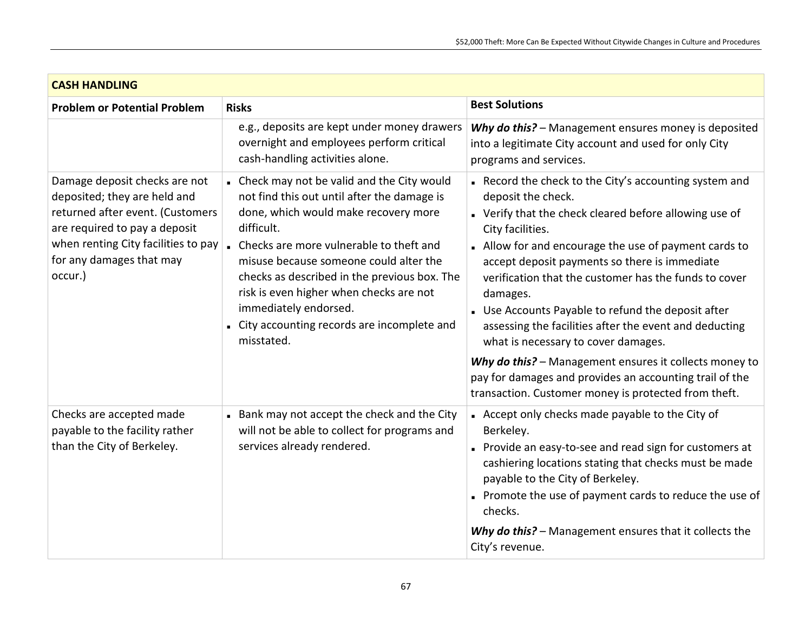| <b>CASH HANDLING</b>                                                                                                                                                                                             |                                                                                                                                                                                                                                                                                                                                                                                                                         |                                                                                                                                                                                                                                                                                                                                                                                                                                                                                                                                                                                                                   |
|------------------------------------------------------------------------------------------------------------------------------------------------------------------------------------------------------------------|-------------------------------------------------------------------------------------------------------------------------------------------------------------------------------------------------------------------------------------------------------------------------------------------------------------------------------------------------------------------------------------------------------------------------|-------------------------------------------------------------------------------------------------------------------------------------------------------------------------------------------------------------------------------------------------------------------------------------------------------------------------------------------------------------------------------------------------------------------------------------------------------------------------------------------------------------------------------------------------------------------------------------------------------------------|
| <b>Problem or Potential Problem</b>                                                                                                                                                                              | <b>Risks</b>                                                                                                                                                                                                                                                                                                                                                                                                            | <b>Best Solutions</b>                                                                                                                                                                                                                                                                                                                                                                                                                                                                                                                                                                                             |
|                                                                                                                                                                                                                  | e.g., deposits are kept under money drawers<br>overnight and employees perform critical<br>cash-handling activities alone.                                                                                                                                                                                                                                                                                              | Why do this? - Management ensures money is deposited<br>into a legitimate City account and used for only City<br>programs and services.                                                                                                                                                                                                                                                                                                                                                                                                                                                                           |
| Damage deposit checks are not<br>deposited; they are held and<br>returned after event. (Customers<br>are required to pay a deposit<br>when renting City facilities to pay<br>for any damages that may<br>occur.) | • Check may not be valid and the City would<br>not find this out until after the damage is<br>done, which would make recovery more<br>difficult.<br>• Checks are more vulnerable to theft and<br>misuse because someone could alter the<br>checks as described in the previous box. The<br>risk is even higher when checks are not<br>immediately endorsed.<br>City accounting records are incomplete and<br>misstated. | Record the check to the City's accounting system and<br>deposit the check.<br>• Verify that the check cleared before allowing use of<br>City facilities.<br>- Allow for and encourage the use of payment cards to<br>accept deposit payments so there is immediate<br>verification that the customer has the funds to cover<br>damages.<br>Use Accounts Payable to refund the deposit after<br>assessing the facilities after the event and deducting<br>what is necessary to cover damages.<br>Why do this? - Management ensures it collects money to<br>pay for damages and provides an accounting trail of the |
|                                                                                                                                                                                                                  |                                                                                                                                                                                                                                                                                                                                                                                                                         | transaction. Customer money is protected from theft.                                                                                                                                                                                                                                                                                                                                                                                                                                                                                                                                                              |
| Checks are accepted made<br>payable to the facility rather<br>than the City of Berkeley.                                                                                                                         | Bank may not accept the check and the City<br>will not be able to collect for programs and<br>services already rendered.                                                                                                                                                                                                                                                                                                | Accept only checks made payable to the City of<br>Berkeley.<br>Provide an easy-to-see and read sign for customers at<br>cashiering locations stating that checks must be made<br>payable to the City of Berkeley.<br>Promote the use of payment cards to reduce the use of<br>checks.                                                                                                                                                                                                                                                                                                                             |
|                                                                                                                                                                                                                  |                                                                                                                                                                                                                                                                                                                                                                                                                         | Why do this? - Management ensures that it collects the<br>City's revenue.                                                                                                                                                                                                                                                                                                                                                                                                                                                                                                                                         |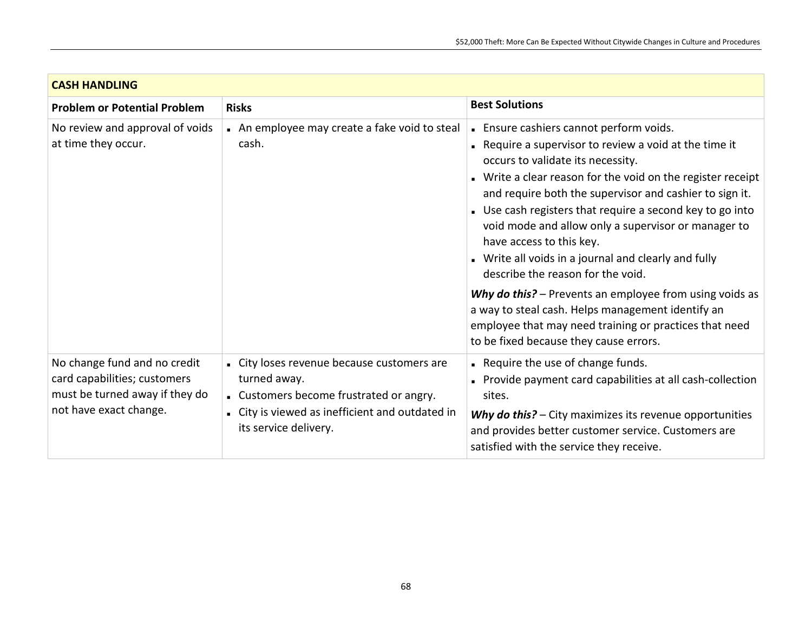| <b>CASH HANDLING</b>                                                                                                     |                                                                                                                                                                                   |                                                                                                                                                                                                                                                                                                                                                                                                                                                                                                               |
|--------------------------------------------------------------------------------------------------------------------------|-----------------------------------------------------------------------------------------------------------------------------------------------------------------------------------|---------------------------------------------------------------------------------------------------------------------------------------------------------------------------------------------------------------------------------------------------------------------------------------------------------------------------------------------------------------------------------------------------------------------------------------------------------------------------------------------------------------|
| <b>Problem or Potential Problem</b>                                                                                      | <b>Risks</b>                                                                                                                                                                      | <b>Best Solutions</b>                                                                                                                                                                                                                                                                                                                                                                                                                                                                                         |
| No review and approval of voids<br>at time they occur.                                                                   | An employee may create a fake void to steal<br>cash.                                                                                                                              | . Ensure cashiers cannot perform voids.<br>. Require a supervisor to review a void at the time it<br>occurs to validate its necessity.<br>• Write a clear reason for the void on the register receipt<br>and require both the supervisor and cashier to sign it.<br>. Use cash registers that require a second key to go into<br>void mode and allow only a supervisor or manager to<br>have access to this key.<br>• Write all voids in a journal and clearly and fully<br>describe the reason for the void. |
|                                                                                                                          |                                                                                                                                                                                   | Why do this? - Prevents an employee from using voids as<br>a way to steal cash. Helps management identify an<br>employee that may need training or practices that need<br>to be fixed because they cause errors.                                                                                                                                                                                                                                                                                              |
| No change fund and no credit<br>card capabilities; customers<br>must be turned away if they do<br>not have exact change. | - City loses revenue because customers are<br>turned away.<br>. Customers become frustrated or angry.<br>. City is viewed as inefficient and outdated in<br>its service delivery. | Require the use of change funds.<br>Provide payment card capabilities at all cash-collection<br>sites.<br>Why do this? - City maximizes its revenue opportunities<br>and provides better customer service. Customers are<br>satisfied with the service they receive.                                                                                                                                                                                                                                          |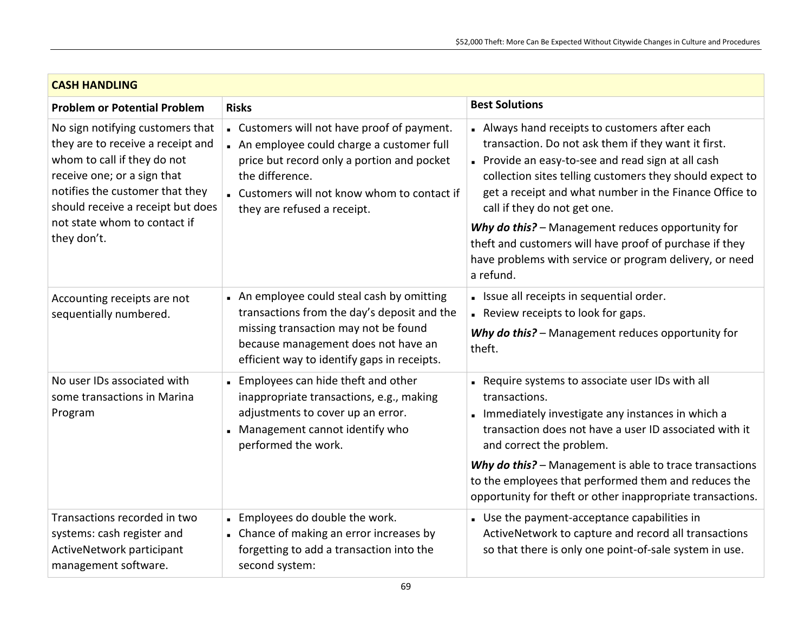| <b>CASH HANDLING</b>                                                                                                                                                                                        |                                                                                                                                                                                                                                         |                                                                                                                                                                                                                                                                                                                                                                                            |
|-------------------------------------------------------------------------------------------------------------------------------------------------------------------------------------------------------------|-----------------------------------------------------------------------------------------------------------------------------------------------------------------------------------------------------------------------------------------|--------------------------------------------------------------------------------------------------------------------------------------------------------------------------------------------------------------------------------------------------------------------------------------------------------------------------------------------------------------------------------------------|
| <b>Problem or Potential Problem</b>                                                                                                                                                                         | <b>Risks</b>                                                                                                                                                                                                                            | <b>Best Solutions</b>                                                                                                                                                                                                                                                                                                                                                                      |
| No sign notifying customers that<br>they are to receive a receipt and<br>whom to call if they do not<br>receive one; or a sign that<br>notifies the customer that they<br>should receive a receipt but does | . Customers will not have proof of payment.<br>An employee could charge a customer full<br>price but record only a portion and pocket<br>the difference.<br>. Customers will not know whom to contact if<br>they are refused a receipt. | • Always hand receipts to customers after each<br>transaction. Do not ask them if they want it first.<br>Provide an easy-to-see and read sign at all cash<br>collection sites telling customers they should expect to<br>get a receipt and what number in the Finance Office to<br>call if they do not get one.                                                                            |
| not state whom to contact if<br>they don't.                                                                                                                                                                 |                                                                                                                                                                                                                                         | Why do this? - Management reduces opportunity for<br>theft and customers will have proof of purchase if they<br>have problems with service or program delivery, or need<br>a refund.                                                                                                                                                                                                       |
| Accounting receipts are not<br>sequentially numbered.                                                                                                                                                       | • An employee could steal cash by omitting<br>transactions from the day's deposit and the<br>missing transaction may not be found<br>because management does not have an<br>efficient way to identify gaps in receipts.                 | - Issue all receipts in sequential order.<br>Review receipts to look for gaps.<br>Why do this? - Management reduces opportunity for<br>theft.                                                                                                                                                                                                                                              |
| No user IDs associated with<br>some transactions in Marina<br>Program                                                                                                                                       | . Employees can hide theft and other<br>inappropriate transactions, e.g., making<br>adjustments to cover up an error.<br>Management cannot identify who<br>performed the work.                                                          | Require systems to associate user IDs with all<br>transactions.<br>Immediately investigate any instances in which a<br>transaction does not have a user ID associated with it<br>and correct the problem.<br>Why do this? - Management is able to trace transactions<br>to the employees that performed them and reduces the<br>opportunity for theft or other inappropriate transactions. |
| Transactions recorded in two<br>systems: cash register and<br>ActiveNetwork participant<br>management software.                                                                                             | . Employees do double the work.<br>• Chance of making an error increases by<br>forgetting to add a transaction into the<br>second system:                                                                                               | . Use the payment-acceptance capabilities in<br>ActiveNetwork to capture and record all transactions<br>so that there is only one point-of-sale system in use.                                                                                                                                                                                                                             |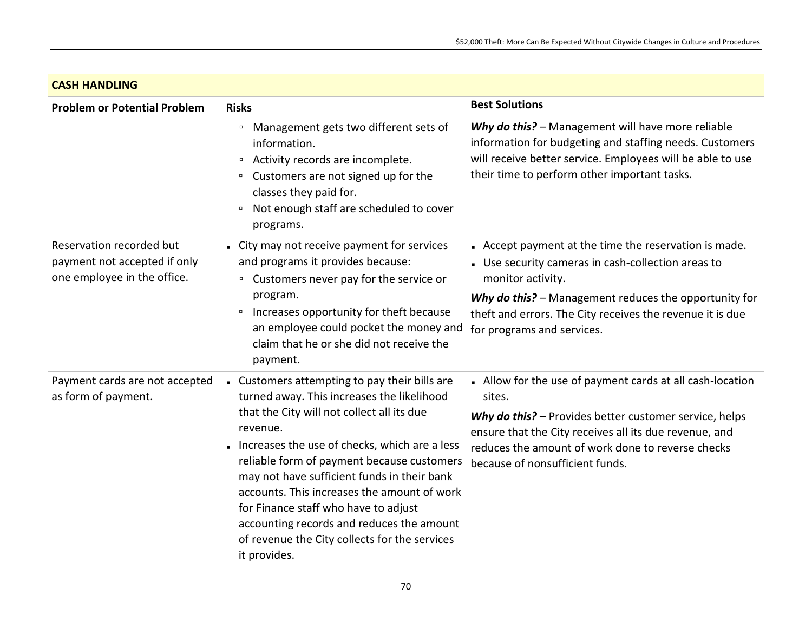| <b>CASH HANDLING</b>                                                                    |                                                                                                                                                                                                                                                                                                                                                                                                                                                                                                          |                                                                                                                                                                                                                                                                                    |
|-----------------------------------------------------------------------------------------|----------------------------------------------------------------------------------------------------------------------------------------------------------------------------------------------------------------------------------------------------------------------------------------------------------------------------------------------------------------------------------------------------------------------------------------------------------------------------------------------------------|------------------------------------------------------------------------------------------------------------------------------------------------------------------------------------------------------------------------------------------------------------------------------------|
| <b>Problem or Potential Problem</b>                                                     | <b>Risks</b>                                                                                                                                                                                                                                                                                                                                                                                                                                                                                             | <b>Best Solutions</b>                                                                                                                                                                                                                                                              |
|                                                                                         | Management gets two different sets of<br>$\Box$<br>information.<br>Activity records are incomplete.<br>$\Box$<br>Customers are not signed up for the<br>$\Box$<br>classes they paid for.<br>Not enough staff are scheduled to cover<br>$\Box$<br>programs.                                                                                                                                                                                                                                               | Why do this? - Management will have more reliable<br>information for budgeting and staffing needs. Customers<br>will receive better service. Employees will be able to use<br>their time to perform other important tasks.                                                         |
| Reservation recorded but<br>payment not accepted if only<br>one employee in the office. | - City may not receive payment for services<br>and programs it provides because:<br>Customers never pay for the service or<br>$\Box$<br>program.<br>Increases opportunity for theft because<br>$\Box$<br>an employee could pocket the money and<br>claim that he or she did not receive the<br>payment.                                                                                                                                                                                                  | Accept payment at the time the reservation is made.<br>• Use security cameras in cash-collection areas to<br>monitor activity.<br>Why do this? - Management reduces the opportunity for<br>theft and errors. The City receives the revenue it is due<br>for programs and services. |
| Payment cards are not accepted<br>as form of payment.                                   | - Customers attempting to pay their bills are<br>turned away. This increases the likelihood<br>that the City will not collect all its due<br>revenue.<br>Increases the use of checks, which are a less<br>reliable form of payment because customers<br>may not have sufficient funds in their bank<br>accounts. This increases the amount of work<br>for Finance staff who have to adjust<br>accounting records and reduces the amount<br>of revenue the City collects for the services<br>it provides. | • Allow for the use of payment cards at all cash-location<br>sites.<br>Why do this? - Provides better customer service, helps<br>ensure that the City receives all its due revenue, and<br>reduces the amount of work done to reverse checks<br>because of nonsufficient funds.    |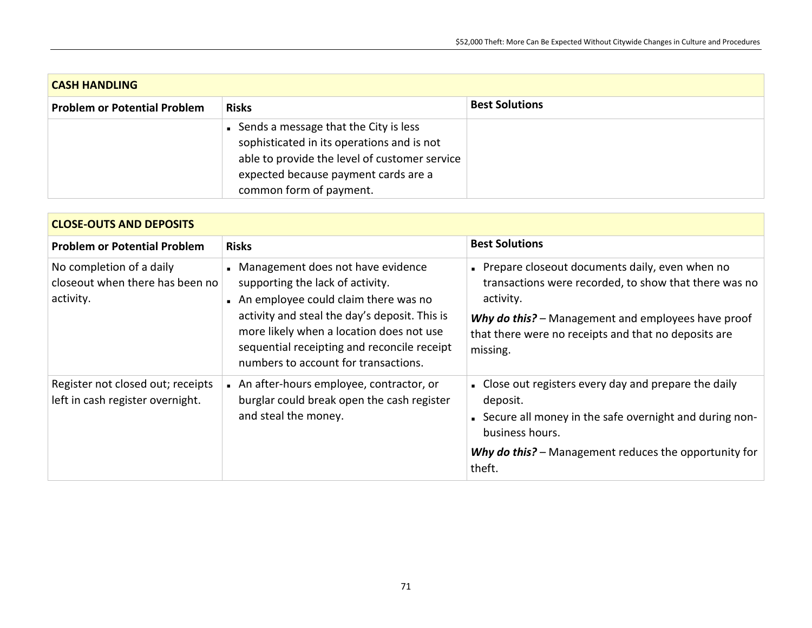| <b>CASH HANDLING</b>                |                                                                                                                                                                                                           |                       |
|-------------------------------------|-----------------------------------------------------------------------------------------------------------------------------------------------------------------------------------------------------------|-----------------------|
| <b>Problem or Potential Problem</b> | <b>Risks</b>                                                                                                                                                                                              | <b>Best Solutions</b> |
|                                     | • Sends a message that the City is less<br>sophisticated in its operations and is not<br>able to provide the level of customer service<br>expected because payment cards are a<br>common form of payment. |                       |

| <b>CLOSE-OUTS AND DEPOSITS</b>                                           |                                                                                                                                                                                                                                                                                                   |                                                                                                                                                                                                                                                |
|--------------------------------------------------------------------------|---------------------------------------------------------------------------------------------------------------------------------------------------------------------------------------------------------------------------------------------------------------------------------------------------|------------------------------------------------------------------------------------------------------------------------------------------------------------------------------------------------------------------------------------------------|
| <b>Problem or Potential Problem</b>                                      | <b>Risks</b>                                                                                                                                                                                                                                                                                      | <b>Best Solutions</b>                                                                                                                                                                                                                          |
| No completion of a daily<br>closeout when there has been no<br>activity. | Management does not have evidence<br>supporting the lack of activity.<br>An employee could claim there was no<br>activity and steal the day's deposit. This is<br>more likely when a location does not use<br>sequential receipting and reconcile receipt<br>numbers to account for transactions. | Prepare closeout documents daily, even when no<br>transactions were recorded, to show that there was no<br>activity.<br>Why do this? - Management and employees have proof<br>that there were no receipts and that no deposits are<br>missing. |
| Register not closed out; receipts<br>left in cash register overnight.    | An after-hours employee, contractor, or<br>burglar could break open the cash register<br>and steal the money.                                                                                                                                                                                     | • Close out registers every day and prepare the daily<br>deposit.<br>• Secure all money in the safe overnight and during non-<br>business hours.<br>Why do this? - Management reduces the opportunity for<br>theft.                            |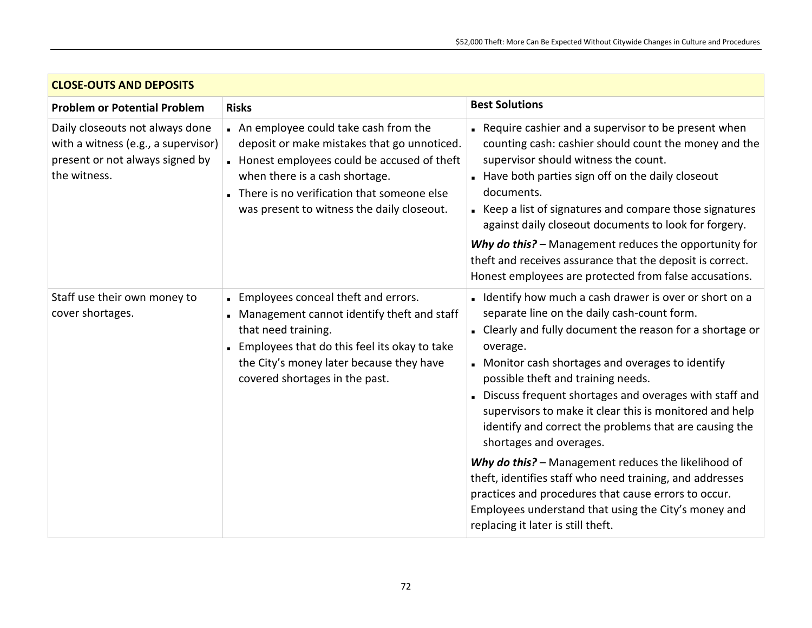| <b>CLOSE-OUTS AND DEPOSITS</b>                                                                                            |                                                                                                                                                                                                                                                                 |                                                                                                                                                                                                                                                                                                                                                                                                                                                                                                                                                                                                                                                                                                                                                               |
|---------------------------------------------------------------------------------------------------------------------------|-----------------------------------------------------------------------------------------------------------------------------------------------------------------------------------------------------------------------------------------------------------------|---------------------------------------------------------------------------------------------------------------------------------------------------------------------------------------------------------------------------------------------------------------------------------------------------------------------------------------------------------------------------------------------------------------------------------------------------------------------------------------------------------------------------------------------------------------------------------------------------------------------------------------------------------------------------------------------------------------------------------------------------------------|
| <b>Problem or Potential Problem</b>                                                                                       | <b>Risks</b>                                                                                                                                                                                                                                                    | <b>Best Solutions</b>                                                                                                                                                                                                                                                                                                                                                                                                                                                                                                                                                                                                                                                                                                                                         |
| Daily closeouts not always done<br>with a witness (e.g., a supervisor)<br>present or not always signed by<br>the witness. | An employee could take cash from the<br>deposit or make mistakes that go unnoticed.<br>Honest employees could be accused of theft<br>when there is a cash shortage.<br>There is no verification that someone else<br>was present to witness the daily closeout. | . Require cashier and a supervisor to be present when<br>counting cash: cashier should count the money and the<br>supervisor should witness the count.<br>Have both parties sign off on the daily closeout<br>documents.<br>• Keep a list of signatures and compare those signatures<br>against daily closeout documents to look for forgery.<br>Why do this? - Management reduces the opportunity for<br>theft and receives assurance that the deposit is correct.<br>Honest employees are protected from false accusations.                                                                                                                                                                                                                                 |
| Staff use their own money to<br>cover shortages.                                                                          | Employees conceal theft and errors.<br>Management cannot identify theft and staff<br>that need training.<br>. Employees that do this feel its okay to take<br>the City's money later because they have<br>covered shortages in the past.                        | I Identify how much a cash drawer is over or short on a<br>separate line on the daily cash-count form.<br>- Clearly and fully document the reason for a shortage or<br>overage.<br>• Monitor cash shortages and overages to identify<br>possible theft and training needs.<br>Discuss frequent shortages and overages with staff and<br>supervisors to make it clear this is monitored and help<br>identify and correct the problems that are causing the<br>shortages and overages.<br>Why do this? - Management reduces the likelihood of<br>theft, identifies staff who need training, and addresses<br>practices and procedures that cause errors to occur.<br>Employees understand that using the City's money and<br>replacing it later is still theft. |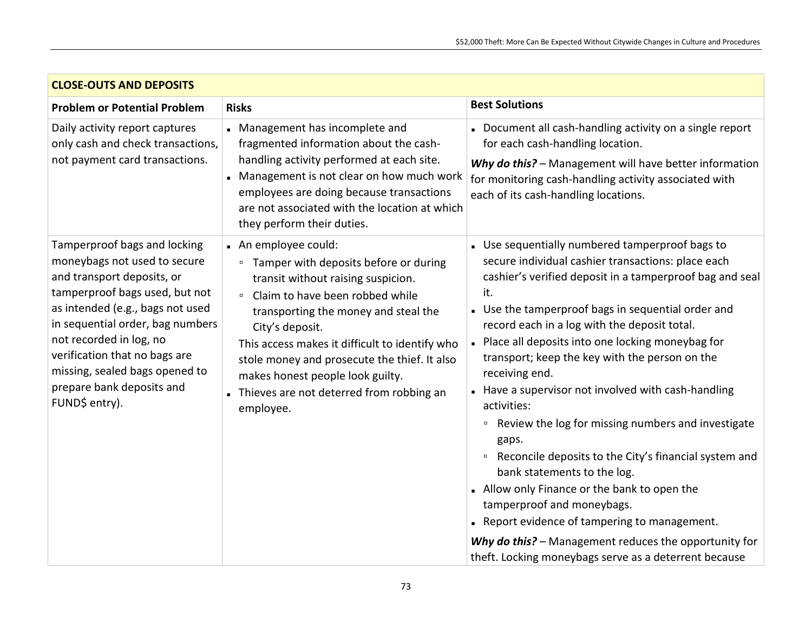| <b>CLOSE-OUTS AND DEPOSITS</b>                                                                                                                                                                                                                                                                                                                    |                                                                                                                                                                                                                                                                                                                                                                                                                                    |                                                                                                                                                                                                                                                                                                                                                                                                                                                                                                                                                                                                                                                                                                                                                                                                                                               |
|---------------------------------------------------------------------------------------------------------------------------------------------------------------------------------------------------------------------------------------------------------------------------------------------------------------------------------------------------|------------------------------------------------------------------------------------------------------------------------------------------------------------------------------------------------------------------------------------------------------------------------------------------------------------------------------------------------------------------------------------------------------------------------------------|-----------------------------------------------------------------------------------------------------------------------------------------------------------------------------------------------------------------------------------------------------------------------------------------------------------------------------------------------------------------------------------------------------------------------------------------------------------------------------------------------------------------------------------------------------------------------------------------------------------------------------------------------------------------------------------------------------------------------------------------------------------------------------------------------------------------------------------------------|
| <b>Problem or Potential Problem</b>                                                                                                                                                                                                                                                                                                               | <b>Risks</b>                                                                                                                                                                                                                                                                                                                                                                                                                       | <b>Best Solutions</b>                                                                                                                                                                                                                                                                                                                                                                                                                                                                                                                                                                                                                                                                                                                                                                                                                         |
| Daily activity report captures<br>only cash and check transactions,<br>not payment card transactions.                                                                                                                                                                                                                                             | Management has incomplete and<br>fragmented information about the cash-<br>handling activity performed at each site.<br>Management is not clear on how much work<br>employees are doing because transactions<br>are not associated with the location at which<br>they perform their duties.                                                                                                                                        | Document all cash-handling activity on a single report<br>for each cash-handling location.<br>Why do this? - Management will have better information<br>for monitoring cash-handling activity associated with<br>each of its cash-handling locations.                                                                                                                                                                                                                                                                                                                                                                                                                                                                                                                                                                                         |
| Tamperproof bags and locking<br>moneybags not used to secure<br>and transport deposits, or<br>tamperproof bags used, but not<br>as intended (e.g., bags not used<br>in sequential order, bag numbers<br>not recorded in log, no<br>verification that no bags are<br>missing, sealed bags opened to<br>prepare bank deposits and<br>FUND\$ entry). | An employee could:<br>Tamper with deposits before or during<br>$\blacksquare$<br>transit without raising suspicion.<br>Claim to have been robbed while<br>$\blacksquare$<br>transporting the money and steal the<br>City's deposit.<br>This access makes it difficult to identify who<br>stole money and prosecute the thief. It also<br>makes honest people look guilty.<br>Thieves are not deterred from robbing an<br>employee. | • Use sequentially numbered tamperproof bags to<br>secure individual cashier transactions: place each<br>cashier's verified deposit in a tamperproof bag and seal<br>it.<br>. Use the tamperproof bags in sequential order and<br>record each in a log with the deposit total.<br>. Place all deposits into one locking moneybag for<br>transport; keep the key with the person on the<br>receiving end.<br>Have a supervisor not involved with cash-handling<br>activities:<br>Review the log for missing numbers and investigate<br>$\Box$<br>gaps.<br>Reconcile deposits to the City's financial system and<br>$\Box$<br>bank statements to the log.<br>- Allow only Finance or the bank to open the<br>tamperproof and moneybags.<br>Report evidence of tampering to management.<br>Why do this? - Management reduces the opportunity for |
|                                                                                                                                                                                                                                                                                                                                                   |                                                                                                                                                                                                                                                                                                                                                                                                                                    | theft. Locking moneybags serve as a deterrent because                                                                                                                                                                                                                                                                                                                                                                                                                                                                                                                                                                                                                                                                                                                                                                                         |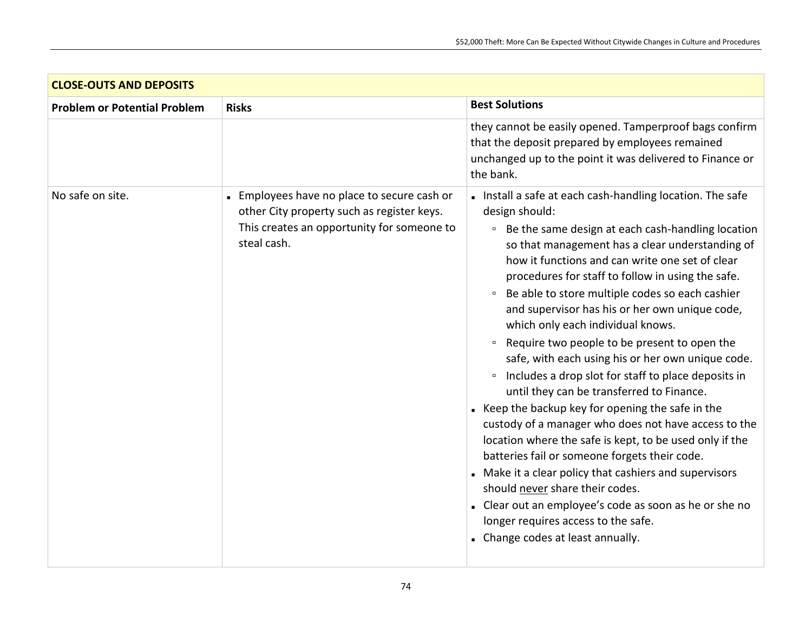| <b>CLOSE-OUTS AND DEPOSITS</b>      |                                                                                                                                                      |                                                                                                                                                                                                                                                                                                                                                                                                                                                                                                                                                                                                                                                                                                                                                                                                                                                                                                                                                                                                                                                                                                                                                 |
|-------------------------------------|------------------------------------------------------------------------------------------------------------------------------------------------------|-------------------------------------------------------------------------------------------------------------------------------------------------------------------------------------------------------------------------------------------------------------------------------------------------------------------------------------------------------------------------------------------------------------------------------------------------------------------------------------------------------------------------------------------------------------------------------------------------------------------------------------------------------------------------------------------------------------------------------------------------------------------------------------------------------------------------------------------------------------------------------------------------------------------------------------------------------------------------------------------------------------------------------------------------------------------------------------------------------------------------------------------------|
| <b>Problem or Potential Problem</b> | <b>Risks</b>                                                                                                                                         | <b>Best Solutions</b>                                                                                                                                                                                                                                                                                                                                                                                                                                                                                                                                                                                                                                                                                                                                                                                                                                                                                                                                                                                                                                                                                                                           |
|                                     |                                                                                                                                                      | they cannot be easily opened. Tamperproof bags confirm<br>that the deposit prepared by employees remained<br>unchanged up to the point it was delivered to Finance or<br>the bank.                                                                                                                                                                                                                                                                                                                                                                                                                                                                                                                                                                                                                                                                                                                                                                                                                                                                                                                                                              |
| No safe on site.                    | Employees have no place to secure cash or<br>other City property such as register keys.<br>This creates an opportunity for someone to<br>steal cash. | Install a safe at each cash-handling location. The safe<br>design should:<br><sup>□</sup> Be the same design at each cash-handling location<br>so that management has a clear understanding of<br>how it functions and can write one set of clear<br>procedures for staff to follow in using the safe.<br>Be able to store multiple codes so each cashier<br>$\Box$<br>and supervisor has his or her own unique code,<br>which only each individual knows.<br>Require two people to be present to open the<br>$\Box$<br>safe, with each using his or her own unique code.<br>Includes a drop slot for staff to place deposits in<br>$\Box$<br>until they can be transferred to Finance.<br>Keep the backup key for opening the safe in the<br>custody of a manager who does not have access to the<br>location where the safe is kept, to be used only if the<br>batteries fail or someone forgets their code.<br>Make it a clear policy that cashiers and supervisors<br>should never share their codes.<br>- Clear out an employee's code as soon as he or she no<br>longer requires access to the safe.<br>- Change codes at least annually. |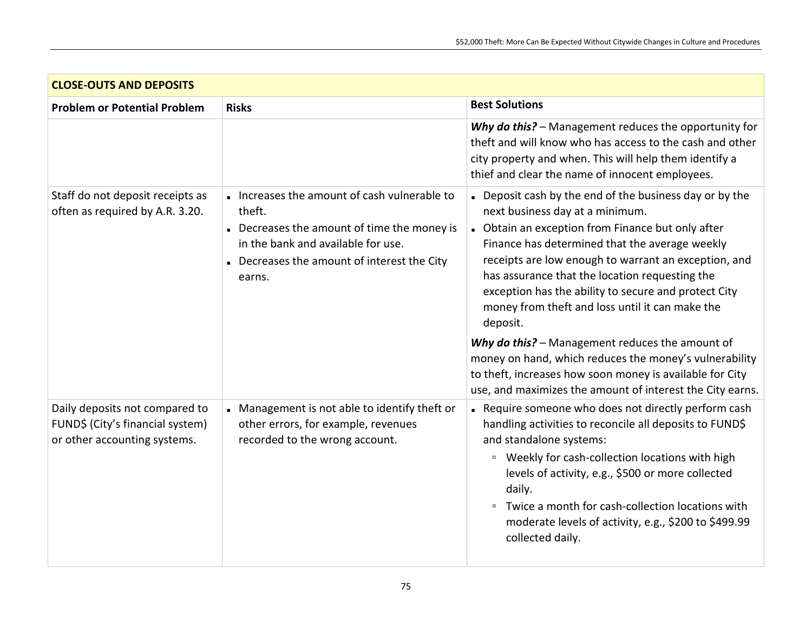| <b>CLOSE-OUTS AND DEPOSITS</b>                                                                     |                                                                                                                                                                                                |                                                                                                                                                                                                                                                                                                                                                                                                                                  |
|----------------------------------------------------------------------------------------------------|------------------------------------------------------------------------------------------------------------------------------------------------------------------------------------------------|----------------------------------------------------------------------------------------------------------------------------------------------------------------------------------------------------------------------------------------------------------------------------------------------------------------------------------------------------------------------------------------------------------------------------------|
| <b>Problem or Potential Problem</b>                                                                | <b>Risks</b>                                                                                                                                                                                   | <b>Best Solutions</b>                                                                                                                                                                                                                                                                                                                                                                                                            |
|                                                                                                    |                                                                                                                                                                                                | Why do this? - Management reduces the opportunity for<br>theft and will know who has access to the cash and other<br>city property and when. This will help them identify a<br>thief and clear the name of innocent employees.                                                                                                                                                                                                   |
| Staff do not deposit receipts as<br>often as required by A.R. 3.20.                                | Increases the amount of cash vulnerable to<br>theft.<br>Decreases the amount of time the money is<br>in the bank and available for use.<br>Decreases the amount of interest the City<br>earns. | Deposit cash by the end of the business day or by the<br>next business day at a minimum.<br>- Obtain an exception from Finance but only after<br>Finance has determined that the average weekly<br>receipts are low enough to warrant an exception, and<br>has assurance that the location requesting the<br>exception has the ability to secure and protect City<br>money from theft and loss until it can make the<br>deposit. |
|                                                                                                    |                                                                                                                                                                                                | Why do this? - Management reduces the amount of<br>money on hand, which reduces the money's vulnerability<br>to theft, increases how soon money is available for City<br>use, and maximizes the amount of interest the City earns.                                                                                                                                                                                               |
| Daily deposits not compared to<br>FUND\$ (City's financial system)<br>or other accounting systems. | Management is not able to identify theft or<br>other errors, for example, revenues<br>recorded to the wrong account.                                                                           | Require someone who does not directly perform cash<br>handling activities to reconcile all deposits to FUND\$<br>and standalone systems:<br><sup>□</sup> Weekly for cash-collection locations with high<br>levels of activity, e.g., \$500 or more collected<br>daily.<br><sup>□</sup> Twice a month for cash-collection locations with<br>moderate levels of activity, e.g., \$200 to \$499.99<br>collected daily.              |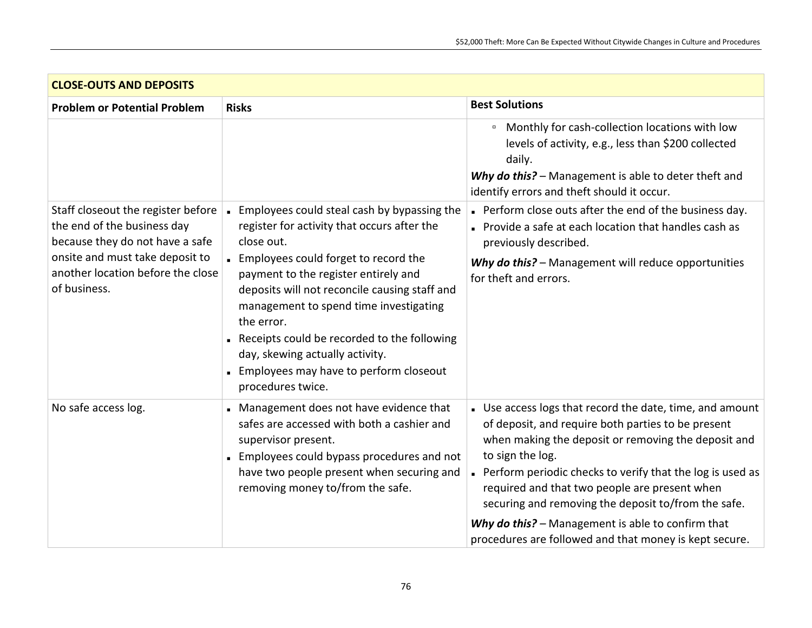| <b>CLOSE-OUTS AND DEPOSITS</b>                                                                       |                                                                                                                                                                                                                                                                                                                                        |                                                                                                                                                                                                                                                                                                                                                                |
|------------------------------------------------------------------------------------------------------|----------------------------------------------------------------------------------------------------------------------------------------------------------------------------------------------------------------------------------------------------------------------------------------------------------------------------------------|----------------------------------------------------------------------------------------------------------------------------------------------------------------------------------------------------------------------------------------------------------------------------------------------------------------------------------------------------------------|
| <b>Problem or Potential Problem</b>                                                                  | <b>Risks</b>                                                                                                                                                                                                                                                                                                                           | <b>Best Solutions</b>                                                                                                                                                                                                                                                                                                                                          |
|                                                                                                      |                                                                                                                                                                                                                                                                                                                                        | Monthly for cash-collection locations with low<br>$\Box$<br>levels of activity, e.g., less than \$200 collected<br>daily.<br>Why do this? - Management is able to deter theft and<br>identify errors and theft should it occur.                                                                                                                                |
| Staff closeout the register before<br>the end of the business day<br>because they do not have a safe | . Employees could steal cash by bypassing the<br>register for activity that occurs after the<br>close out.                                                                                                                                                                                                                             | Perform close outs after the end of the business day.<br>Provide a safe at each location that handles cash as<br>previously described.                                                                                                                                                                                                                         |
| onsite and must take deposit to<br>another location before the close<br>of business.                 | Employees could forget to record the<br>payment to the register entirely and<br>deposits will not reconcile causing staff and<br>management to spend time investigating<br>the error.<br>Receipts could be recorded to the following<br>day, skewing actually activity.<br>Employees may have to perform closeout<br>procedures twice. | Why do this? - Management will reduce opportunities<br>for theft and errors.                                                                                                                                                                                                                                                                                   |
| No safe access log.                                                                                  | Management does not have evidence that<br>safes are accessed with both a cashier and<br>supervisor present.<br>Employees could bypass procedures and not<br>have two people present when securing and<br>removing money to/from the safe.                                                                                              | . Use access logs that record the date, time, and amount<br>of deposit, and require both parties to be present<br>when making the deposit or removing the deposit and<br>to sign the log.<br>Perform periodic checks to verify that the log is used as<br>required and that two people are present when<br>securing and removing the deposit to/from the safe. |
|                                                                                                      |                                                                                                                                                                                                                                                                                                                                        | Why do this? - Management is able to confirm that<br>procedures are followed and that money is kept secure.                                                                                                                                                                                                                                                    |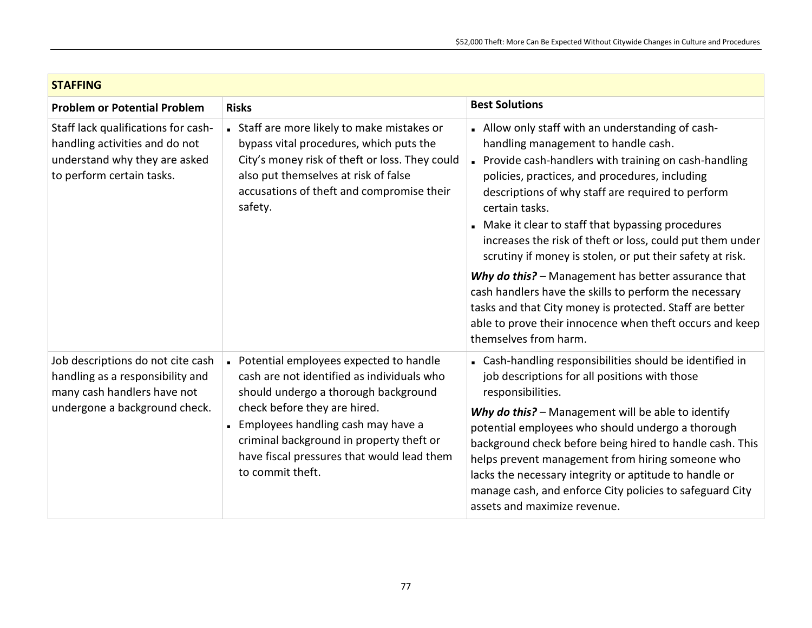| <b>STAFFING</b>                                                                                                                       |                                                                                                                                                                                                                                                                                                                    |                                                                                                                                                                                                                                                                                                                                                                                                                                                                                                                                                                                                                                                                                                                           |
|---------------------------------------------------------------------------------------------------------------------------------------|--------------------------------------------------------------------------------------------------------------------------------------------------------------------------------------------------------------------------------------------------------------------------------------------------------------------|---------------------------------------------------------------------------------------------------------------------------------------------------------------------------------------------------------------------------------------------------------------------------------------------------------------------------------------------------------------------------------------------------------------------------------------------------------------------------------------------------------------------------------------------------------------------------------------------------------------------------------------------------------------------------------------------------------------------------|
| <b>Problem or Potential Problem</b>                                                                                                   | <b>Risks</b>                                                                                                                                                                                                                                                                                                       | <b>Best Solutions</b>                                                                                                                                                                                                                                                                                                                                                                                                                                                                                                                                                                                                                                                                                                     |
| Staff lack qualifications for cash-<br>handling activities and do not<br>understand why they are asked<br>to perform certain tasks.   | • Staff are more likely to make mistakes or<br>bypass vital procedures, which puts the<br>City's money risk of theft or loss. They could<br>also put themselves at risk of false<br>accusations of theft and compromise their<br>safety.                                                                           | - Allow only staff with an understanding of cash-<br>handling management to handle cash.<br>Provide cash-handlers with training on cash-handling<br>policies, practices, and procedures, including<br>descriptions of why staff are required to perform<br>certain tasks.<br>Make it clear to staff that bypassing procedures<br>increases the risk of theft or loss, could put them under<br>scrutiny if money is stolen, or put their safety at risk.<br>Why do this? - Management has better assurance that<br>cash handlers have the skills to perform the necessary<br>tasks and that City money is protected. Staff are better<br>able to prove their innocence when theft occurs and keep<br>themselves from harm. |
| Job descriptions do not cite cash<br>handling as a responsibility and<br>many cash handlers have not<br>undergone a background check. | - Potential employees expected to handle<br>cash are not identified as individuals who<br>should undergo a thorough background<br>check before they are hired.<br>Employees handling cash may have a<br>criminal background in property theft or<br>have fiscal pressures that would lead them<br>to commit theft. | - Cash-handling responsibilities should be identified in<br>job descriptions for all positions with those<br>responsibilities.<br>Why do this? - Management will be able to identify<br>potential employees who should undergo a thorough<br>background check before being hired to handle cash. This<br>helps prevent management from hiring someone who<br>lacks the necessary integrity or aptitude to handle or<br>manage cash, and enforce City policies to safeguard City<br>assets and maximize revenue.                                                                                                                                                                                                           |